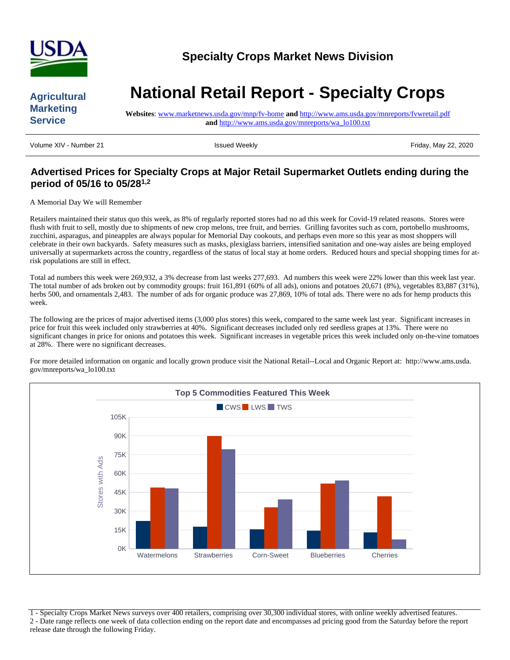

### **Agricultural Marketing Service**

# **National Retail Report - Specialty Crops**

**Websites**: [www.marketnews.usda.gov/mnp/fv-home](http://www.marketnews.usda.gov/mnp/fv-home) **and** <http://www.ams.usda.gov/mnreports/fvwretail.pdf> **and** [http://www.ams.usda.gov/mnreports/wa\\_lo100.txt](http://www.ams.usda.gov/mnreports/wa_lo100.txt)

Volume XIV - Number 21 **Issued Weekly Friday, May 22, 2020** Friday, May 22, 2020

## **Advertised Prices for Specialty Crops at Major Retail Supermarket Outlets ending during the period of 05/16 to 05/281,2**

A Memorial Day We will Remember

Retailers maintained their status quo this week, as 8% of regularly reported stores had no ad this week for Covid-19 related reasons. Stores were flush with fruit to sell, mostly due to shipments of new crop melons, tree fruit, and berries. Grilling favorites such as corn, portobello mushrooms, zucchini, asparagus, and pineapples are always popular for Memorial Day cookouts, and perhaps even more so this year as most shoppers will celebrate in their own backyards. Safety measures such as masks, plexiglass barriers, intensified sanitation and one-way aisles are being employed universally at supermarkets across the country, regardless of the status of local stay at home orders. Reduced hours and special shopping times for atrisk populations are still in effect.

Total ad numbers this week were 269,932, a 3% decrease from last weeks 277,693. Ad numbers this week were 22% lower than this week last year. The total number of ads broken out by commodity groups: fruit 161,891 (60% of all ads), onions and potatoes 20,671 (8%), vegetables 83,887 (31%), herbs 500, and ornamentals 2,483. The number of ads for organic produce was 27,869, 10% of total ads. There were no ads for hemp products this week.

The following are the prices of major advertised items (3,000 plus stores) this week, compared to the same week last year. Significant increases in price for fruit this week included only strawberries at 40%. Significant decreases included only red seedless grapes at 13%. There were no significant changes in price for onions and potatoes this week. Significant increases in vegetable prices this week included only on-the-vine tomatoes at 28%. There were no significant decreases.

For more detailed information on organic and locally grown produce visit the National Retail--Local and Organic Report at: http://www.ams.usda. gov/mnreports/wa\_lo100.txt



1 - Specialty Crops Market News surveys over 400 retailers, comprising over 30,300 individual stores, with online weekly advertised features. 2 - Date range reflects one week of data collection ending on the report date and encompasses ad pricing good from the Saturday before the report release date through the following Friday.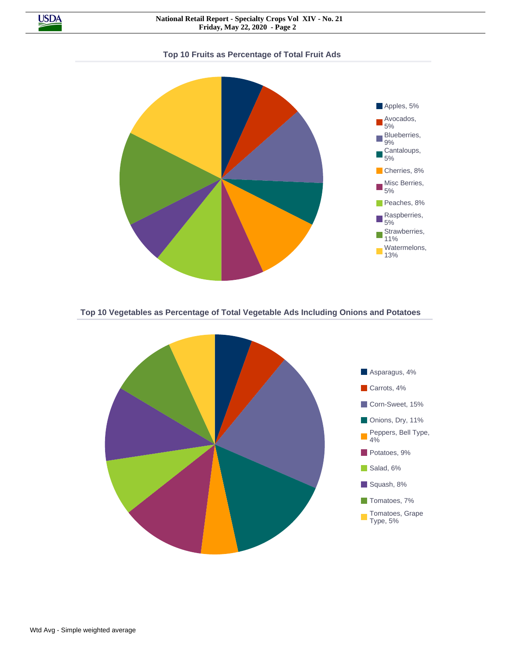**Top 10 Fruits as Percentage of Total Fruit Ads**



**Top 10 Vegetables as Percentage of Total Vegetable Ads Including Onions and Potatoes**

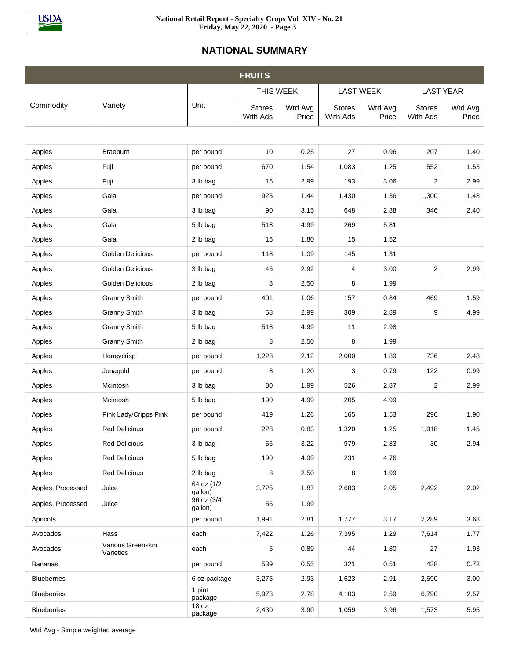

# **NATIONAL SUMMARY**

|                    |                                |                       | <b>FRUITS</b>             |                  |                           |                  |                           |                  |
|--------------------|--------------------------------|-----------------------|---------------------------|------------------|---------------------------|------------------|---------------------------|------------------|
|                    |                                |                       | THIS WEEK                 |                  | <b>LAST WEEK</b>          |                  | <b>LAST YEAR</b>          |                  |
| Commodity          | Variety                        | Unit                  | <b>Stores</b><br>With Ads | Wtd Avg<br>Price | <b>Stores</b><br>With Ads | Wtd Avg<br>Price | <b>Stores</b><br>With Ads | Wtd Avg<br>Price |
|                    |                                |                       |                           |                  |                           |                  |                           |                  |
| Apples             | Braeburn                       | per pound             | 10                        | 0.25             | 27                        | 0.96             | 207                       | 1.40             |
| Apples             | Fuji                           | per pound             | 670                       | 1.54             | 1,083                     | 1.25             | 552                       | 1.53             |
| Apples             | Fuji                           | 3 lb bag              | 15                        | 2.99             | 193                       | 3.06             | $\overline{2}$            | 2.99             |
| Apples             | Gala                           | per pound             | 925                       | 1.44             | 1,430                     | 1.36             | 1,300                     | 1.48             |
| Apples             | Gala                           | 3 lb bag              | 90                        | 3.15             | 648                       | 2.88             | 346                       | 2.40             |
| Apples             | Gala                           | 5 lb bag              | 518                       | 4.99             | 269                       | 5.81             |                           |                  |
| Apples             | Gala                           | 2 lb bag              | 15                        | 1.80             | 15                        | 1.52             |                           |                  |
| Apples             | Golden Delicious               | per pound             | 118                       | 1.09             | 145                       | 1.31             |                           |                  |
| Apples             | <b>Golden Delicious</b>        | 3 lb bag              | 46                        | 2.92             | 4                         | 3.00             | $\overline{\mathbf{c}}$   | 2.99             |
| Apples             | <b>Golden Delicious</b>        | 2 lb bag              | 8                         | 2.50             | 8                         | 1.99             |                           |                  |
| Apples             | <b>Granny Smith</b>            | per pound             | 401                       | 1.06             | 157                       | 0.84             | 469                       | 1.59             |
| Apples             | <b>Granny Smith</b>            | 3 lb bag              | 58                        | 2.99             | 309                       | 2.89             | 9                         | 4.99             |
| Apples             | <b>Granny Smith</b>            | 5 lb bag              | 518                       | 4.99             | 11                        | 2.98             |                           |                  |
| Apples             | <b>Granny Smith</b>            | 2 lb bag              | 8                         | 2.50             | 8                         | 1.99             |                           |                  |
| Apples             | Honeycrisp                     | per pound             | 1,228                     | 2.12             | 2,000                     | 1.89             | 736                       | 2.48             |
| Apples             | Jonagold                       | per pound             | 8                         | 1.20             | 3                         | 0.79             | 122                       | 0.99             |
| Apples             | Mcintosh                       | 3 lb bag              | 80                        | 1.99             | 526                       | 2.87             | $\overline{c}$            | 2.99             |
| Apples             | Mcintosh                       | 5 lb bag              | 190                       | 4.99             | 205                       | 4.99             |                           |                  |
| Apples             | Pink Lady/Cripps Pink          | per pound             | 419                       | 1.26             | 165                       | 1.53             | 296                       | 1.90             |
| Apples             | <b>Red Delicious</b>           | per pound             | 228                       | 0.83             | 1,320                     | 1.25             | 1,918                     | 1.45             |
| Apples             | <b>Red Delicious</b>           | 3 lb bag              | 56                        | 3.22             | 979                       | 2.83             | 30                        | 2.94             |
| Apples             | <b>Red Delicious</b>           | 5 lb bag              | 190                       | 4.99             | 231                       | 4.76             |                           |                  |
| Apples             | <b>Red Delicious</b>           | 2 lb bag              | 8                         | 2.50             | 8                         | 1.99             |                           |                  |
| Apples, Processed  | Juice                          | 64 oz (1/2<br>gallon) | 3,725                     | 1.87             | 2,683                     | 2.05             | 2,492                     | 2.02             |
| Apples, Processed  | Juice                          | 96 oz (3/4<br>gallon) | 56                        | 1.99             |                           |                  |                           |                  |
| Apricots           |                                | per pound             | 1,991                     | 2.81             | 1,777                     | 3.17             | 2,289                     | 3.68             |
| Avocados           | Hass                           | each                  | 7,422                     | 1.26             | 7,395                     | 1.29             | 7,614                     | 1.77             |
| Avocados           | Various Greenskin<br>Varieties | each                  | 5                         | 0.89             | 44                        | 1.80             | 27                        | 1.93             |
| <b>Bananas</b>     |                                | per pound             | 539                       | 0.55             | 321                       | 0.51             | 438                       | 0.72             |
| <b>Blueberries</b> |                                | 6 oz package          | 3,275                     | 2.93             | 1,623                     | 2.91             | 2,590                     | 3.00             |
| <b>Blueberries</b> |                                | 1 pint<br>package     | 5,973                     | 2.78             | 4,103                     | 2.59             | 6,790                     | 2.57             |
| <b>Blueberries</b> |                                | 18 oz<br>package      | 2,430                     | 3.90             | 1,059                     | 3.96             | 1,573                     | 5.95             |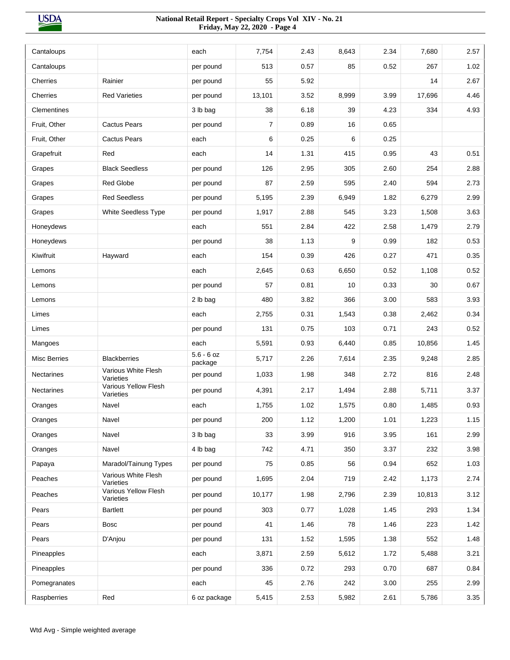| Cantaloups          |                                   | each                    | 7,754          | 2.43 | 8,643 | 2.34 | 7,680  | 2.57 |
|---------------------|-----------------------------------|-------------------------|----------------|------|-------|------|--------|------|
| Cantaloups          |                                   | per pound               | 513            | 0.57 | 85    | 0.52 | 267    | 1.02 |
| Cherries            | Rainier                           | per pound               | 55             | 5.92 |       |      | 14     | 2.67 |
| Cherries            | <b>Red Varieties</b>              | per pound               | 13,101         | 3.52 | 8,999 | 3.99 | 17,696 | 4.46 |
| Clementines         |                                   | 3 lb bag                | 38             | 6.18 | 39    | 4.23 | 334    | 4.93 |
| Fruit, Other        | <b>Cactus Pears</b>               | per pound               | $\overline{7}$ | 0.89 | 16    | 0.65 |        |      |
| Fruit, Other        | <b>Cactus Pears</b>               | each                    | 6              | 0.25 | 6     | 0.25 |        |      |
| Grapefruit          | Red                               | each                    | 14             | 1.31 | 415   | 0.95 | 43     | 0.51 |
| Grapes              | <b>Black Seedless</b>             | per pound               | 126            | 2.95 | 305   | 2.60 | 254    | 2.88 |
| Grapes              | <b>Red Globe</b>                  | per pound               | 87             | 2.59 | 595   | 2.40 | 594    | 2.73 |
| Grapes              | <b>Red Seedless</b>               | per pound               | 5,195          | 2.39 | 6,949 | 1.82 | 6,279  | 2.99 |
| Grapes              | <b>White Seedless Type</b>        | per pound               | 1,917          | 2.88 | 545   | 3.23 | 1,508  | 3.63 |
| Honeydews           |                                   | each                    | 551            | 2.84 | 422   | 2.58 | 1,479  | 2.79 |
| Honeydews           |                                   | per pound               | 38             | 1.13 | 9     | 0.99 | 182    | 0.53 |
| Kiwifruit           | Hayward                           | each                    | 154            | 0.39 | 426   | 0.27 | 471    | 0.35 |
| Lemons              |                                   | each                    | 2,645          | 0.63 | 6,650 | 0.52 | 1,108  | 0.52 |
| Lemons              |                                   | per pound               | 57             | 0.81 | 10    | 0.33 | 30     | 0.67 |
| Lemons              |                                   | 2 lb bag                | 480            | 3.82 | 366   | 3.00 | 583    | 3.93 |
| Limes               |                                   | each                    | 2,755          | 0.31 | 1,543 | 0.38 | 2,462  | 0.34 |
| Limes               |                                   | per pound               | 131            | 0.75 | 103   | 0.71 | 243    | 0.52 |
| Mangoes             |                                   | each                    | 5,591          | 0.93 | 6,440 | 0.85 | 10,856 | 1.45 |
| <b>Misc Berries</b> | <b>Blackberries</b>               | $5.6 - 6$ oz<br>package | 5,717          | 2.26 | 7,614 | 2.35 | 9,248  | 2.85 |
| <b>Nectarines</b>   | Various White Flesh<br>Varieties  | per pound               | 1,033          | 1.98 | 348   | 2.72 | 816    | 2.48 |
| <b>Nectarines</b>   | Various Yellow Flesh<br>Varieties | per pound               | 4,391          | 2.17 | 1,494 | 2.88 | 5,711  | 3.37 |
| Oranges             | Navel                             | each                    | 1,755          | 1.02 | 1,575 | 0.80 | 1,485  | 0.93 |
| Oranges             | Navel                             | per pound               | 200            | 1.12 | 1,200 | 1.01 | 1,223  | 1.15 |
| Oranges             | Navel                             | 3 lb bag                | 33             | 3.99 | 916   | 3.95 | 161    | 2.99 |
| Oranges             | Navel                             | 4 lb bag                | 742            | 4.71 | 350   | 3.37 | 232    | 3.98 |
| Papaya              | Maradol/Tainung Types             | per pound               | 75             | 0.85 | 56    | 0.94 | 652    | 1.03 |
| Peaches             | Various White Flesh<br>Varieties  | per pound               | 1,695          | 2.04 | 719   | 2.42 | 1,173  | 2.74 |
| Peaches             | Various Yellow Flesh<br>Varieties | per pound               | 10,177         | 1.98 | 2,796 | 2.39 | 10,813 | 3.12 |
| Pears               | <b>Bartlett</b>                   | per pound               | 303            | 0.77 | 1,028 | 1.45 | 293    | 1.34 |
| Pears               | <b>Bosc</b>                       | per pound               | 41             | 1.46 | 78    | 1.46 | 223    | 1.42 |
| Pears               | D'Anjou                           | per pound               | 131            | 1.52 | 1,595 | 1.38 | 552    | 1.48 |
| Pineapples          |                                   | each                    | 3,871          | 2.59 | 5,612 | 1.72 | 5,488  | 3.21 |
| Pineapples          |                                   | per pound               | 336            | 0.72 | 293   | 0.70 | 687    | 0.84 |
| Pomegranates        |                                   | each                    | 45             | 2.76 | 242   | 3.00 | 255    | 2.99 |
| Raspberries         | Red                               | 6 oz package            | 5,415          | 2.53 | 5,982 | 2.61 | 5,786  | 3.35 |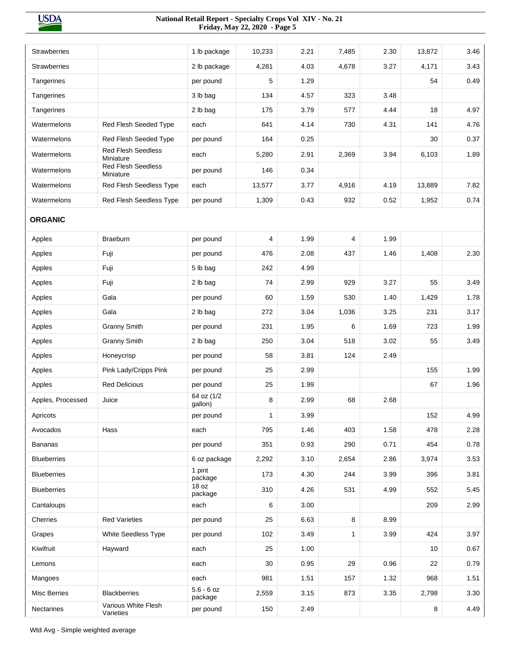**USDA** 

| <b>Strawberries</b> |                                        | 1 lb package            | 10,233       | 2.21 | 7,485          | 2.30 | 13,872 | 3.46 |
|---------------------|----------------------------------------|-------------------------|--------------|------|----------------|------|--------|------|
| <b>Strawberries</b> |                                        | 2 lb package            | 4,281        | 4.03 | 4,678          | 3.27 | 4,171  | 3.43 |
| Tangerines          |                                        | per pound               | 5            | 1.29 |                |      | 54     | 0.49 |
| Tangerines          |                                        | 3 lb bag                | 134          | 4.57 | 323            | 3.48 |        |      |
| Tangerines          |                                        | 2 lb bag                | 175          | 3.79 | 577            | 4.44 | 18     | 4.97 |
| Watermelons         | Red Flesh Seeded Type                  | each                    | 641          | 4.14 | 730            | 4.31 | 141    | 4.76 |
| Watermelons         | Red Flesh Seeded Type                  | per pound               | 164          | 0.25 |                |      | 30     | 0.37 |
| Watermelons         | <b>Red Flesh Seedless</b><br>Miniature | each                    | 5,280        | 2.91 | 2,369          | 3.94 | 6,103  | 1.89 |
| Watermelons         | <b>Red Flesh Seedless</b><br>Miniature | per pound               | 146          | 0.34 |                |      |        |      |
| Watermelons         | Red Flesh Seedless Type                | each                    | 13,577       | 3.77 | 4,916          | 4.19 | 13,889 | 7.82 |
| Watermelons         | Red Flesh Seedless Type                | per pound               | 1,309        | 0.43 | 932            | 0.52 | 1,952  | 0.74 |
| <b>ORGANIC</b>      |                                        |                         |              |      |                |      |        |      |
| Apples              | <b>Braeburn</b>                        | per pound               | 4            | 1.99 | $\overline{4}$ | 1.99 |        |      |
| Apples              | Fuji                                   | per pound               | 476          | 2.08 | 437            | 1.46 | 1,408  | 2.30 |
| Apples              | Fuji                                   | 5 lb bag                | 242          | 4.99 |                |      |        |      |
| Apples              | Fuji                                   | 2 lb bag                | 74           | 2.99 | 929            | 3.27 | 55     | 3.49 |
| Apples              | Gala                                   | per pound               | 60           | 1.59 | 530            | 1.40 | 1,429  | 1.78 |
| Apples              | Gala                                   | 2 lb bag                | 272          | 3.04 | 1,036          | 3.25 | 231    | 3.17 |
| Apples              | <b>Granny Smith</b>                    | per pound               | 231          | 1.95 | 6              | 1.69 | 723    | 1.99 |
| Apples              | <b>Granny Smith</b>                    | 2 lb bag                | 250          | 3.04 | 518            | 3.02 | 55     | 3.49 |
| Apples              | Honeycrisp                             | per pound               | 58           | 3.81 | 124            | 2.49 |        |      |
| Apples              | Pink Lady/Cripps Pink                  | per pound               | 25           | 2.99 |                |      | 155    | 1.99 |
| Apples              | <b>Red Delicious</b>                   | per pound               | 25           | 1.99 |                |      | 67     | 1.96 |
| Apples, Processed   | Juice                                  | 64 oz (1/2<br>gallon)   | 8            | 2.99 | 68             | 2.68 |        |      |
| Apricots            |                                        | per pound               | $\mathbf{1}$ | 3.99 |                |      | 152    | 4.99 |
| Avocados            | Hass                                   | each                    | 795          | 1.46 | 403            | 1.58 | 478    | 2.28 |
| <b>Bananas</b>      |                                        | per pound               | 351          | 0.93 | 290            | 0.71 | 454    | 0.78 |
| <b>Blueberries</b>  |                                        | 6 oz package            | 2,292        | 3.10 | 2,654          | 2.86 | 3,974  | 3.53 |
| <b>Blueberries</b>  |                                        | 1 pint<br>package       | 173          | 4.30 | 244            | 3.99 | 396    | 3.81 |
| <b>Blueberries</b>  |                                        | 18 oz<br>package        | 310          | 4.26 | 531            | 4.99 | 552    | 5.45 |
| Cantaloups          |                                        | each                    | 6            | 3.00 |                |      | 209    | 2.99 |
| Cherries            | <b>Red Varieties</b>                   | per pound               | 25           | 6.63 | 8              | 8.99 |        |      |
| Grapes              | White Seedless Type                    | per pound               | 102          | 3.49 | $\mathbf{1}$   | 3.99 | 424    | 3.97 |
| Kiwifruit           | Hayward                                | each                    | 25           | 1.00 |                |      | 10     | 0.67 |
| Lemons              |                                        | each                    | 30           | 0.95 | 29             | 0.96 | 22     | 0.79 |
| Mangoes             |                                        | each                    | 981          | 1.51 | 157            | 1.32 | 968    | 1.51 |
| Misc Berries        | <b>Blackberries</b>                    | $5.6 - 6$ oz<br>package | 2,559        | 3.15 | 873            | 3.35 | 2,798  | 3.30 |
| Nectarines          | Various White Flesh<br>Varieties       | per pound               | 150          | 2.49 |                |      | 8      | 4.49 |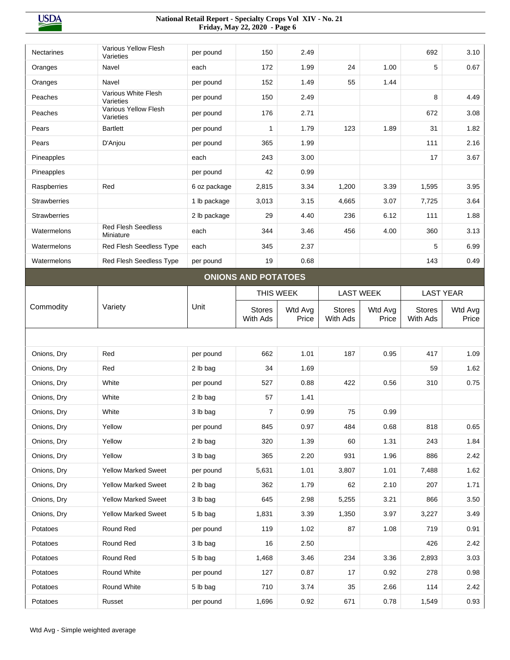| <b>Nectarines</b>   | Various Yellow Flesh<br>Varieties      | per pound    | 150                        | 2.49             |                           |                  | 692                       | 3.10             |
|---------------------|----------------------------------------|--------------|----------------------------|------------------|---------------------------|------------------|---------------------------|------------------|
| Oranges             | Navel                                  | each         | 172                        | 1.99             | 24                        | 1.00             | 5                         | 0.67             |
| Oranges             | Navel                                  | per pound    | 152                        | 1.49             | 55                        | 1.44             |                           |                  |
| Peaches             | Various White Flesh<br>Varieties       | per pound    | 150                        | 2.49             |                           |                  | 8                         | 4.49             |
| Peaches             | Various Yellow Flesh<br>Varieties      | per pound    | 176                        | 2.71             |                           |                  | 672                       | 3.08             |
| Pears               | <b>Bartlett</b>                        | per pound    | 1                          | 1.79             | 123                       | 1.89             | 31                        | 1.82             |
| Pears               | D'Anjou                                | per pound    | 365                        | 1.99             |                           |                  | 111                       | 2.16             |
| Pineapples          |                                        | each         | 243                        | 3.00             |                           |                  | 17                        | 3.67             |
| Pineapples          |                                        | per pound    | 42                         | 0.99             |                           |                  |                           |                  |
| Raspberries         | Red                                    | 6 oz package | 2,815                      | 3.34             | 1,200                     | 3.39             | 1,595                     | 3.95             |
| <b>Strawberries</b> |                                        | 1 lb package | 3,013                      | 3.15             | 4,665                     | 3.07             | 7,725                     | 3.64             |
| <b>Strawberries</b> |                                        | 2 lb package | 29                         | 4.40             | 236                       | 6.12             | 111                       | 1.88             |
| Watermelons         | <b>Red Flesh Seedless</b><br>Miniature | each         | 344                        | 3.46             | 456                       | 4.00             | 360                       | 3.13             |
| Watermelons         | Red Flesh Seedless Type                | each         | 345                        | 2.37             |                           |                  | 5                         | 6.99             |
| Watermelons         | Red Flesh Seedless Type                | per pound    | 19                         | 0.68             |                           |                  | 143                       | 0.49             |
|                     |                                        |              | <b>ONIONS AND POTATOES</b> |                  |                           |                  |                           |                  |
|                     |                                        |              | THIS WEEK                  |                  | <b>LAST WEEK</b>          |                  | <b>LAST YEAR</b>          |                  |
| Commodity           | Variety                                | Unit         | <b>Stores</b><br>With Ads  | Wtd Avg<br>Price | <b>Stores</b><br>With Ads | Wtd Avg<br>Price | <b>Stores</b><br>With Ads | Wtd Avg<br>Price |
|                     |                                        |              |                            |                  |                           |                  |                           |                  |
| Onions, Dry         | Red                                    | per pound    | 662                        | 1.01             | 187                       | 0.95             | 417                       | 1.09             |
| Onions, Dry         | Red                                    | 2 lb bag     | 34                         | 1.69             |                           |                  | 59                        | 1.62             |
| Onions, Dry         | White                                  | per pound    | 527                        | 0.88             | 422                       | 0.56             | 310                       | 0.75             |
| Onions, Dry         | White                                  | 2 lb bag     | 57                         | 1.41             |                           |                  |                           |                  |
| Onions, Dry         | White                                  | 3 lb bag     | 7                          | 0.99             | 75                        | 0.99             |                           |                  |
| Onions, Dry         | Yellow                                 | per pound    | 845                        | 0.97             | 484                       | 0.68             | 818                       | 0.65             |
| Onions, Dry         | Yellow                                 | 2 lb bag     | 320                        | 1.39             | 60                        | 1.31             | 243                       | 1.84             |
| Onions, Dry         | Yellow                                 | 3 lb bag     | 365                        | 2.20             | 931                       | 1.96             | 886                       | 2.42             |
| Onions, Dry         | <b>Yellow Marked Sweet</b>             | per pound    | 5,631                      | 1.01             | 3,807                     | 1.01             | 7,488                     | 1.62             |
| Onions, Dry         | <b>Yellow Marked Sweet</b>             | 2 lb bag     | 362                        | 1.79             | 62                        | 2.10             | 207                       | 1.71             |
| Onions, Dry         | <b>Yellow Marked Sweet</b>             | 3 lb bag     | 645                        | 2.98             | 5,255                     | 3.21             | 866                       | 3.50             |
| Onions, Dry         | <b>Yellow Marked Sweet</b>             | 5 lb bag     | 1,831                      | 3.39             | 1,350                     | 3.97             | 3,227                     | 3.49             |
| Potatoes            | Round Red                              | per pound    | 119                        | 1.02             | 87                        | 1.08             | 719                       | 0.91             |
| Potatoes            | Round Red                              | 3 lb bag     | 16                         | 2.50             |                           |                  | 426                       | 2.42             |
|                     |                                        |              |                            |                  |                           |                  |                           |                  |
| Potatoes            | Round Red                              | 5 lb bag     | 1,468                      | 3.46             | 234                       | 3.36             | 2,893                     | 3.03             |
| Potatoes            | Round White                            | per pound    | 127                        | 0.87             | 17                        | 0.92             | 278                       | 0.98             |
| Potatoes            | Round White                            | 5 lb bag     | 710                        | 3.74             | 35                        | 2.66             | 114                       | 2.42             |
| Potatoes            | Russet                                 | per pound    | 1,696                      | 0.92             | 671                       | 0.78             | 1,549                     | 0.93             |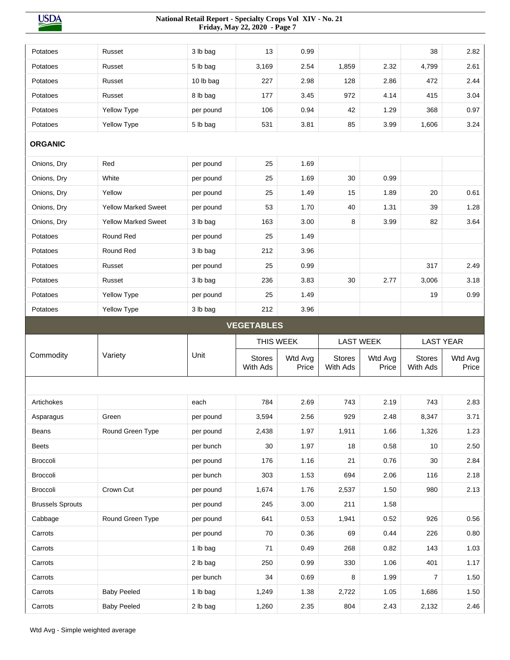**USDA** 

| Potatoes                | Russet                     | 3 lb bag  | 13                        | 0.99             |                           |                  | 38                        | 2.82             |
|-------------------------|----------------------------|-----------|---------------------------|------------------|---------------------------|------------------|---------------------------|------------------|
| Potatoes                | Russet                     | 5 lb bag  | 3,169                     | 2.54             | 1,859                     | 2.32             | 4,799                     | 2.61             |
| Potatoes                | Russet                     | 10 lb bag | 227                       | 2.98             | 128                       | 2.86             | 472                       | 2.44             |
| Potatoes                | Russet                     | 8 lb bag  | 177                       | 3.45             | 972                       | 4.14             | 415                       | 3.04             |
| Potatoes                | Yellow Type                | per pound | 106                       | 0.94             | 42                        | 1.29             | 368                       | 0.97             |
| Potatoes                | Yellow Type                | 5 lb bag  | 531                       | 3.81             | 85                        | 3.99             | 1,606                     | 3.24             |
| <b>ORGANIC</b>          |                            |           |                           |                  |                           |                  |                           |                  |
| Onions, Dry             | Red                        | per pound | 25                        | 1.69             |                           |                  |                           |                  |
| Onions, Dry             | White                      | per pound | 25                        | 1.69             | 30                        | 0.99             |                           |                  |
| Onions, Dry             | Yellow                     | per pound | 25                        | 1.49             | 15                        | 1.89             | 20                        | 0.61             |
| Onions, Dry             | <b>Yellow Marked Sweet</b> | per pound | 53                        | 1.70             | 40                        | 1.31             | 39                        | 1.28             |
| Onions, Dry             | <b>Yellow Marked Sweet</b> | 3 lb bag  | 163                       | 3.00             | 8                         | 3.99             | 82                        | 3.64             |
| Potatoes                | Round Red                  | per pound | 25                        | 1.49             |                           |                  |                           |                  |
| Potatoes                | Round Red                  | 3 lb bag  | 212                       | 3.96             |                           |                  |                           |                  |
| Potatoes                | Russet                     | per pound | 25                        | 0.99             |                           |                  | 317                       | 2.49             |
| Potatoes                | Russet                     | 3 lb bag  | 236                       | 3.83             | 30                        | 2.77             | 3,006                     | 3.18             |
| Potatoes                | Yellow Type                | per pound | 25                        | 1.49             |                           |                  | 19                        | 0.99             |
| Potatoes                | <b>Yellow Type</b>         | 3 lb bag  | 212                       | 3.96             |                           |                  |                           |                  |
|                         |                            |           | <b>VEGETABLES</b>         |                  |                           |                  |                           |                  |
|                         |                            |           | THIS WEEK                 |                  | <b>LAST WEEK</b>          |                  | <b>LAST YEAR</b>          |                  |
| Commodity               | Variety                    | Unit      | <b>Stores</b><br>With Ads | Wtd Avg<br>Price | <b>Stores</b><br>With Ads | Wtd Avg<br>Price | <b>Stores</b><br>With Ads | Wtd Avg<br>Price |
|                         |                            |           |                           |                  |                           |                  |                           |                  |
| Artichokes              |                            | each      | 784                       | 2.69             | 743                       | 2.19             | 743                       | 2.83             |
| Asparagus               | Green                      | per pound | 3,594                     | 2.56             | 929                       | 2.48             | 8,347                     | 3.71             |
| Beans                   | Round Green Type           | per pound | 2,438                     | 1.97             | 1,911                     | 1.66             | 1,326                     | 1.23             |
| <b>Beets</b>            |                            | per bunch | 30                        | 1.97             | 18                        | 0.58             | 10 <sup>1</sup>           | 2.50             |
| Broccoli                |                            | per pound | 176                       | 1.16             | 21                        | 0.76             | 30                        | 2.84             |
| Broccoli                |                            | per bunch | 303                       | 1.53             | 694                       | 2.06             | 116                       | 2.18             |
| Broccoli                | Crown Cut                  | per pound | 1,674                     | 1.76             | 2,537                     | 1.50             | 980                       | 2.13             |
| <b>Brussels Sprouts</b> |                            | per pound | 245                       | 3.00             | 211                       | 1.58             |                           |                  |
| Cabbage                 | Round Green Type           | per pound | 641                       | 0.53             | 1,941                     | 0.52             | 926                       | 0.56             |
| Carrots                 |                            | per pound | 70                        | 0.36             | 69                        | 0.44             | 226                       | 0.80             |
| Carrots                 |                            | 1 lb bag  | 71                        | 0.49             | 268                       | 0.82             | 143                       | 1.03             |
| Carrots                 |                            | 2 lb bag  | 250                       | 0.99             | 330                       | 1.06             | 401                       | 1.17             |
|                         |                            |           |                           |                  |                           |                  |                           |                  |
| Carrots                 |                            | per bunch | 34                        | 0.69             | 8                         | 1.99             | $\overline{7}$            | 1.50             |
| Carrots                 | <b>Baby Peeled</b>         | 1 lb bag  | 1,249                     | 1.38             | 2,722                     | 1.05             | 1,686                     | 1.50             |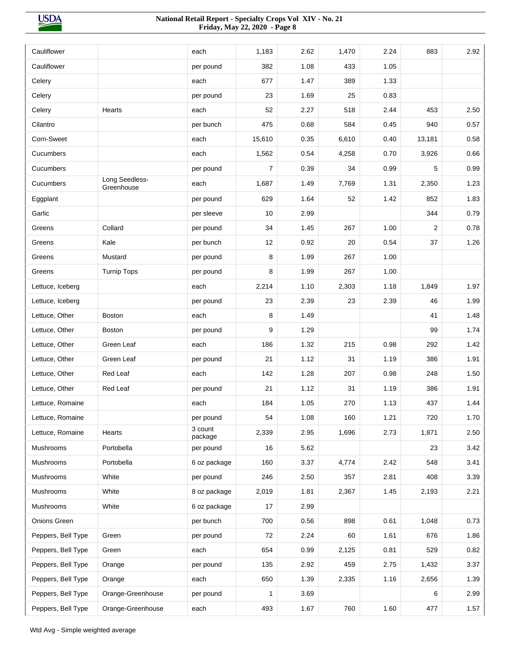| Cauliflower                      |                             | each                 | 1,183          | 2.62 | 1,470 | 2.24 | 883       | 2.92 |
|----------------------------------|-----------------------------|----------------------|----------------|------|-------|------|-----------|------|
| Cauliflower                      |                             | per pound            | 382            | 1.08 | 433   | 1.05 |           |      |
| Celery                           |                             | each                 | 677            | 1.47 | 389   | 1.33 |           |      |
| Celery                           |                             | per pound            | 23             | 1.69 | 25    | 0.83 |           |      |
| Celery                           | Hearts                      | each                 | 52             | 2.27 | 518   | 2.44 | 453       | 2.50 |
| Cilantro                         |                             | per bunch            | 475            | 0.68 | 584   | 0.45 | 940       | 0.57 |
| Corn-Sweet                       |                             | each                 | 15,610         | 0.35 | 6,610 | 0.40 | 13,181    | 0.58 |
| Cucumbers                        |                             | each                 | 1,562          | 0.54 | 4,258 | 0.70 | 3,926     | 0.66 |
| Cucumbers                        |                             | per pound            | $\overline{7}$ | 0.39 | 34    | 0.99 | 5         | 0.99 |
| Cucumbers                        | Long Seedless-              | each                 | 1,687          | 1.49 | 7,769 | 1.31 | 2,350     | 1.23 |
| Eggplant                         | Greenhouse                  | per pound            | 629            | 1.64 | 52    | 1.42 | 852       | 1.83 |
| Garlic                           |                             | per sleeve           | 10             | 2.99 |       |      | 344       | 0.79 |
| Greens                           | Collard                     | per pound            | 34             | 1.45 | 267   | 1.00 | 2         | 0.78 |
| Greens                           | Kale                        | per bunch            | 12             | 0.92 | 20    | 0.54 | 37        | 1.26 |
| Greens                           | Mustard                     | per pound            | 8              | 1.99 | 267   | 1.00 |           |      |
| Greens                           | <b>Turnip Tops</b>          | per pound            | 8              | 1.99 | 267   | 1.00 |           |      |
| Lettuce, Iceberg                 |                             | each                 | 2,214          | 1.10 | 2,303 | 1.18 | 1,849     | 1.97 |
| Lettuce, Iceberg                 |                             | per pound            | 23             | 2.39 | 23    | 2.39 | 46        | 1.99 |
| Lettuce, Other                   | <b>Boston</b>               | each                 | 8              | 1.49 |       |      | 41        | 1.48 |
|                                  |                             |                      | 9              | 1.29 |       |      |           | 1.74 |
| Lettuce, Other<br>Lettuce, Other | <b>Boston</b><br>Green Leaf | per pound            | 186            | 1.32 | 215   | 0.98 | 99<br>292 | 1.42 |
| Lettuce, Other                   | Green Leaf                  | each                 | 21             |      | 31    |      |           |      |
|                                  |                             | per pound            |                | 1.12 |       | 1.19 | 386       | 1.91 |
| Lettuce, Other                   | Red Leaf                    | each                 | 142            | 1.28 | 207   | 0.98 | 248       | 1.50 |
| Lettuce, Other                   | Red Leaf                    | per pound            | 21             | 1.12 | 31    | 1.19 | 386       | 1.91 |
| Lettuce, Romaine                 |                             | each                 | 184            | 1.05 | 270   | 1.13 | 437       | 1.44 |
| Lettuce, Romaine                 |                             | per pound<br>3 count | 54             | 1.08 | 160   | 1.21 | 720       | 1.70 |
| Lettuce, Romaine                 | Hearts                      | package              | 2,339          | 2.95 | 1,696 | 2.73 | 1,871     | 2.50 |
| Mushrooms                        | Portobella                  | per pound            | 16             | 5.62 |       |      | 23        | 3.42 |
| Mushrooms                        | Portobella                  | 6 oz package         | 160            | 3.37 | 4,774 | 2.42 | 548       | 3.41 |
| Mushrooms                        | White                       | per pound            | 246            | 2.50 | 357   | 2.81 | 408       | 3.39 |
| Mushrooms                        | White                       | 8 oz package         | 2,019          | 1.81 | 2,367 | 1.45 | 2,193     | 2.21 |
| Mushrooms                        | White                       | 6 oz package         | 17             | 2.99 |       |      |           |      |
| Onions Green                     |                             | per bunch            | 700            | 0.56 | 898   | 0.61 | 1,048     | 0.73 |
| Peppers, Bell Type               | Green                       | per pound            | 72             | 2.24 | 60    | 1.61 | 676       | 1.86 |
| Peppers, Bell Type               | Green                       | each                 | 654            | 0.99 | 2,125 | 0.81 | 529       | 0.82 |
| Peppers, Bell Type               | Orange                      | per pound            | 135            | 2.92 | 459   | 2.75 | 1,432     | 3.37 |
| Peppers, Bell Type               | Orange                      | each                 | 650            | 1.39 | 2,335 | 1.16 | 2,656     | 1.39 |
| Peppers, Bell Type               | Orange-Greenhouse           | per pound            | 1              | 3.69 |       |      | 6         | 2.99 |
| Peppers, Bell Type               | Orange-Greenhouse           | each                 | 493            | 1.67 | 760   | 1.60 | 477       | 1.57 |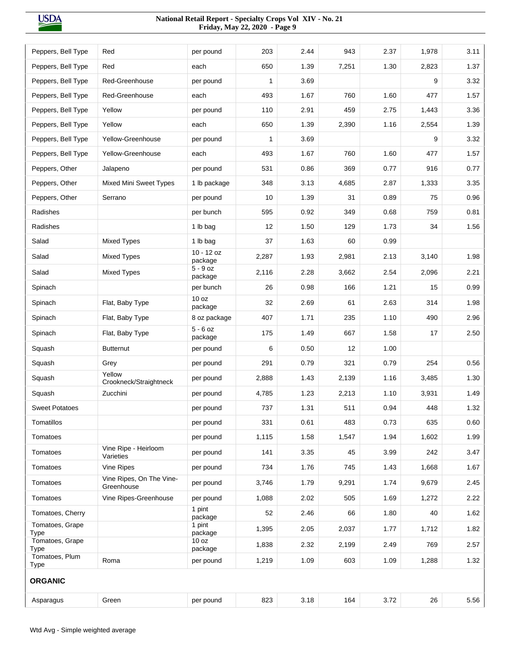**USDA** 

| Peppers, Bell Type             | Red                                    | per pound               | 203   | 2.44 | 943   | 2.37 | 1,978 | 3.11 |
|--------------------------------|----------------------------------------|-------------------------|-------|------|-------|------|-------|------|
|                                |                                        |                         | 650   |      |       |      |       |      |
| Peppers, Bell Type             | Red                                    | each                    |       | 1.39 | 7,251 | 1.30 | 2,823 | 1.37 |
| Peppers, Bell Type             | Red-Greenhouse                         | per pound               | 1     | 3.69 |       |      | 9     | 3.32 |
| Peppers, Bell Type             | Red-Greenhouse                         | each                    | 493   | 1.67 | 760   | 1.60 | 477   | 1.57 |
| Peppers, Bell Type             | Yellow                                 | per pound               | 110   | 2.91 | 459   | 2.75 | 1,443 | 3.36 |
| Peppers, Bell Type             | Yellow                                 | each                    | 650   | 1.39 | 2,390 | 1.16 | 2,554 | 1.39 |
| Peppers, Bell Type             | Yellow-Greenhouse                      | per pound               | 1     | 3.69 |       |      | 9     | 3.32 |
| Peppers, Bell Type             | Yellow-Greenhouse                      | each                    | 493   | 1.67 | 760   | 1.60 | 477   | 1.57 |
| Peppers, Other                 | Jalapeno                               | per pound               | 531   | 0.86 | 369   | 0.77 | 916   | 0.77 |
| Peppers, Other                 | <b>Mixed Mini Sweet Types</b>          | 1 lb package            | 348   | 3.13 | 4,685 | 2.87 | 1,333 | 3.35 |
| Peppers, Other                 | Serrano                                | per pound               | 10    | 1.39 | 31    | 0.89 | 75    | 0.96 |
| Radishes                       |                                        | per bunch               | 595   | 0.92 | 349   | 0.68 | 759   | 0.81 |
| Radishes                       |                                        | 1 lb bag                | 12    | 1.50 | 129   | 1.73 | 34    | 1.56 |
| Salad                          | <b>Mixed Types</b>                     | 1 lb bag                | 37    | 1.63 | 60    | 0.99 |       |      |
| Salad                          | <b>Mixed Types</b>                     | $10 - 12$ oz<br>package | 2,287 | 1.93 | 2,981 | 2.13 | 3,140 | 1.98 |
| Salad                          | <b>Mixed Types</b>                     | $5 - 9$ oz<br>package   | 2,116 | 2.28 | 3,662 | 2.54 | 2,096 | 2.21 |
| Spinach                        |                                        | per bunch               | 26    | 0.98 | 166   | 1.21 | 15    | 0.99 |
| Spinach                        | Flat, Baby Type                        | 10 oz<br>package        | 32    | 2.69 | 61    | 2.63 | 314   | 1.98 |
| Spinach                        | Flat, Baby Type                        | 8 oz package            | 407   | 1.71 | 235   | 1.10 | 490   | 2.96 |
| Spinach                        | Flat, Baby Type                        | $5 - 6$ oz<br>package   | 175   | 1.49 | 667   | 1.58 | 17    | 2.50 |
| Squash                         | <b>Butternut</b>                       | per pound               | 6     | 0.50 | 12    | 1.00 |       |      |
| Squash                         | Grey                                   | per pound               | 291   | 0.79 | 321   | 0.79 | 254   | 0.56 |
| Squash                         | Yellow<br>Crookneck/Straightneck       | per pound               | 2,888 | 1.43 | 2,139 | 1.16 | 3,485 | 1.30 |
| Squash                         | Zucchini                               | per pound               | 4,785 | 1.23 | 2,213 | 1.10 | 3,931 | 1.49 |
| <b>Sweet Potatoes</b>          |                                        | per pound               | 737   | 1.31 | 511   | 0.94 | 448   | 1.32 |
| Tomatillos                     |                                        | per pound               | 331   | 0.61 | 483   | 0.73 | 635   | 0.60 |
| Tomatoes                       |                                        | per pound               | 1,115 | 1.58 | 1,547 | 1.94 | 1,602 | 1.99 |
| Tomatoes                       | Vine Ripe - Heirloom<br>Varieties      | per pound               | 141   | 3.35 | 45    | 3.99 | 242   | 3.47 |
| Tomatoes                       | Vine Ripes                             | per pound               | 734   | 1.76 | 745   | 1.43 | 1,668 | 1.67 |
| Tomatoes                       | Vine Ripes, On The Vine-<br>Greenhouse | per pound               | 3,746 | 1.79 | 9,291 | 1.74 | 9,679 | 2.45 |
| Tomatoes                       | Vine Ripes-Greenhouse                  | per pound               | 1,088 | 2.02 | 505   | 1.69 | 1,272 | 2.22 |
| Tomatoes, Cherry               |                                        | 1 pint<br>package       | 52    | 2.46 | 66    | 1.80 | 40    | 1.62 |
| Tomatoes, Grape<br><b>Type</b> |                                        | 1 pint<br>package       | 1,395 | 2.05 | 2,037 | 1.77 | 1,712 | 1.82 |
| Tomatoes, Grape<br>Type        |                                        | 10 oz<br>package        | 1,838 | 2.32 | 2,199 | 2.49 | 769   | 2.57 |
| Tomatoes, Plum<br>Type         | Roma                                   | per pound               | 1,219 | 1.09 | 603   | 1.09 | 1,288 | 1.32 |
| <b>ORGANIC</b>                 |                                        |                         |       |      |       |      |       |      |
| Asparagus                      | Green                                  | per pound               | 823   | 3.18 | 164   | 3.72 | 26    | 5.56 |
|                                |                                        |                         |       |      |       |      |       |      |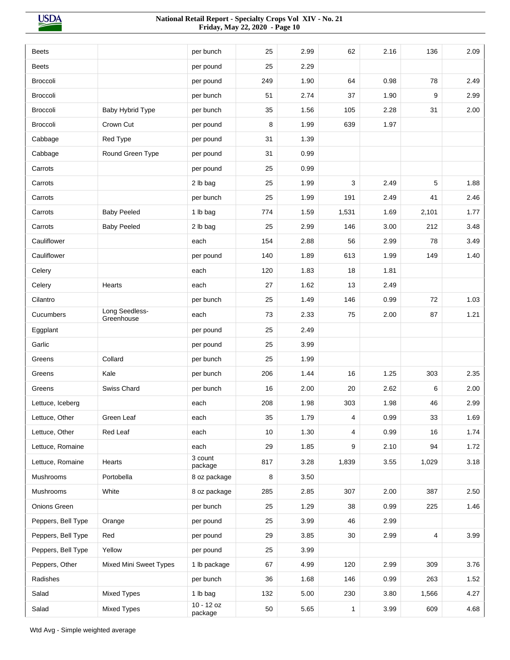| 25<br>2.29<br><b>Beets</b><br>per pound<br>249<br>1.90<br>64<br>0.98<br>78<br>2.49<br><b>Broccoli</b><br>per pound<br>51<br>2.74<br>37<br>1.90<br>9<br>2.99<br><b>Broccoli</b><br>per bunch<br><b>Broccoli</b><br>35<br>105<br>2.28<br>2.00<br>Baby Hybrid Type<br>per bunch<br>1.56<br>31<br>Broccoli<br>Crown Cut<br>8<br>1.99<br>639<br>1.97<br>per pound<br>Red Type<br>31<br>1.39<br>Cabbage<br>per pound<br>Round Green Type<br>31<br>Cabbage<br>0.99<br>per pound<br>25<br>0.99<br>Carrots<br>per pound<br>1.99<br>3<br>2.49<br>5<br>1.88<br>Carrots<br>2 lb bag<br>25<br>25<br>191<br>Carrots<br>per bunch<br>1.99<br>2.49<br>41<br>2.46<br><b>Baby Peeled</b><br>1.69<br>1 lb bag<br>774<br>1.59<br>1,531<br>2,101<br>1.77<br>Carrots<br><b>Baby Peeled</b><br>25<br>146<br>3.00<br>212<br>Carrots<br>2 lb bag<br>2.99<br>3.48<br>Cauliflower<br>56<br>2.99<br>3.49<br>each<br>154<br>2.88<br>78<br>Cauliflower<br>1.99<br>140<br>1.89<br>613<br>149<br>1.40<br>per pound<br>120<br>1.83<br>18<br>1.81<br>Celery<br>each<br>27<br>1.62<br>13<br>2.49<br>Celery<br>Hearts<br>each<br>Cilantro<br>25<br>146<br>0.99<br>72<br>1.03<br>per bunch<br>1.49<br>Long Seedless-<br>Cucumbers<br>2.00<br>1.21<br>each<br>73<br>2.33<br>75<br>87<br>Greenhouse<br>25<br>2.49<br>Eggplant<br>per pound<br>Garlic<br>25<br>3.99<br>per pound<br>Collard<br>25<br>1.99<br>Greens<br>per bunch<br>1.25<br>Greens<br>Kale<br>per bunch<br>206<br>1.44<br>16<br>303<br>2.35<br>Swiss Chard<br>16<br>2.00<br>2.62<br>Greens<br>per bunch<br>20<br>6<br>2.00<br>208<br>1.98<br>1.98<br>2.99<br>Lettuce, Iceberg<br>each<br>303<br>46<br>Lettuce, Other<br>Green Leaf<br>35<br>1.79<br>4<br>0.99<br>33<br>1.69<br>each<br>Lettuce, Other<br>Red Leaf<br>10<br>1.30<br>0.99<br>1.74<br>each<br>4<br>16<br>Lettuce, Romaine<br>29<br>1.85<br>each<br>9<br>2.10<br>94<br>1.72<br>3 count<br>Lettuce, Romaine<br>Hearts<br>817<br>1,839<br>3.55<br>1,029<br>3.18<br>3.28<br>package<br>8<br>Mushrooms<br>Portobella<br>8 oz package<br>3.50<br>White<br>285<br>307<br>2.00<br>387<br>2.50<br>Mushrooms<br>8 oz package<br>2.85<br>Onions Green<br>25<br>1.29<br>38<br>0.99<br>1.46<br>per bunch<br>225<br>Peppers, Bell Type<br>25<br>3.99<br>2.99<br>Orange<br>per pound<br>46<br>Peppers, Bell Type<br>29<br>2.99<br>4<br>3.99<br>Red<br>3.85<br>30<br>per pound<br>Peppers, Bell Type<br>3.99<br>Yellow<br>per pound<br>25<br>Peppers, Other<br><b>Mixed Mini Sweet Types</b><br>120<br>3.76<br>1 lb package<br>67<br>4.99<br>2.99<br>309<br>Radishes<br>per bunch<br>36<br>1.68<br>146<br>0.99<br>263<br>1.52<br><b>Mixed Types</b><br>Salad<br>1 lb bag<br>132<br>5.00<br>230<br>3.80<br>1,566<br>4.27<br>10 - 12 oz<br>Salad<br><b>Mixed Types</b><br>50<br>3.99<br>4.68<br>5.65<br>1<br>609<br>package | <b>Beets</b> | per bunch | 25 | 2.99 | 62 | 2.16 | 136 | 2.09 |
|------------------------------------------------------------------------------------------------------------------------------------------------------------------------------------------------------------------------------------------------------------------------------------------------------------------------------------------------------------------------------------------------------------------------------------------------------------------------------------------------------------------------------------------------------------------------------------------------------------------------------------------------------------------------------------------------------------------------------------------------------------------------------------------------------------------------------------------------------------------------------------------------------------------------------------------------------------------------------------------------------------------------------------------------------------------------------------------------------------------------------------------------------------------------------------------------------------------------------------------------------------------------------------------------------------------------------------------------------------------------------------------------------------------------------------------------------------------------------------------------------------------------------------------------------------------------------------------------------------------------------------------------------------------------------------------------------------------------------------------------------------------------------------------------------------------------------------------------------------------------------------------------------------------------------------------------------------------------------------------------------------------------------------------------------------------------------------------------------------------------------------------------------------------------------------------------------------------------------------------------------------------------------------------------------------------------------------------------------------------------------------------------------------------------------------------------------------------------------------------------------------------------------------------------------------------------------------------------------------------------------------------------------------------------------------------------------------------------------------------------------------------------------------------------|--------------|-----------|----|------|----|------|-----|------|
|                                                                                                                                                                                                                                                                                                                                                                                                                                                                                                                                                                                                                                                                                                                                                                                                                                                                                                                                                                                                                                                                                                                                                                                                                                                                                                                                                                                                                                                                                                                                                                                                                                                                                                                                                                                                                                                                                                                                                                                                                                                                                                                                                                                                                                                                                                                                                                                                                                                                                                                                                                                                                                                                                                                                                                                                |              |           |    |      |    |      |     |      |
|                                                                                                                                                                                                                                                                                                                                                                                                                                                                                                                                                                                                                                                                                                                                                                                                                                                                                                                                                                                                                                                                                                                                                                                                                                                                                                                                                                                                                                                                                                                                                                                                                                                                                                                                                                                                                                                                                                                                                                                                                                                                                                                                                                                                                                                                                                                                                                                                                                                                                                                                                                                                                                                                                                                                                                                                |              |           |    |      |    |      |     |      |
|                                                                                                                                                                                                                                                                                                                                                                                                                                                                                                                                                                                                                                                                                                                                                                                                                                                                                                                                                                                                                                                                                                                                                                                                                                                                                                                                                                                                                                                                                                                                                                                                                                                                                                                                                                                                                                                                                                                                                                                                                                                                                                                                                                                                                                                                                                                                                                                                                                                                                                                                                                                                                                                                                                                                                                                                |              |           |    |      |    |      |     |      |
|                                                                                                                                                                                                                                                                                                                                                                                                                                                                                                                                                                                                                                                                                                                                                                                                                                                                                                                                                                                                                                                                                                                                                                                                                                                                                                                                                                                                                                                                                                                                                                                                                                                                                                                                                                                                                                                                                                                                                                                                                                                                                                                                                                                                                                                                                                                                                                                                                                                                                                                                                                                                                                                                                                                                                                                                |              |           |    |      |    |      |     |      |
|                                                                                                                                                                                                                                                                                                                                                                                                                                                                                                                                                                                                                                                                                                                                                                                                                                                                                                                                                                                                                                                                                                                                                                                                                                                                                                                                                                                                                                                                                                                                                                                                                                                                                                                                                                                                                                                                                                                                                                                                                                                                                                                                                                                                                                                                                                                                                                                                                                                                                                                                                                                                                                                                                                                                                                                                |              |           |    |      |    |      |     |      |
|                                                                                                                                                                                                                                                                                                                                                                                                                                                                                                                                                                                                                                                                                                                                                                                                                                                                                                                                                                                                                                                                                                                                                                                                                                                                                                                                                                                                                                                                                                                                                                                                                                                                                                                                                                                                                                                                                                                                                                                                                                                                                                                                                                                                                                                                                                                                                                                                                                                                                                                                                                                                                                                                                                                                                                                                |              |           |    |      |    |      |     |      |
|                                                                                                                                                                                                                                                                                                                                                                                                                                                                                                                                                                                                                                                                                                                                                                                                                                                                                                                                                                                                                                                                                                                                                                                                                                                                                                                                                                                                                                                                                                                                                                                                                                                                                                                                                                                                                                                                                                                                                                                                                                                                                                                                                                                                                                                                                                                                                                                                                                                                                                                                                                                                                                                                                                                                                                                                |              |           |    |      |    |      |     |      |
|                                                                                                                                                                                                                                                                                                                                                                                                                                                                                                                                                                                                                                                                                                                                                                                                                                                                                                                                                                                                                                                                                                                                                                                                                                                                                                                                                                                                                                                                                                                                                                                                                                                                                                                                                                                                                                                                                                                                                                                                                                                                                                                                                                                                                                                                                                                                                                                                                                                                                                                                                                                                                                                                                                                                                                                                |              |           |    |      |    |      |     |      |
|                                                                                                                                                                                                                                                                                                                                                                                                                                                                                                                                                                                                                                                                                                                                                                                                                                                                                                                                                                                                                                                                                                                                                                                                                                                                                                                                                                                                                                                                                                                                                                                                                                                                                                                                                                                                                                                                                                                                                                                                                                                                                                                                                                                                                                                                                                                                                                                                                                                                                                                                                                                                                                                                                                                                                                                                |              |           |    |      |    |      |     |      |
|                                                                                                                                                                                                                                                                                                                                                                                                                                                                                                                                                                                                                                                                                                                                                                                                                                                                                                                                                                                                                                                                                                                                                                                                                                                                                                                                                                                                                                                                                                                                                                                                                                                                                                                                                                                                                                                                                                                                                                                                                                                                                                                                                                                                                                                                                                                                                                                                                                                                                                                                                                                                                                                                                                                                                                                                |              |           |    |      |    |      |     |      |
|                                                                                                                                                                                                                                                                                                                                                                                                                                                                                                                                                                                                                                                                                                                                                                                                                                                                                                                                                                                                                                                                                                                                                                                                                                                                                                                                                                                                                                                                                                                                                                                                                                                                                                                                                                                                                                                                                                                                                                                                                                                                                                                                                                                                                                                                                                                                                                                                                                                                                                                                                                                                                                                                                                                                                                                                |              |           |    |      |    |      |     |      |
|                                                                                                                                                                                                                                                                                                                                                                                                                                                                                                                                                                                                                                                                                                                                                                                                                                                                                                                                                                                                                                                                                                                                                                                                                                                                                                                                                                                                                                                                                                                                                                                                                                                                                                                                                                                                                                                                                                                                                                                                                                                                                                                                                                                                                                                                                                                                                                                                                                                                                                                                                                                                                                                                                                                                                                                                |              |           |    |      |    |      |     |      |
|                                                                                                                                                                                                                                                                                                                                                                                                                                                                                                                                                                                                                                                                                                                                                                                                                                                                                                                                                                                                                                                                                                                                                                                                                                                                                                                                                                                                                                                                                                                                                                                                                                                                                                                                                                                                                                                                                                                                                                                                                                                                                                                                                                                                                                                                                                                                                                                                                                                                                                                                                                                                                                                                                                                                                                                                |              |           |    |      |    |      |     |      |
|                                                                                                                                                                                                                                                                                                                                                                                                                                                                                                                                                                                                                                                                                                                                                                                                                                                                                                                                                                                                                                                                                                                                                                                                                                                                                                                                                                                                                                                                                                                                                                                                                                                                                                                                                                                                                                                                                                                                                                                                                                                                                                                                                                                                                                                                                                                                                                                                                                                                                                                                                                                                                                                                                                                                                                                                |              |           |    |      |    |      |     |      |
|                                                                                                                                                                                                                                                                                                                                                                                                                                                                                                                                                                                                                                                                                                                                                                                                                                                                                                                                                                                                                                                                                                                                                                                                                                                                                                                                                                                                                                                                                                                                                                                                                                                                                                                                                                                                                                                                                                                                                                                                                                                                                                                                                                                                                                                                                                                                                                                                                                                                                                                                                                                                                                                                                                                                                                                                |              |           |    |      |    |      |     |      |
|                                                                                                                                                                                                                                                                                                                                                                                                                                                                                                                                                                                                                                                                                                                                                                                                                                                                                                                                                                                                                                                                                                                                                                                                                                                                                                                                                                                                                                                                                                                                                                                                                                                                                                                                                                                                                                                                                                                                                                                                                                                                                                                                                                                                                                                                                                                                                                                                                                                                                                                                                                                                                                                                                                                                                                                                |              |           |    |      |    |      |     |      |
|                                                                                                                                                                                                                                                                                                                                                                                                                                                                                                                                                                                                                                                                                                                                                                                                                                                                                                                                                                                                                                                                                                                                                                                                                                                                                                                                                                                                                                                                                                                                                                                                                                                                                                                                                                                                                                                                                                                                                                                                                                                                                                                                                                                                                                                                                                                                                                                                                                                                                                                                                                                                                                                                                                                                                                                                |              |           |    |      |    |      |     |      |
|                                                                                                                                                                                                                                                                                                                                                                                                                                                                                                                                                                                                                                                                                                                                                                                                                                                                                                                                                                                                                                                                                                                                                                                                                                                                                                                                                                                                                                                                                                                                                                                                                                                                                                                                                                                                                                                                                                                                                                                                                                                                                                                                                                                                                                                                                                                                                                                                                                                                                                                                                                                                                                                                                                                                                                                                |              |           |    |      |    |      |     |      |
|                                                                                                                                                                                                                                                                                                                                                                                                                                                                                                                                                                                                                                                                                                                                                                                                                                                                                                                                                                                                                                                                                                                                                                                                                                                                                                                                                                                                                                                                                                                                                                                                                                                                                                                                                                                                                                                                                                                                                                                                                                                                                                                                                                                                                                                                                                                                                                                                                                                                                                                                                                                                                                                                                                                                                                                                |              |           |    |      |    |      |     |      |
|                                                                                                                                                                                                                                                                                                                                                                                                                                                                                                                                                                                                                                                                                                                                                                                                                                                                                                                                                                                                                                                                                                                                                                                                                                                                                                                                                                                                                                                                                                                                                                                                                                                                                                                                                                                                                                                                                                                                                                                                                                                                                                                                                                                                                                                                                                                                                                                                                                                                                                                                                                                                                                                                                                                                                                                                |              |           |    |      |    |      |     |      |
|                                                                                                                                                                                                                                                                                                                                                                                                                                                                                                                                                                                                                                                                                                                                                                                                                                                                                                                                                                                                                                                                                                                                                                                                                                                                                                                                                                                                                                                                                                                                                                                                                                                                                                                                                                                                                                                                                                                                                                                                                                                                                                                                                                                                                                                                                                                                                                                                                                                                                                                                                                                                                                                                                                                                                                                                |              |           |    |      |    |      |     |      |
|                                                                                                                                                                                                                                                                                                                                                                                                                                                                                                                                                                                                                                                                                                                                                                                                                                                                                                                                                                                                                                                                                                                                                                                                                                                                                                                                                                                                                                                                                                                                                                                                                                                                                                                                                                                                                                                                                                                                                                                                                                                                                                                                                                                                                                                                                                                                                                                                                                                                                                                                                                                                                                                                                                                                                                                                |              |           |    |      |    |      |     |      |
|                                                                                                                                                                                                                                                                                                                                                                                                                                                                                                                                                                                                                                                                                                                                                                                                                                                                                                                                                                                                                                                                                                                                                                                                                                                                                                                                                                                                                                                                                                                                                                                                                                                                                                                                                                                                                                                                                                                                                                                                                                                                                                                                                                                                                                                                                                                                                                                                                                                                                                                                                                                                                                                                                                                                                                                                |              |           |    |      |    |      |     |      |
|                                                                                                                                                                                                                                                                                                                                                                                                                                                                                                                                                                                                                                                                                                                                                                                                                                                                                                                                                                                                                                                                                                                                                                                                                                                                                                                                                                                                                                                                                                                                                                                                                                                                                                                                                                                                                                                                                                                                                                                                                                                                                                                                                                                                                                                                                                                                                                                                                                                                                                                                                                                                                                                                                                                                                                                                |              |           |    |      |    |      |     |      |
|                                                                                                                                                                                                                                                                                                                                                                                                                                                                                                                                                                                                                                                                                                                                                                                                                                                                                                                                                                                                                                                                                                                                                                                                                                                                                                                                                                                                                                                                                                                                                                                                                                                                                                                                                                                                                                                                                                                                                                                                                                                                                                                                                                                                                                                                                                                                                                                                                                                                                                                                                                                                                                                                                                                                                                                                |              |           |    |      |    |      |     |      |
|                                                                                                                                                                                                                                                                                                                                                                                                                                                                                                                                                                                                                                                                                                                                                                                                                                                                                                                                                                                                                                                                                                                                                                                                                                                                                                                                                                                                                                                                                                                                                                                                                                                                                                                                                                                                                                                                                                                                                                                                                                                                                                                                                                                                                                                                                                                                                                                                                                                                                                                                                                                                                                                                                                                                                                                                |              |           |    |      |    |      |     |      |
|                                                                                                                                                                                                                                                                                                                                                                                                                                                                                                                                                                                                                                                                                                                                                                                                                                                                                                                                                                                                                                                                                                                                                                                                                                                                                                                                                                                                                                                                                                                                                                                                                                                                                                                                                                                                                                                                                                                                                                                                                                                                                                                                                                                                                                                                                                                                                                                                                                                                                                                                                                                                                                                                                                                                                                                                |              |           |    |      |    |      |     |      |
|                                                                                                                                                                                                                                                                                                                                                                                                                                                                                                                                                                                                                                                                                                                                                                                                                                                                                                                                                                                                                                                                                                                                                                                                                                                                                                                                                                                                                                                                                                                                                                                                                                                                                                                                                                                                                                                                                                                                                                                                                                                                                                                                                                                                                                                                                                                                                                                                                                                                                                                                                                                                                                                                                                                                                                                                |              |           |    |      |    |      |     |      |
|                                                                                                                                                                                                                                                                                                                                                                                                                                                                                                                                                                                                                                                                                                                                                                                                                                                                                                                                                                                                                                                                                                                                                                                                                                                                                                                                                                                                                                                                                                                                                                                                                                                                                                                                                                                                                                                                                                                                                                                                                                                                                                                                                                                                                                                                                                                                                                                                                                                                                                                                                                                                                                                                                                                                                                                                |              |           |    |      |    |      |     |      |
|                                                                                                                                                                                                                                                                                                                                                                                                                                                                                                                                                                                                                                                                                                                                                                                                                                                                                                                                                                                                                                                                                                                                                                                                                                                                                                                                                                                                                                                                                                                                                                                                                                                                                                                                                                                                                                                                                                                                                                                                                                                                                                                                                                                                                                                                                                                                                                                                                                                                                                                                                                                                                                                                                                                                                                                                |              |           |    |      |    |      |     |      |
|                                                                                                                                                                                                                                                                                                                                                                                                                                                                                                                                                                                                                                                                                                                                                                                                                                                                                                                                                                                                                                                                                                                                                                                                                                                                                                                                                                                                                                                                                                                                                                                                                                                                                                                                                                                                                                                                                                                                                                                                                                                                                                                                                                                                                                                                                                                                                                                                                                                                                                                                                                                                                                                                                                                                                                                                |              |           |    |      |    |      |     |      |
|                                                                                                                                                                                                                                                                                                                                                                                                                                                                                                                                                                                                                                                                                                                                                                                                                                                                                                                                                                                                                                                                                                                                                                                                                                                                                                                                                                                                                                                                                                                                                                                                                                                                                                                                                                                                                                                                                                                                                                                                                                                                                                                                                                                                                                                                                                                                                                                                                                                                                                                                                                                                                                                                                                                                                                                                |              |           |    |      |    |      |     |      |
|                                                                                                                                                                                                                                                                                                                                                                                                                                                                                                                                                                                                                                                                                                                                                                                                                                                                                                                                                                                                                                                                                                                                                                                                                                                                                                                                                                                                                                                                                                                                                                                                                                                                                                                                                                                                                                                                                                                                                                                                                                                                                                                                                                                                                                                                                                                                                                                                                                                                                                                                                                                                                                                                                                                                                                                                |              |           |    |      |    |      |     |      |
|                                                                                                                                                                                                                                                                                                                                                                                                                                                                                                                                                                                                                                                                                                                                                                                                                                                                                                                                                                                                                                                                                                                                                                                                                                                                                                                                                                                                                                                                                                                                                                                                                                                                                                                                                                                                                                                                                                                                                                                                                                                                                                                                                                                                                                                                                                                                                                                                                                                                                                                                                                                                                                                                                                                                                                                                |              |           |    |      |    |      |     |      |
|                                                                                                                                                                                                                                                                                                                                                                                                                                                                                                                                                                                                                                                                                                                                                                                                                                                                                                                                                                                                                                                                                                                                                                                                                                                                                                                                                                                                                                                                                                                                                                                                                                                                                                                                                                                                                                                                                                                                                                                                                                                                                                                                                                                                                                                                                                                                                                                                                                                                                                                                                                                                                                                                                                                                                                                                |              |           |    |      |    |      |     |      |
|                                                                                                                                                                                                                                                                                                                                                                                                                                                                                                                                                                                                                                                                                                                                                                                                                                                                                                                                                                                                                                                                                                                                                                                                                                                                                                                                                                                                                                                                                                                                                                                                                                                                                                                                                                                                                                                                                                                                                                                                                                                                                                                                                                                                                                                                                                                                                                                                                                                                                                                                                                                                                                                                                                                                                                                                |              |           |    |      |    |      |     |      |
|                                                                                                                                                                                                                                                                                                                                                                                                                                                                                                                                                                                                                                                                                                                                                                                                                                                                                                                                                                                                                                                                                                                                                                                                                                                                                                                                                                                                                                                                                                                                                                                                                                                                                                                                                                                                                                                                                                                                                                                                                                                                                                                                                                                                                                                                                                                                                                                                                                                                                                                                                                                                                                                                                                                                                                                                |              |           |    |      |    |      |     |      |
|                                                                                                                                                                                                                                                                                                                                                                                                                                                                                                                                                                                                                                                                                                                                                                                                                                                                                                                                                                                                                                                                                                                                                                                                                                                                                                                                                                                                                                                                                                                                                                                                                                                                                                                                                                                                                                                                                                                                                                                                                                                                                                                                                                                                                                                                                                                                                                                                                                                                                                                                                                                                                                                                                                                                                                                                |              |           |    |      |    |      |     |      |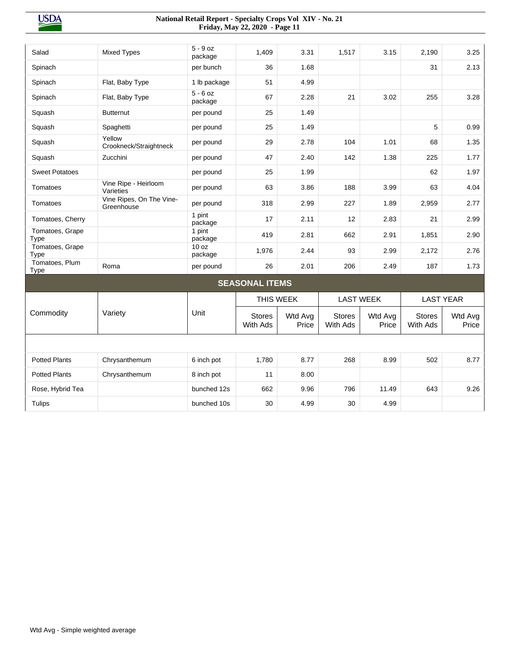| Salad                         | <b>Mixed Types</b>                     | $5 - 9$ oz<br>package | 1,409                     | 3.31             | 1,517                     | 3.15             | 2,190                     | 3.25             |
|-------------------------------|----------------------------------------|-----------------------|---------------------------|------------------|---------------------------|------------------|---------------------------|------------------|
| Spinach                       |                                        | per bunch             | 36                        | 1.68             |                           |                  | 31                        | 2.13             |
| Spinach                       | Flat, Baby Type                        | 1 lb package          | 51                        | 4.99             |                           |                  |                           |                  |
| Spinach                       | Flat, Baby Type                        | $5 - 6$ oz<br>package | 67                        | 2.28             | 21                        | 3.02             | 255                       | 3.28             |
| Squash                        | <b>Butternut</b>                       | per pound             | 25                        | 1.49             |                           |                  |                           |                  |
| Squash                        | Spaghetti                              | per pound             | 25                        | 1.49             |                           |                  | 5                         | 0.99             |
| Squash                        | Yellow<br>Crookneck/Straightneck       | per pound             | 29                        | 2.78             | 104                       | 1.01             | 68                        | 1.35             |
| Squash                        | Zucchini                               | per pound             | 47                        | 2.40             | 142                       | 1.38             | 225                       | 1.77             |
| <b>Sweet Potatoes</b>         |                                        | per pound             | 25                        | 1.99             |                           |                  | 62                        | 1.97             |
| Tomatoes                      | Vine Ripe - Heirloom<br>Varieties      | per pound             | 63                        | 3.86             | 188                       | 3.99             | 63                        | 4.04             |
| Tomatoes                      | Vine Ripes, On The Vine-<br>Greenhouse | per pound             | 318                       | 2.99             | 227                       | 1.89             | 2,959                     | 2.77             |
| Tomatoes, Cherry              |                                        | 1 pint<br>package     | 17                        | 2.11             | 12 <sup>2</sup>           | 2.83             | 21                        | 2.99             |
| Tomatoes, Grape<br>Type       |                                        | 1 pint<br>package     | 419                       | 2.81             | 662                       | 2.91             | 1,851                     | 2.90             |
| Tomatoes, Grape<br>Type       |                                        | 10 oz<br>package      | 1,976                     | 2.44             | 93                        | 2.99             | 2,172                     | 2.76             |
| Tomatoes, Plum<br><b>Type</b> | Roma                                   | per pound             | 26                        | 2.01             | 206                       | 2.49             | 187                       | 1.73             |
|                               |                                        |                       | <b>SEASONAL ITEMS</b>     |                  |                           |                  |                           |                  |
|                               |                                        |                       |                           | THIS WEEK        | <b>LAST WEEK</b>          |                  |                           | <b>LAST YEAR</b> |
| Commodity                     | Variety                                | Unit                  | <b>Stores</b><br>With Ads | Wtd Avg<br>Price | <b>Stores</b><br>With Ads | Wtd Avg<br>Price | <b>Stores</b><br>With Ads | Wtd Avg<br>Price |
|                               |                                        |                       |                           |                  |                           |                  |                           |                  |
| <b>Potted Plants</b>          | Chrysanthemum                          | 6 inch pot            | 1,780                     | 8.77             | 268                       | 8.99             | 502                       | 8.77             |
| <b>Potted Plants</b>          | Chrysanthemum                          | 8 inch pot            | 11                        | 8.00             |                           |                  |                           |                  |
| Rose, Hybrid Tea              |                                        | bunched 12s           | 662                       | 9.96             | 796                       | 11.49            | 643                       | 9.26             |
| <b>Tulips</b>                 |                                        | bunched 10s           | 30                        | 4.99             | 30                        | 4.99             |                           |                  |
|                               |                                        |                       |                           |                  |                           |                  |                           |                  |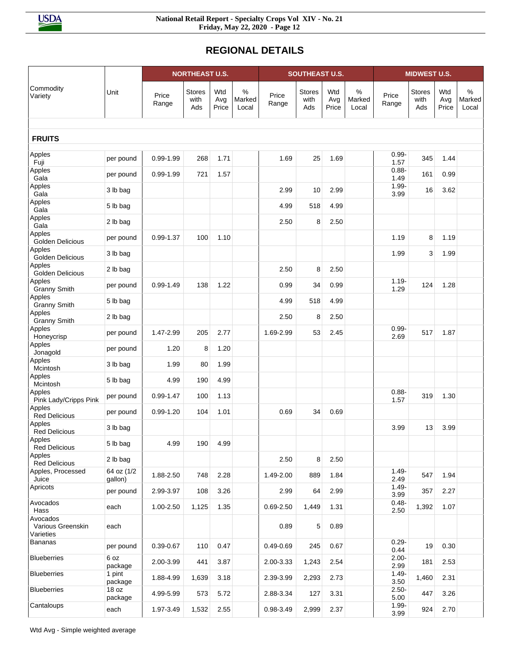## **REGIONAL DETAILS**

|                                            |                       | <b>NORTHEAST U.S.</b> |                       |                     |                      | <b>SOUTHEAST U.S.</b> |                              |                     |                         | <b>MIDWEST U.S.</b> |                       |                     |                         |
|--------------------------------------------|-----------------------|-----------------------|-----------------------|---------------------|----------------------|-----------------------|------------------------------|---------------------|-------------------------|---------------------|-----------------------|---------------------|-------------------------|
| Commodity<br>Variety                       | Unit                  | Price<br>Range        | Stores<br>with<br>Ads | Wtd<br>Avg<br>Price | %<br>Marked<br>Local | Price<br>Range        | <b>Stores</b><br>with<br>Ads | Wtd<br>Avg<br>Price | $\%$<br>Marked<br>Local | Price<br>Range      | Stores<br>with<br>Ads | Wtd<br>Avg<br>Price | $\%$<br>Marked<br>Local |
| <b>FRUITS</b>                              |                       |                       |                       |                     |                      |                       |                              |                     |                         |                     |                       |                     |                         |
| Apples<br>Fuji                             | per pound             | $0.99 - 1.99$         | 268                   | 1.71                |                      | 1.69                  | 25                           | 1.69                |                         | $0.99 -$<br>1.57    | 345                   | 1.44                |                         |
| Apples<br>Gala                             | per pound             | $0.99 - 1.99$         | 721                   | 1.57                |                      |                       |                              |                     |                         | $0.88 -$<br>1.49    | 161                   | 0.99                |                         |
| Apples<br>Gala                             | 3 lb bag              |                       |                       |                     |                      | 2.99                  | 10                           | 2.99                |                         | $1.99 -$<br>3.99    | 16                    | 3.62                |                         |
| Apples<br>Gala                             | 5 lb bag              |                       |                       |                     |                      | 4.99                  | 518                          | 4.99                |                         |                     |                       |                     |                         |
| Apples<br>Gala                             | 2 lb bag              |                       |                       |                     |                      | 2.50                  | 8                            | 2.50                |                         |                     |                       |                     |                         |
| Apples<br>Golden Delicious                 | per pound             | $0.99 - 1.37$         | 100                   | 1.10                |                      |                       |                              |                     |                         | 1.19                | 8                     | 1.19                |                         |
| Apples<br><b>Golden Delicious</b>          | 3 lb bag              |                       |                       |                     |                      |                       |                              |                     |                         | 1.99                | 3                     | 1.99                |                         |
| Apples<br><b>Golden Delicious</b>          | 2 lb bag              |                       |                       |                     |                      | 2.50                  | 8                            | 2.50                |                         |                     |                       |                     |                         |
| Apples<br><b>Granny Smith</b>              | per pound             | $0.99 - 1.49$         | 138                   | 1.22                |                      | 0.99                  | 34                           | 0.99                |                         | $1.19 -$<br>1.29    | 124                   | 1.28                |                         |
| Apples<br><b>Granny Smith</b>              | 5 lb bag              |                       |                       |                     |                      | 4.99                  | 518                          | 4.99                |                         |                     |                       |                     |                         |
| Apples<br><b>Granny Smith</b>              | 2 lb bag              |                       |                       |                     |                      | 2.50                  | 8                            | 2.50                |                         |                     |                       |                     |                         |
| Apples<br>Honeycrisp                       | per pound             | 1.47-2.99             | 205                   | 2.77                |                      | 1.69-2.99             | 53                           | 2.45                |                         | $0.99 -$<br>2.69    | 517                   | 1.87                |                         |
| Apples<br>Jonagold                         | per pound             | 1.20                  | 8                     | 1.20                |                      |                       |                              |                     |                         |                     |                       |                     |                         |
| Apples<br>Mcintosh                         | 3 lb bag              | 1.99                  | 80                    | 1.99                |                      |                       |                              |                     |                         |                     |                       |                     |                         |
| Apples<br>Mcintosh                         | 5 lb bag              | 4.99                  | 190                   | 4.99                |                      |                       |                              |                     |                         |                     |                       |                     |                         |
| Apples<br>Pink Lady/Cripps Pink            | per pound             | $0.99 - 1.47$         | 100                   | 1.13                |                      |                       |                              |                     |                         | $0.88 -$<br>1.57    | 319                   | 1.30                |                         |
| Apples<br><b>Red Delicious</b>             | per pound             | $0.99 - 1.20$         | 104                   | 1.01                |                      | 0.69                  | 34                           | 0.69                |                         |                     |                       |                     |                         |
| Apples<br><b>Red Delicious</b>             | 3 lb bag              |                       |                       |                     |                      |                       |                              |                     |                         | 3.99                | 13                    | 3.99                |                         |
| Apples<br><b>Red Delicious</b>             | 5 lb bag              | 4.99                  | 190                   | 4.99                |                      |                       |                              |                     |                         |                     |                       |                     |                         |
| Apples<br><b>Red Delicious</b>             | 2 lb bag              |                       |                       |                     |                      | 2.50                  | 8                            | 2.50                |                         |                     |                       |                     |                         |
| Apples, Processed<br>Juice                 | 64 oz (1/2<br>gallon) | 1.88-2.50             | 748                   | 2.28                |                      | 1.49-2.00             | 889                          | 1.84                |                         | $1.49 -$<br>2.49    | 547                   | 1.94                |                         |
| Apricots                                   | per pound             | 2.99-3.97             | 108                   | 3.26                |                      | 2.99                  | 64                           | 2.99                |                         | $1.49 -$<br>3.99    | 357                   | 2.27                |                         |
| Avocados<br>Hass                           | each                  | 1.00-2.50             | 1,125                 | 1.35                |                      | $0.69 - 2.50$         | 1,449                        | 1.31                |                         | $0.48 -$<br>2.50    | 1,392                 | 1.07                |                         |
| Avocados<br>Various Greenskin<br>Varieties | each                  |                       |                       |                     |                      | 0.89                  | 5                            | 0.89                |                         |                     |                       |                     |                         |
| <b>Bananas</b>                             | per pound             | $0.39 - 0.67$         | 110                   | 0.47                |                      | $0.49 - 0.69$         | 245                          | 0.67                |                         | $0.29 -$<br>0.44    | 19                    | 0.30                |                         |
| <b>Blueberries</b>                         | 6 oz<br>package       | 2.00-3.99             | 441                   | 3.87                |                      | 2.00-3.33             | 1,243                        | 2.54                |                         | $2.00 -$<br>2.99    | 181                   | 2.53                |                         |
| <b>Blueberries</b>                         | 1 pint<br>package     | 1.88-4.99             | 1,639                 | 3.18                |                      | 2.39-3.99             | 2,293                        | 2.73                |                         | $1.49 -$<br>3.50    | 1,460                 | 2.31                |                         |
| <b>Blueberries</b>                         | 18 oz<br>package      | 4.99-5.99             | 573                   | 5.72                |                      | 2.88-3.34             | 127                          | 3.31                |                         | $2.50 -$<br>5.00    | 447                   | 3.26                |                         |
| Cantaloups                                 | each                  | 1.97-3.49             | 1,532                 | 2.55                |                      | 0.98-3.49             | 2,999                        | 2.37                |                         | $1.99 -$<br>3.99    | 924                   | 2.70                |                         |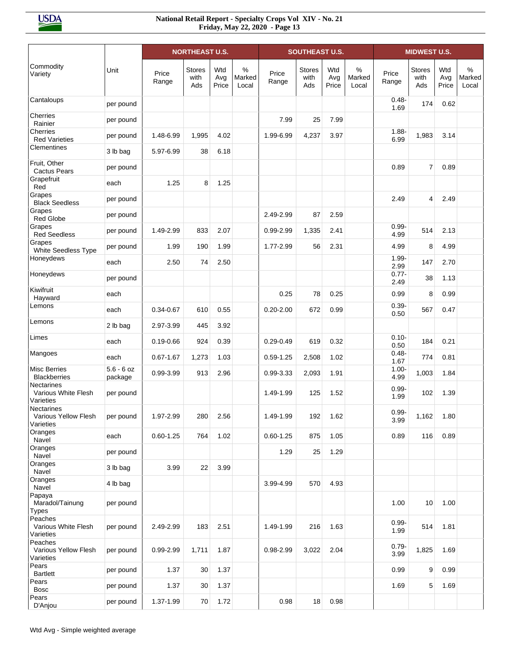|                                                       |                         | <b>NORTHEAST U.S.</b> |                              |                     |                      |                | <b>SOUTHEAST U.S.</b>        |                     | <b>MIDWEST U.S.</b>  |                  |                              |                     |                      |
|-------------------------------------------------------|-------------------------|-----------------------|------------------------------|---------------------|----------------------|----------------|------------------------------|---------------------|----------------------|------------------|------------------------------|---------------------|----------------------|
| Commodity<br>Variety                                  | Unit                    | Price<br>Range        | <b>Stores</b><br>with<br>Ads | Wtd<br>Avg<br>Price | %<br>Marked<br>Local | Price<br>Range | <b>Stores</b><br>with<br>Ads | Wtd<br>Avg<br>Price | %<br>Marked<br>Local | Price<br>Range   | <b>Stores</b><br>with<br>Ads | Wtd<br>Avg<br>Price | %<br>Marked<br>Local |
| Cantaloups                                            | per pound               |                       |                              |                     |                      |                |                              |                     |                      | $0.48 -$<br>1.69 | 174                          | 0.62                |                      |
| <b>Cherries</b><br>Rainier                            | per pound               |                       |                              |                     |                      | 7.99           | 25                           | 7.99                |                      |                  |                              |                     |                      |
| Cherries<br><b>Red Varieties</b>                      | per pound               | 1.48-6.99             | 1,995                        | 4.02                |                      | 1.99-6.99      | 4,237                        | 3.97                |                      | $1.88 -$<br>6.99 | 1,983                        | 3.14                |                      |
| Clementines                                           | 3 lb bag                | 5.97-6.99             | 38                           | 6.18                |                      |                |                              |                     |                      |                  |                              |                     |                      |
| Fruit, Other<br><b>Cactus Pears</b>                   | per pound               |                       |                              |                     |                      |                |                              |                     |                      | 0.89             | 7                            | 0.89                |                      |
| Grapefruit<br>Red                                     | each                    | 1.25                  | 8                            | 1.25                |                      |                |                              |                     |                      |                  |                              |                     |                      |
| Grapes<br><b>Black Seedless</b>                       | per pound               |                       |                              |                     |                      |                |                              |                     |                      | 2.49             | 4                            | 2.49                |                      |
| Grapes<br><b>Red Globe</b>                            | per pound               |                       |                              |                     |                      | 2.49-2.99      | 87                           | 2.59                |                      |                  |                              |                     |                      |
| Grapes<br><b>Red Seedless</b>                         | per pound               | 1.49-2.99             | 833                          | 2.07                |                      | 0.99-2.99      | 1,335                        | 2.41                |                      | $0.99 -$<br>4.99 | 514                          | 2.13                |                      |
| Grapes<br>White Seedless Type                         | per pound               | 1.99                  | 190                          | 1.99                |                      | 1.77-2.99      | 56                           | 2.31                |                      | 4.99             | 8                            | 4.99                |                      |
| Honeydews                                             | each                    | 2.50                  | 74                           | 2.50                |                      |                |                              |                     |                      | $1.99 -$<br>2.99 | 147                          | 2.70                |                      |
| Honeydews                                             | per pound               |                       |                              |                     |                      |                |                              |                     |                      | $0.77 -$<br>2.49 | 38                           | 1.13                |                      |
| Kiwifruit<br>Hayward                                  | each                    |                       |                              |                     |                      | 0.25           | 78                           | 0.25                |                      | 0.99             | 8                            | 0.99                |                      |
| Lemons                                                | each                    | $0.34 - 0.67$         | 610                          | 0.55                |                      | $0.20 - 2.00$  | 672                          | 0.99                |                      | $0.39 -$<br>0.50 | 567                          | 0.47                |                      |
| Lemons                                                | 2 lb bag                | 2.97-3.99             | 445                          | 3.92                |                      |                |                              |                     |                      |                  |                              |                     |                      |
| Limes                                                 | each                    | $0.19 - 0.66$         | 924                          | 0.39                |                      | $0.29 - 0.49$  | 619                          | 0.32                |                      | $0.10 -$<br>0.50 | 184                          | 0.21                |                      |
| Mangoes                                               | each                    | $0.67 - 1.67$         | 1,273                        | 1.03                |                      | $0.59 - 1.25$  | 2,508                        | 1.02                |                      | $0.48 -$<br>1.67 | 774                          | 0.81                |                      |
| <b>Misc Berries</b><br><b>Blackberries</b>            | $5.6 - 6 oz$<br>package | 0.99-3.99             | 913                          | 2.96                |                      | 0.99-3.33      | 2,093                        | 1.91                |                      | $1.00 -$<br>4.99 | 1,003                        | 1.84                |                      |
| <b>Nectarines</b><br>Various White Flesh<br>Varieties | per pound               |                       |                              |                     |                      | 1.49-1.99      | 125                          | 1.52                |                      | $0.99 -$<br>1.99 | 102                          | 1.39                |                      |
| Nectarines<br>Various Yellow Flesh<br>Varieties       | per pound               | 1.97-2.99             | 280                          | 2.56                |                      | 1.49-1.99      | 192                          | 1.62                |                      | $0.99 -$<br>3.99 | 1,162                        | 1.80                |                      |
| Oranges<br>Navel                                      | each                    | $0.60 - 1.25$         | 764                          | 1.02                |                      | $0.60 - 1.25$  | 875                          | 1.05                |                      | 0.89             | 116                          | 0.89                |                      |
| Oranges<br>Navel                                      | per pound               |                       |                              |                     |                      | 1.29           | 25                           | 1.29                |                      |                  |                              |                     |                      |
| Oranges<br>Navel                                      | 3 lb bag                | 3.99                  | 22                           | 3.99                |                      |                |                              |                     |                      |                  |                              |                     |                      |
| Oranges<br>Navel                                      | 4 lb bag                |                       |                              |                     |                      | 3.99-4.99      | 570                          | 4.93                |                      |                  |                              |                     |                      |
| Papaya<br>Maradol/Tainung<br><b>Types</b>             | per pound               |                       |                              |                     |                      |                |                              |                     |                      | 1.00             | 10                           | 1.00                |                      |
| Peaches<br>Various White Flesh<br>Varieties           | per pound               | 2.49-2.99             | 183                          | 2.51                |                      | 1.49-1.99      | 216                          | 1.63                |                      | $0.99 -$<br>1.99 | 514                          | 1.81                |                      |
| Peaches<br>Various Yellow Flesh<br>Varieties          | per pound               | 0.99-2.99             | 1,711                        | 1.87                |                      | $0.98 - 2.99$  | 3,022                        | 2.04                |                      | $0.79 -$<br>3.99 | 1,825                        | 1.69                |                      |
| Pears<br><b>Bartlett</b>                              | per pound               | 1.37                  | 30                           | 1.37                |                      |                |                              |                     |                      | 0.99             | 9                            | 0.99                |                      |
| Pears<br><b>Bosc</b>                                  | per pound               | 1.37                  | 30                           | 1.37                |                      |                |                              |                     |                      | 1.69             | 5                            | 1.69                |                      |
| Pears<br>D'Anjou                                      | per pound               | 1.37-1.99             | 70                           | 1.72                |                      | 0.98           | 18                           | 0.98                |                      |                  |                              |                     |                      |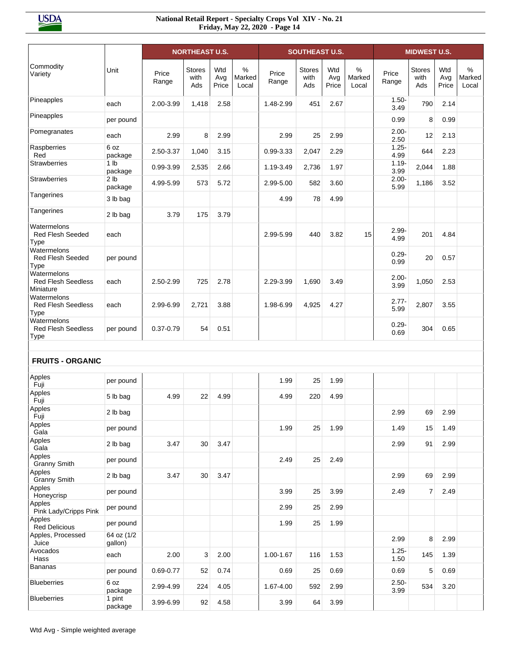|                                                         | <b>NORTHEAST U.S.</b>      |                |                              |                     | <b>SOUTHEAST U.S.</b> |                |                              |                     | <b>MIDWEST U.S.</b>  |                  |                              |                     |                                  |
|---------------------------------------------------------|----------------------------|----------------|------------------------------|---------------------|-----------------------|----------------|------------------------------|---------------------|----------------------|------------------|------------------------------|---------------------|----------------------------------|
| Commodity<br>Variety                                    | Unit                       | Price<br>Range | <b>Stores</b><br>with<br>Ads | Wtd<br>Avg<br>Price | %<br>Marked<br>Local  | Price<br>Range | <b>Stores</b><br>with<br>Ads | Wtd<br>Avg<br>Price | %<br>Marked<br>Local | Price<br>Range   | <b>Stores</b><br>with<br>Ads | Wtd<br>Avg<br>Price | $\frac{0}{0}$<br>Marked<br>Local |
| Pineapples                                              | each                       | 2.00-3.99      | 1,418                        | 2.58                |                       | 1.48-2.99      | 451                          | 2.67                |                      | $1.50 -$<br>3.49 | 790                          | 2.14                |                                  |
| Pineapples                                              | per pound                  |                |                              |                     |                       |                |                              |                     |                      | 0.99             | 8                            | 0.99                |                                  |
| Pomegranates                                            | each                       | 2.99           | 8                            | 2.99                |                       | 2.99           | 25                           | 2.99                |                      | $2.00 -$<br>2.50 | 12                           | 2.13                |                                  |
| Raspberries<br>Red                                      | 6 oz<br>package            | 2.50-3.37      | 1,040                        | 3.15                |                       | 0.99-3.33      | 2,047                        | 2.29                |                      | $1.25 -$<br>4.99 | 644                          | 2.23                |                                  |
| <b>Strawberries</b>                                     | 1 <sub>lb</sub><br>package | 0.99-3.99      | 2,535                        | 2.66                |                       | 1.19-3.49      | 2,736                        | 1.97                |                      | $1.19 -$<br>3.99 | 2,044                        | 1.88                |                                  |
| <b>Strawberries</b>                                     | 2 <sub>lb</sub><br>package | 4.99-5.99      | 573                          | 5.72                |                       | 2.99-5.00      | 582                          | 3.60                |                      | $2.00 -$<br>5.99 | 1,186                        | 3.52                |                                  |
| Tangerines                                              | 3 lb bag                   |                |                              |                     |                       | 4.99           | 78                           | 4.99                |                      |                  |                              |                     |                                  |
| Tangerines                                              | 2 lb bag                   | 3.79           | 175                          | 3.79                |                       |                |                              |                     |                      |                  |                              |                     |                                  |
| Watermelons<br><b>Red Flesh Seeded</b><br><b>Type</b>   | each                       |                |                              |                     |                       | 2.99-5.99      | 440                          | 3.82                | 15                   | $2.99 -$<br>4.99 | 201                          | 4.84                |                                  |
| Watermelons<br><b>Red Flesh Seeded</b><br><b>Type</b>   | per pound                  |                |                              |                     |                       |                |                              |                     |                      | $0.29 -$<br>0.99 | 20                           | 0.57                |                                  |
| Watermelons<br><b>Red Flesh Seedless</b><br>Miniature   | each                       | 2.50-2.99      | 725                          | 2.78                |                       | 2.29-3.99      | 1,690                        | 3.49                |                      | $2.00 -$<br>3.99 | 1,050                        | 2.53                |                                  |
| Watermelons<br><b>Red Flesh Seedless</b><br>Type        | each                       | 2.99-6.99      | 2,721                        | 3.88                |                       | 1.98-6.99      | 4,925                        | 4.27                |                      | $2.77 -$<br>5.99 | 2,807                        | 3.55                |                                  |
| Watermelons<br><b>Red Flesh Seedless</b><br><b>Type</b> | per pound                  | $0.37 - 0.79$  | 54                           | 0.51                |                       |                |                              |                     |                      | $0.29 -$<br>0.69 | 304                          | 0.65                |                                  |
| <b>FRUITS - ORGANIC</b>                                 |                            |                |                              |                     |                       |                |                              |                     |                      |                  |                              |                     |                                  |
| Apples<br>Fuji                                          | per pound                  |                |                              |                     |                       | 1.99           | 25                           | 1.99                |                      |                  |                              |                     |                                  |
| Apples<br>Fuji                                          | 5 lb bag                   | 4.99           | 22                           | 4.99                |                       | 4.99           | 220                          | 4.99                |                      |                  |                              |                     |                                  |
| Apples<br>Fuji                                          | 2 lb bag                   |                |                              |                     |                       |                |                              |                     |                      | 2.99             | 69                           | 2.99                |                                  |
| Apples<br>Gala                                          | per pound                  |                |                              |                     |                       | 1.99           | 25                           | 1.99                |                      | 1.49             | 15                           | 1.49                |                                  |
| Apples<br>Gala                                          | 2 lb bag                   | 3.47           | 30                           | 3.47                |                       |                |                              |                     |                      | 2.99             | 91                           | 2.99                |                                  |
| Apples<br><b>Granny Smith</b>                           | per pound                  |                |                              |                     |                       | 2.49           | 25                           | 2.49                |                      |                  |                              |                     |                                  |
| Apples<br><b>Granny Smith</b>                           | 2 lb bag                   | 3.47           | 30 <sup>1</sup>              | 3.47                |                       |                |                              |                     |                      | 2.99             | 69                           | 2.99                |                                  |
| Apples<br>Honeycrisp                                    | per pound                  |                |                              |                     |                       | 3.99           | 25                           | 3.99                |                      | 2.49             | 7                            | 2.49                |                                  |
| Apples<br>Pink Lady/Cripps Pink                         | per pound                  |                |                              |                     |                       | 2.99           | 25                           | 2.99                |                      |                  |                              |                     |                                  |
| Apples<br><b>Red Delicious</b>                          | per pound                  |                |                              |                     |                       | 1.99           | 25                           | 1.99                |                      |                  |                              |                     |                                  |
| Apples, Processed<br>Juice                              | 64 oz (1/2<br>gallon)      |                |                              |                     |                       |                |                              |                     |                      | 2.99             | 8                            | 2.99                |                                  |
| Avocados<br>Hass                                        | each                       | 2.00           | 3                            | 2.00                |                       | 1.00-1.67      | 116                          | 1.53                |                      | $1.25 -$<br>1.50 | 145                          | 1.39                |                                  |
| <b>Bananas</b>                                          | per pound                  | $0.69 - 0.77$  | 52                           | 0.74                |                       | 0.69           | 25                           | 0.69                |                      | 0.69             | 5                            | 0.69                |                                  |
| <b>Blueberries</b>                                      | 6 oz<br>package            | 2.99-4.99      | 224                          | 4.05                |                       | 1.67-4.00      | 592                          | 2.99                |                      | $2.50 -$<br>3.99 | 534                          | 3.20                |                                  |
| <b>Blueberries</b>                                      | 1 pint<br>package          | 3.99-6.99      | 92                           | 4.58                |                       | 3.99           | 64                           | 3.99                |                      |                  |                              |                     |                                  |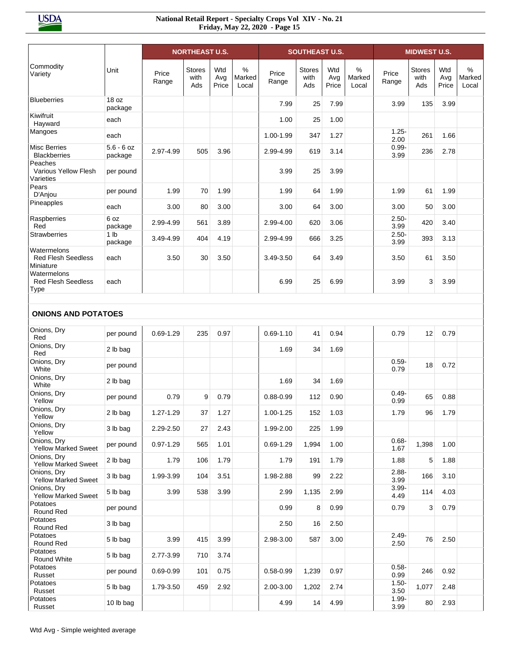|                                                                         |                            |                | <b>NORTHEAST U.S.</b> |                     |                      |                | <b>SOUTHEAST U.S.</b>        |                     |                      |                  | <b>MIDWEST U.S.</b>          |                     |                                  |
|-------------------------------------------------------------------------|----------------------------|----------------|-----------------------|---------------------|----------------------|----------------|------------------------------|---------------------|----------------------|------------------|------------------------------|---------------------|----------------------------------|
| Commodity<br>Variety                                                    | Unit                       | Price<br>Range | Stores<br>with<br>Ads | Wtd<br>Avg<br>Price | %<br>Marked<br>Local | Price<br>Range | <b>Stores</b><br>with<br>Ads | Wtd<br>Avg<br>Price | %<br>Marked<br>Local | Price<br>Range   | <b>Stores</b><br>with<br>Ads | Wtd<br>Avg<br>Price | $\frac{0}{0}$<br>Marked<br>Local |
| <b>Blueberries</b>                                                      | 18 oz<br>package           |                |                       |                     |                      | 7.99           | 25                           | 7.99                |                      | 3.99             | 135                          | 3.99                |                                  |
| Kiwifruit<br>Hayward                                                    | each                       |                |                       |                     |                      | 1.00           | 25                           | 1.00                |                      |                  |                              |                     |                                  |
| Mangoes                                                                 | each                       |                |                       |                     |                      | 1.00-1.99      | 347                          | 1.27                |                      | $1.25 -$<br>2.00 | 261                          | 1.66                |                                  |
| Misc Berries<br><b>Blackberries</b>                                     | $5.6 - 6$ oz<br>package    | 2.97-4.99      | 505                   | 3.96                |                      | 2.99-4.99      | 619                          | 3.14                |                      | $0.99 -$<br>3.99 | 236                          | 2.78                |                                  |
| Peaches<br><b>Various Yellow Flesh</b><br>Varieties                     | per pound                  |                |                       |                     |                      | 3.99           | 25                           | 3.99                |                      |                  |                              |                     |                                  |
| Pears<br>D'Anjou                                                        | per pound                  | 1.99           | 70                    | 1.99                |                      | 1.99           | 64                           | 1.99                |                      | 1.99             | 61                           | 1.99                |                                  |
| Pineapples                                                              | each                       | 3.00           | 80                    | 3.00                |                      | 3.00           | 64                           | 3.00                |                      | 3.00             | 50                           | 3.00                |                                  |
| Raspberries<br>Red                                                      | 6 oz<br>package            | 2.99-4.99      | 561                   | 3.89                |                      | 2.99-4.00      | 620                          | 3.06                |                      | $2.50 -$<br>3.99 | 420                          | 3.40                |                                  |
| <b>Strawberries</b>                                                     | 1 <sub>lb</sub><br>package | 3.49-4.99      | 404                   | 4.19                |                      | 2.99-4.99      | 666                          | 3.25                |                      | $2.50 -$<br>3.99 | 393                          | 3.13                |                                  |
| Watermelons<br><b>Red Flesh Seedless</b><br>Miniature                   | each                       | 3.50           | 30                    | 3.50                |                      | 3.49-3.50      | 64                           | 3.49                |                      | 3.50             | 61                           | 3.50                |                                  |
| Watermelons<br><b>Red Flesh Seedless</b><br><b>Type</b>                 | each                       |                |                       |                     |                      | 6.99           | 25                           | 6.99                |                      | 3.99             | 3                            | 3.99                |                                  |
| <b>ONIONS AND POTATOES</b><br>Onions, Dry                               | per pound                  | $0.69 - 1.29$  | 235                   | 0.97                |                      | $0.69 - 1.10$  | 41                           | 0.94                |                      | 0.79             | 12                           | 0.79                |                                  |
| Red<br>Onions, Dry                                                      | 2 lb bag                   |                |                       |                     |                      | 1.69           | 34                           | 1.69                |                      |                  |                              |                     |                                  |
| Red<br>Onions, Dry                                                      | per pound                  |                |                       |                     |                      |                |                              |                     |                      | $0.59 -$         | 18                           | 0.72                |                                  |
| White<br>Onions, Dry                                                    | 2 lb bag                   |                |                       |                     |                      | 1.69           | 34                           | 1.69                |                      | 0.79             |                              |                     |                                  |
| White<br>Onions, Dry                                                    | per pound                  | 0.79           | 9                     | 0.79                |                      | $0.88 - 0.99$  | 112                          | 0.90                |                      | $0.49 -$         | 65                           | 0.88                |                                  |
| Yellow<br>Onions, Dry                                                   | 2 lb bag                   | 1.27-1.29      | 37                    | 1.27                |                      | 1.00-1.25      | 152                          | 1.03                |                      | 0.99<br>1.79     | 96                           | 1.79                |                                  |
| Yellow<br>Onions, Dry                                                   | 3 lb bag                   | 2.29-2.50      | 27                    | 2.43                |                      | 1.99-2.00      | 225                          | 1.99                |                      |                  |                              |                     |                                  |
| Yellow<br>Onions, Dry                                                   | per pound                  | $0.97 - 1.29$  | 565                   | 1.01                |                      | $0.69 - 1.29$  | 1,994                        | 1.00                |                      | $0.68 -$         | 1,398                        | 1.00                |                                  |
| <b>Yellow Marked Sweet</b><br>Onions, Dry<br><b>Yellow Marked Sweet</b> | 2 lb bag                   | 1.79           | 106                   | 1.79                |                      | 1.79           | 191                          | 1.79                |                      | 1.67<br>1.88     | 5                            | 1.88                |                                  |
| Onions, Dry<br>Yellow Marked Sweet                                      | 3 lb bag                   | 1.99-3.99      | 104                   | 3.51                |                      | 1.98-2.88      | 99                           | 2.22                |                      | $2.88 -$<br>3.99 | 166                          | 3.10                |                                  |
| Onions, Dry<br><b>Yellow Marked Sweet</b>                               | 5 lb bag                   | 3.99           | 538                   | 3.99                |                      | 2.99           | 1,135                        | 2.99                |                      | $3.99 -$<br>4.49 | 114                          | 4.03                |                                  |
| Potatoes<br>Round Red                                                   | per pound                  |                |                       |                     |                      | 0.99           | 8                            | 0.99                |                      | 0.79             | 3                            | 0.79                |                                  |
| Potatoes<br>Round Red                                                   | 3 lb bag                   |                |                       |                     |                      | 2.50           | 16                           | 2.50                |                      |                  |                              |                     |                                  |
| Potatoes<br>Round Red                                                   | 5 lb bag                   | 3.99           | 415                   | 3.99                |                      | 2.98-3.00      | 587                          | 3.00                |                      | $2.49 -$<br>2.50 | 76                           | 2.50                |                                  |
| Potatoes<br>Round White                                                 | 5 lb bag                   | 2.77-3.99      | 710                   | 3.74                |                      |                |                              |                     |                      |                  |                              |                     |                                  |
| Potatoes<br>Russet                                                      | per pound                  | $0.69 - 0.99$  | 101                   | 0.75                |                      | $0.58 - 0.99$  | 1,239                        | 0.97                |                      | $0.58 -$<br>0.99 | 246                          | 0.92                |                                  |
| Potatoes<br>Russet                                                      | 5 lb bag                   | 1.79-3.50      | 459                   | 2.92                |                      | 2.00-3.00      | 1,202                        | 2.74                |                      | $1.50 -$<br>3.50 | 1,077                        | 2.48                |                                  |
| Potatoes<br>Russet                                                      | 10 lb bag                  |                |                       |                     |                      | 4.99           | 14                           | 4.99                |                      | $1.99 -$<br>3.99 | 80                           | 2.93                |                                  |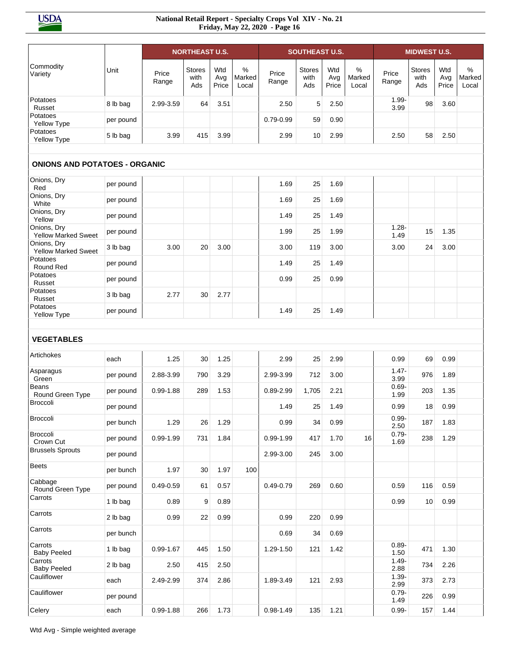|                                           |           |                | <b>NORTHEAST U.S.</b>        |                     |                         |                | <b>SOUTHEAST U.S.</b>        |                     |                         |                  | <b>MIDWEST U.S.</b>          |                     |                         |
|-------------------------------------------|-----------|----------------|------------------------------|---------------------|-------------------------|----------------|------------------------------|---------------------|-------------------------|------------------|------------------------------|---------------------|-------------------------|
| Commodity<br>Variety                      | Unit      | Price<br>Range | <b>Stores</b><br>with<br>Ads | Wtd<br>Avg<br>Price | $\%$<br>Marked<br>Local | Price<br>Range | <b>Stores</b><br>with<br>Ads | Wtd<br>Avg<br>Price | $\%$<br>Marked<br>Local | Price<br>Range   | <b>Stores</b><br>with<br>Ads | Wtd<br>Avg<br>Price | $\%$<br>Marked<br>Local |
| Potatoes<br>Russet                        | 8 lb bag  | 2.99-3.59      | 64                           | 3.51                |                         | 2.50           | 5                            | 2.50                |                         | $1.99 -$<br>3.99 | 98                           | 3.60                |                         |
| Potatoes<br>Yellow Type                   | per pound |                |                              |                     |                         | $0.79 - 0.99$  | 59                           | 0.90                |                         |                  |                              |                     |                         |
| Potatoes<br>Yellow Type                   | 5 lb bag  | 3.99           | 415                          | 3.99                |                         | 2.99           | 10                           | 2.99                |                         | 2.50             | 58                           | 2.50                |                         |
| <b>ONIONS AND POTATOES - ORGANIC</b>      |           |                |                              |                     |                         |                |                              |                     |                         |                  |                              |                     |                         |
| Onions, Dry<br>Red                        | per pound |                |                              |                     |                         | 1.69           | 25                           | 1.69                |                         |                  |                              |                     |                         |
| Onions, Dry<br>White                      | per pound |                |                              |                     |                         | 1.69           | 25                           | 1.69                |                         |                  |                              |                     |                         |
| Onions, Dry<br>Yellow                     | per pound |                |                              |                     |                         | 1.49           | 25                           | 1.49                |                         |                  |                              |                     |                         |
| Onions, Dry<br>Yellow Marked Sweet        | per pound |                |                              |                     |                         | 1.99           | 25                           | 1.99                |                         | $1.28 -$<br>1.49 | 15                           | 1.35                |                         |
| Onions, Dry<br><b>Yellow Marked Sweet</b> | 3 lb bag  | 3.00           | 20                           | 3.00                |                         | 3.00           | 119                          | 3.00                |                         | 3.00             | 24                           | 3.00                |                         |
| Potatoes<br>Round Red                     | per pound |                |                              |                     |                         | 1.49           | 25                           | 1.49                |                         |                  |                              |                     |                         |
| Potatoes<br>Russet                        | per pound |                |                              |                     |                         | 0.99           | 25                           | 0.99                |                         |                  |                              |                     |                         |
| Potatoes<br>Russet                        | 3 lb bag  | 2.77           | 30                           | 2.77                |                         |                |                              |                     |                         |                  |                              |                     |                         |
| Potatoes<br>Yellow Type                   | per pound |                |                              |                     |                         | 1.49           | 25                           | 1.49                |                         |                  |                              |                     |                         |
| <b>VEGETABLES</b><br>Artichokes           |           |                |                              |                     |                         |                |                              |                     |                         |                  |                              |                     |                         |
|                                           | each      | 1.25           | 30                           | 1.25                |                         | 2.99           | 25                           | 2.99                |                         | 0.99             | 69                           | 0.99                |                         |
| Asparagus<br>Green                        | per pound | 2.88-3.99      | 790                          | 3.29                |                         | 2.99-3.99      | 712                          | 3.00                |                         | $1.47 -$<br>3.99 | 976                          | 1.89                |                         |
| <b>Beans</b><br>Round Green Type          | per pound | $0.99 - 1.88$  | 289                          | 1.53                |                         | $0.89 - 2.99$  | 1,705                        | 2.21                |                         | $0.69 -$<br>1.99 | 203                          | 1.35                |                         |
| <b>Broccoli</b>                           | per pound |                |                              |                     |                         | 1.49           | 25                           | 1.49                |                         | 0.99             | 18                           | 0.99                |                         |
| Broccoli                                  | per bunch | 1.29           | 26                           | 1.29                |                         | 0.99           | 34                           | 0.99                |                         | $0.99 -$<br>2.50 | 187                          | 1.83                |                         |
| Broccoli<br>Crown Cut                     | per pound | 0.99-1.99      | 731                          | 1.84                |                         | $0.99 - 1.99$  | 417                          | 1.70                | 16                      | $0.79 -$<br>1.69 | 238                          | 1.29                |                         |
| <b>Brussels Sprouts</b>                   | per pound |                |                              |                     |                         | 2.99-3.00      | 245                          | 3.00                |                         |                  |                              |                     |                         |
| <b>Beets</b>                              | per bunch | 1.97           | 30                           | 1.97                | 100                     |                |                              |                     |                         |                  |                              |                     |                         |
| Cabbage<br>Round Green Type               | per pound | $0.49 - 0.59$  | 61                           | 0.57                |                         | $0.49 - 0.79$  | 269                          | 0.60                |                         | 0.59             | 116                          | 0.59                |                         |
| Carrots                                   | 1 lb bag  | 0.89           | 9                            | 0.89                |                         |                |                              |                     |                         | 0.99             | 10                           | 0.99                |                         |
| Carrots                                   | 2 lb bag  | 0.99           | 22                           | 0.99                |                         | 0.99           | 220                          | 0.99                |                         |                  |                              |                     |                         |
| Carrots                                   | per bunch |                |                              |                     |                         | 0.69           | 34                           | 0.69                |                         |                  |                              |                     |                         |
| Carrots<br><b>Baby Peeled</b>             | 1 lb bag  | $0.99 - 1.67$  | 445                          | 1.50                |                         | 1.29-1.50      | 121                          | 1.42                |                         | $0.89 -$<br>1.50 | 471                          | 1.30                |                         |
| Carrots<br><b>Baby Peeled</b>             | 2 lb bag  | 2.50           | 415                          | 2.50                |                         |                |                              |                     |                         | $1.49 -$<br>2.88 | 734                          | 2.26                |                         |
| Cauliflower                               | each      | 2.49-2.99      | 374                          | 2.86                |                         | 1.89-3.49      | 121                          | 2.93                |                         | $1.39 -$<br>2.99 | 373                          | 2.73                |                         |
| Cauliflower                               | per pound |                |                              |                     |                         |                |                              |                     |                         | $0.79 -$<br>1.49 | 226                          | 0.99                |                         |
| Celery                                    | each      | $0.99 - 1.88$  | 266                          | 1.73                |                         | $0.98 - 1.49$  | 135                          | 1.21                |                         | $0.99 -$         | 157                          | 1.44                |                         |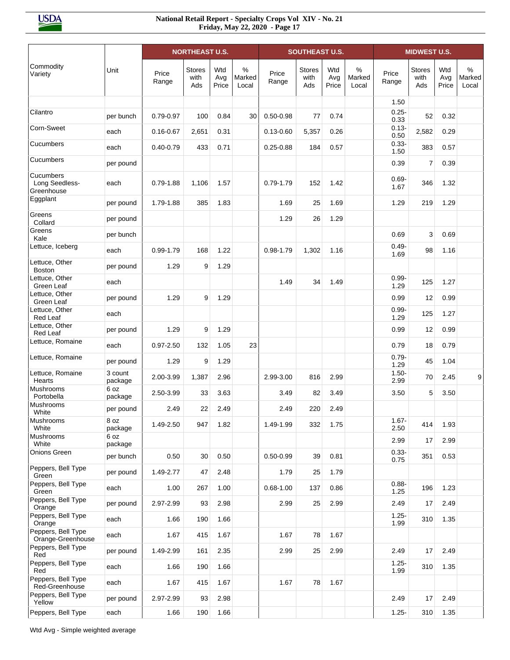|                                           |                    |                | <b>NORTHEAST U.S.</b>        |                     |                      |                | <b>SOUTHEAST U.S.</b>        |                     |                      |                  | <b>MIDWEST U.S.</b>          |                     |                      |
|-------------------------------------------|--------------------|----------------|------------------------------|---------------------|----------------------|----------------|------------------------------|---------------------|----------------------|------------------|------------------------------|---------------------|----------------------|
| Commodity<br>Variety                      | Unit               | Price<br>Range | <b>Stores</b><br>with<br>Ads | Wtd<br>Avg<br>Price | %<br>Marked<br>Local | Price<br>Range | <b>Stores</b><br>with<br>Ads | Wtd<br>Avg<br>Price | %<br>Marked<br>Local | Price<br>Range   | <b>Stores</b><br>with<br>Ads | Wtd<br>Avg<br>Price | %<br>Marked<br>Local |
|                                           |                    |                |                              |                     |                      |                |                              |                     |                      | 1.50             |                              |                     |                      |
| Cilantro                                  | per bunch          | 0.79-0.97      | 100                          | 0.84                | 30                   | $0.50 - 0.98$  | 77                           | 0.74                |                      | $0.25 -$<br>0.33 | 52                           | 0.32                |                      |
| Corn-Sweet                                | each               | $0.16 - 0.67$  | 2,651                        | 0.31                |                      | $0.13 - 0.60$  | 5,357                        | 0.26                |                      | $0.13 -$<br>0.50 | 2,582                        | 0.29                |                      |
| Cucumbers                                 | each               | $0.40 - 0.79$  | 433                          | 0.71                |                      | $0.25 - 0.88$  | 184                          | 0.57                |                      | $0.33 -$<br>1.50 | 383                          | 0.57                |                      |
| Cucumbers                                 | per pound          |                |                              |                     |                      |                |                              |                     |                      | 0.39             | 7                            | 0.39                |                      |
| Cucumbers<br>Long Seedless-<br>Greenhouse | each               | $0.79 - 1.88$  | 1,106                        | 1.57                |                      | $0.79 - 1.79$  | 152                          | 1.42                |                      | $0.69 -$<br>1.67 | 346                          | 1.32                |                      |
| Eggplant                                  | per pound          | 1.79-1.88      | 385                          | 1.83                |                      | 1.69           | 25                           | 1.69                |                      | 1.29             | 219                          | 1.29                |                      |
| Greens<br>Collard                         | per pound          |                |                              |                     |                      | 1.29           | 26                           | 1.29                |                      |                  |                              |                     |                      |
| Greens<br>Kale                            | per bunch          |                |                              |                     |                      |                |                              |                     |                      | 0.69             | 3                            | 0.69                |                      |
| Lettuce, Iceberg                          | each               | 0.99-1.79      | 168                          | 1.22                |                      | 0.98-1.79      | 1,302                        | 1.16                |                      | $0.49 -$<br>1.69 | 98                           | 1.16                |                      |
| Lettuce, Other<br><b>Boston</b>           | per pound          | 1.29           | 9                            | 1.29                |                      |                |                              |                     |                      |                  |                              |                     |                      |
| Lettuce, Other<br>Green Leaf              | each               |                |                              |                     |                      | 1.49           | 34                           | 1.49                |                      | $0.99 -$<br>1.29 | 125                          | 1.27                |                      |
| Lettuce, Other<br>Green Leaf              | per pound          | 1.29           | 9                            | 1.29                |                      |                |                              |                     |                      | 0.99             | 12                           | 0.99                |                      |
| Lettuce, Other<br>Red Leaf                | each               |                |                              |                     |                      |                |                              |                     |                      | $0.99 -$<br>1.29 | 125                          | 1.27                |                      |
| Lettuce, Other<br>Red Leaf                | per pound          | 1.29           | 9                            | 1.29                |                      |                |                              |                     |                      | 0.99             | 12                           | 0.99                |                      |
| Lettuce, Romaine                          | each               | $0.97 - 2.50$  | 132                          | 1.05                | 23                   |                |                              |                     |                      | 0.79             | 18                           | 0.79                |                      |
| Lettuce, Romaine                          | per pound          | 1.29           | 9                            | 1.29                |                      |                |                              |                     |                      | $0.79 -$<br>1.29 | 45                           | 1.04                |                      |
| Lettuce, Romaine<br>Hearts                | 3 count<br>package | 2.00-3.99      | 1,387                        | 2.96                |                      | 2.99-3.00      | 816                          | 2.99                |                      | $1.50 -$<br>2.99 | 70                           | 2.45                | 9                    |
| Mushrooms<br>Portobella                   | 6 oz<br>package    | 2.50-3.99      | 33                           | 3.63                |                      | 3.49           | 82                           | 3.49                |                      | 3.50             | 5                            | 3.50                |                      |
| Mushrooms<br>White                        | per pound          | 2.49           | 22                           | 2.49                |                      | 2.49           | 220                          | 2.49                |                      |                  |                              |                     |                      |
| Mushrooms<br>White                        | 8 oz<br>package    | 1.49-2.50      | 947                          | 1.82                |                      | 1.49-1.99      | 332                          | 1.75                |                      | $1.67 -$<br>2.50 | 414                          | 1.93                |                      |
| Mushrooms<br>White                        | 6 oz<br>package    |                |                              |                     |                      |                |                              |                     |                      | 2.99             | 17                           | 2.99                |                      |
| Onions Green                              | per bunch          | 0.50           | 30                           | 0.50                |                      | $0.50 - 0.99$  | 39                           | 0.81                |                      | $0.33 -$<br>0.75 | 351                          | 0.53                |                      |
| Peppers, Bell Type<br>Green               | per pound          | 1.49-2.77      | 47                           | 2.48                |                      | 1.79           | 25                           | 1.79                |                      |                  |                              |                     |                      |
| Peppers, Bell Type<br>Green               | each               | 1.00           | 267                          | 1.00                |                      | $0.68 - 1.00$  | 137                          | 0.86                |                      | $0.88 -$<br>1.25 | 196                          | 1.23                |                      |
| Peppers, Bell Type<br>Orange              | per pound          | 2.97-2.99      | 93                           | 2.98                |                      | 2.99           | 25                           | 2.99                |                      | 2.49             | 17                           | 2.49                |                      |
| Peppers, Bell Type<br>Orange              | each               | 1.66           | 190                          | 1.66                |                      |                |                              |                     |                      | $1.25 -$<br>1.99 | 310                          | 1.35                |                      |
| Peppers, Bell Type<br>Orange-Greenhouse   | each               | 1.67           | 415                          | 1.67                |                      | 1.67           | 78                           | 1.67                |                      |                  |                              |                     |                      |
| Peppers, Bell Type<br>Red                 | per pound          | 1.49-2.99      | 161                          | 2.35                |                      | 2.99           | 25                           | 2.99                |                      | 2.49             | 17                           | 2.49                |                      |
| Peppers, Bell Type<br>Red                 | each               | 1.66           | 190                          | 1.66                |                      |                |                              |                     |                      | $1.25 -$<br>1.99 | 310                          | 1.35                |                      |
| Peppers, Bell Type<br>Red-Greenhouse      | each               | 1.67           | 415                          | 1.67                |                      | 1.67           | 78                           | 1.67                |                      |                  |                              |                     |                      |
| Peppers, Bell Type<br>Yellow              | per pound          | 2.97-2.99      | 93                           | 2.98                |                      |                |                              |                     |                      | 2.49             | 17                           | 2.49                |                      |
| Peppers, Bell Type                        | each               | 1.66           | 190                          | 1.66                |                      |                |                              |                     |                      | $1.25 -$         | 310                          | 1.35                |                      |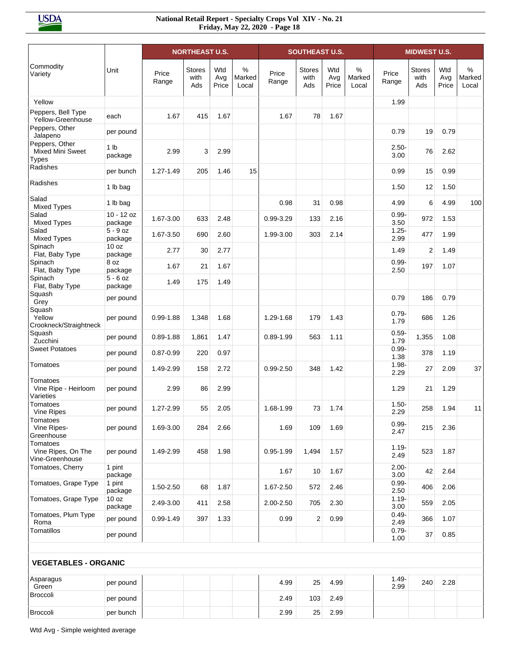|                                                           |                             |                | <b>NORTHEAST U.S.</b>        |                     |                      |                | <b>SOUTHEAST U.S.</b> |                     |                      |                  | <b>MIDWEST U.S.</b>          |                     |                      |
|-----------------------------------------------------------|-----------------------------|----------------|------------------------------|---------------------|----------------------|----------------|-----------------------|---------------------|----------------------|------------------|------------------------------|---------------------|----------------------|
| Commodity<br>Variety                                      | Unit                        | Price<br>Range | <b>Stores</b><br>with<br>Ads | Wtd<br>Avg<br>Price | %<br>Marked<br>Local | Price<br>Range | Stores<br>with<br>Ads | Wtd<br>Avg<br>Price | %<br>Marked<br>Local | Price<br>Range   | <b>Stores</b><br>with<br>Ads | Wtd<br>Avg<br>Price | %<br>Marked<br>Local |
| Yellow                                                    |                             |                |                              |                     |                      |                |                       |                     |                      | 1.99             |                              |                     |                      |
| Peppers, Bell Type<br>Yellow-Greenhouse                   | each                        | 1.67           | 415                          | 1.67                |                      | 1.67           | 78                    | 1.67                |                      |                  |                              |                     |                      |
| Peppers, Other<br>Jalapeno                                | per pound                   |                |                              |                     |                      |                |                       |                     |                      | 0.79             | 19                           | 0.79                |                      |
| Peppers, Other<br><b>Mixed Mini Sweet</b><br><b>Types</b> | 1 <sub>lb</sub><br>package  | 2.99           | 3                            | 2.99                |                      |                |                       |                     |                      | $2.50 -$<br>3.00 | 76                           | 2.62                |                      |
| Radishes                                                  | per bunch                   | 1.27-1.49      | 205                          | 1.46                | 15                   |                |                       |                     |                      | 0.99             | 15                           | 0.99                |                      |
| Radishes                                                  | 1 lb bag                    |                |                              |                     |                      |                |                       |                     |                      | 1.50             | 12                           | 1.50                |                      |
| Salad<br><b>Mixed Types</b>                               | 1 lb bag                    |                |                              |                     |                      | 0.98           | 31                    | 0.98                |                      | 4.99             | 6                            | 4.99                | 100                  |
| Salad<br><b>Mixed Types</b>                               | $10 - 12$ oz<br>package     | 1.67-3.00      | 633                          | 2.48                |                      | 0.99-3.29      | 133                   | 2.16                |                      | $0.99 -$<br>3.50 | 972                          | 1.53                |                      |
| Salad<br><b>Mixed Types</b>                               | $5 - 9$ oz<br>package       | 1.67-3.50      | 690                          | 2.60                |                      | 1.99-3.00      | 303                   | 2.14                |                      | $1.25 -$<br>2.99 | 477                          | 1.99                |                      |
| Spinach<br>Flat, Baby Type                                | 10 <sub>oz</sub><br>package | 2.77           | 30                           | 2.77                |                      |                |                       |                     |                      | 1.49             | 2                            | 1.49                |                      |
| Spinach<br>Flat, Baby Type                                | 8 oz<br>package             | 1.67           | 21                           | 1.67                |                      |                |                       |                     |                      | $0.99 -$<br>2.50 | 197                          | 1.07                |                      |
| Spinach<br>Flat, Baby Type                                | $5 - 6$ oz<br>package       | 1.49           | 175                          | 1.49                |                      |                |                       |                     |                      |                  |                              |                     |                      |
| Squash<br>Grey                                            | per pound                   |                |                              |                     |                      |                |                       |                     |                      | 0.79             | 186                          | 0.79                |                      |
| Squash<br>Yellow<br>Crookneck/Straightneck                | per pound                   | $0.99 - 1.88$  | 1,348                        | 1.68                |                      | 1.29-1.68      | 179                   | 1.43                |                      | $0.79 -$<br>1.79 | 686                          | 1.26                |                      |
| Squash<br>Zucchini                                        | per pound                   | $0.89 - 1.88$  | 1,861                        | 1.47                |                      | $0.89 - 1.99$  | 563                   | 1.11                |                      | $0.59 -$<br>1.79 | 1,355                        | 1.08                |                      |
| <b>Sweet Potatoes</b>                                     | per pound                   | $0.87 - 0.99$  | 220                          | 0.97                |                      |                |                       |                     |                      | $0.99 -$<br>1.38 | 378                          | 1.19                |                      |
| Tomatoes                                                  | per pound                   | 1.49-2.99      | 158                          | 2.72                |                      | $0.99 - 2.50$  | 348                   | 1.42                |                      | $1.98 -$<br>2.29 | 27                           | 2.09                | 37                   |
| Tomatoes<br>Vine Ripe - Heirloom<br>Varieties             | per pound                   | 2.99           | 86                           | 2.99                |                      |                |                       |                     |                      | 1.29             | 21                           | 1.29                |                      |
| Tomatoes<br>Vine Ripes                                    | per pound                   | 1.27-2.99      | 55                           | 2.05                |                      | 1.68-1.99      | 73                    | 1.74                |                      | $1.50 -$<br>2.29 | 258                          | 1.94                | 11                   |
| Tomatoes<br>Vine Ripes-<br>Greenhouse                     | per pound                   | 1.69-3.00      | 284                          | 2.66                |                      | 1.69           | 109                   | 1.69                |                      | $0.99 -$<br>2.47 | 215                          | 2.36                |                      |
| Tomatoes<br>Vine Ripes, On The<br>Vine-Greenhouse         | per pound                   | 1.49-2.99      | 458                          | 1.98                |                      | $0.95 - 1.99$  | 1,494                 | 1.57                |                      | $1.19 -$<br>2.49 | 523                          | 1.87                |                      |
| Tomatoes, Cherry                                          | 1 pint<br>package           |                |                              |                     |                      | 1.67           | 10                    | 1.67                |                      | $2.00 -$<br>3.00 | 42                           | 2.64                |                      |
| Tomatoes, Grape Type                                      | 1 pint<br>package           | 1.50-2.50      | 68                           | 1.87                |                      | 1.67-2.50      | 572                   | 2.46                |                      | $0.99 -$<br>2.50 | 406                          | 2.06                |                      |
| Tomatoes, Grape Type                                      | 10 oz<br>package            | 2.49-3.00      | 411                          | 2.58                |                      | 2.00-2.50      | 705                   | 2.30                |                      | $1.19 -$<br>3.00 | 559                          | 2.05                |                      |
| Tomatoes, Plum Type<br>Roma                               | per pound                   | $0.99 - 1.49$  | 397                          | 1.33                |                      | 0.99           | $\overline{2}$        | 0.99                |                      | $0.49 -$<br>2.49 | 366                          | 1.07                |                      |
| Tomatillos                                                | per pound                   |                |                              |                     |                      |                |                       |                     |                      | $0.79 -$<br>1.00 | 37                           | 0.85                |                      |
| <b>VEGETABLES - ORGANIC</b>                               |                             |                |                              |                     |                      |                |                       |                     |                      |                  |                              |                     |                      |
| Asparagus                                                 | per pound                   |                |                              |                     |                      | 4.99           | 25                    | 4.99                |                      | $1.49 -$         | 240                          | 2.28                |                      |
| Green<br>Broccoli                                         | per pound                   |                |                              |                     |                      | 2.49           | 103                   | 2.49                |                      | 2.99             |                              |                     |                      |
| Broccoli                                                  | per bunch                   |                |                              |                     |                      | 2.99           | 25                    | 2.99                |                      |                  |                              |                     |                      |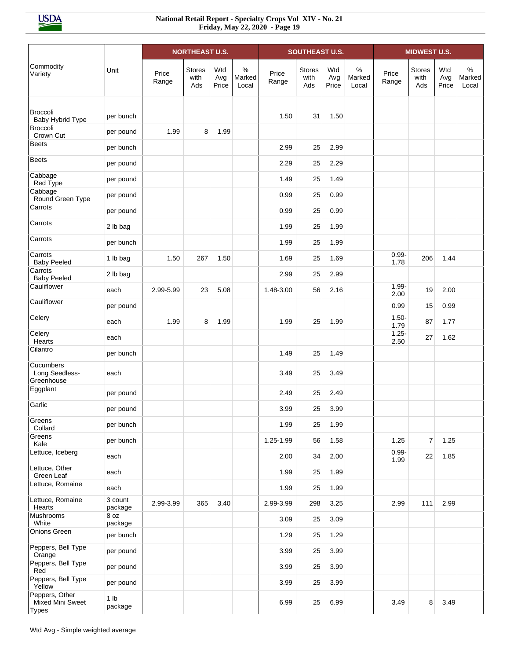|                                                           |                            |                | <b>NORTHEAST U.S.</b>        |                     |                         |                | <b>SOUTHEAST U.S.</b>        |                     |                      |                  | <b>MIDWEST U.S.</b>          |                     |                         |
|-----------------------------------------------------------|----------------------------|----------------|------------------------------|---------------------|-------------------------|----------------|------------------------------|---------------------|----------------------|------------------|------------------------------|---------------------|-------------------------|
| Commodity<br>Variety                                      | Unit                       | Price<br>Range | <b>Stores</b><br>with<br>Ads | Wtd<br>Avg<br>Price | $\%$<br>Marked<br>Local | Price<br>Range | <b>Stores</b><br>with<br>Ads | Wtd<br>Avg<br>Price | %<br>Marked<br>Local | Price<br>Range   | <b>Stores</b><br>with<br>Ads | Wtd<br>Avg<br>Price | $\%$<br>Marked<br>Local |
|                                                           |                            |                |                              |                     |                         |                |                              |                     |                      |                  |                              |                     |                         |
| <b>Broccoli</b><br>Baby Hybrid Type                       | per bunch                  |                |                              |                     |                         | 1.50           | 31                           | 1.50                |                      |                  |                              |                     |                         |
| Broccoli<br>Crown Cut                                     | per pound                  | 1.99           | 8                            | 1.99                |                         |                |                              |                     |                      |                  |                              |                     |                         |
| <b>Beets</b>                                              | per bunch                  |                |                              |                     |                         | 2.99           | 25                           | 2.99                |                      |                  |                              |                     |                         |
| <b>Beets</b>                                              | per pound                  |                |                              |                     |                         | 2.29           | 25                           | 2.29                |                      |                  |                              |                     |                         |
| Cabbage<br>Red Type                                       | per pound                  |                |                              |                     |                         | 1.49           | 25                           | 1.49                |                      |                  |                              |                     |                         |
| Cabbage<br>Round Green Type                               | per pound                  |                |                              |                     |                         | 0.99           | 25                           | 0.99                |                      |                  |                              |                     |                         |
| Carrots                                                   | per pound                  |                |                              |                     |                         | 0.99           | 25                           | 0.99                |                      |                  |                              |                     |                         |
| Carrots                                                   | 2 lb bag                   |                |                              |                     |                         | 1.99           | 25                           | 1.99                |                      |                  |                              |                     |                         |
| Carrots                                                   | per bunch                  |                |                              |                     |                         | 1.99           | 25                           | 1.99                |                      |                  |                              |                     |                         |
| Carrots<br><b>Baby Peeled</b>                             | 1 lb bag                   | 1.50           | 267                          | 1.50                |                         | 1.69           | 25                           | 1.69                |                      | $0.99 -$<br>1.78 | 206                          | 1.44                |                         |
| Carrots<br><b>Baby Peeled</b>                             | 2 lb bag                   |                |                              |                     |                         | 2.99           | 25                           | 2.99                |                      |                  |                              |                     |                         |
| Cauliflower                                               | each                       | 2.99-5.99      | 23                           | 5.08                |                         | 1.48-3.00      | 56                           | 2.16                |                      | $1.99 -$<br>2.00 | 19                           | 2.00                |                         |
| Cauliflower                                               | per pound                  |                |                              |                     |                         |                |                              |                     |                      | 0.99             | 15                           | 0.99                |                         |
| Celery                                                    | each                       | 1.99           | 8                            | 1.99                |                         | 1.99           | 25                           | 1.99                |                      | $1.50 -$<br>1.79 | 87                           | 1.77                |                         |
| Celery<br>Hearts                                          | each                       |                |                              |                     |                         |                |                              |                     |                      | $1.25 -$<br>2.50 | 27                           | 1.62                |                         |
| Cilantro                                                  | per bunch                  |                |                              |                     |                         | 1.49           | 25                           | 1.49                |                      |                  |                              |                     |                         |
| Cucumbers<br>Long Seedless-<br>Greenhouse                 | each                       |                |                              |                     |                         | 3.49           | 25                           | 3.49                |                      |                  |                              |                     |                         |
| Eggplant                                                  | per pound                  |                |                              |                     |                         | 2.49           | 25                           | 2.49                |                      |                  |                              |                     |                         |
| Garlic                                                    | per pound                  |                |                              |                     |                         | 3.99           | 25                           | 3.99                |                      |                  |                              |                     |                         |
| Greens<br>Collard                                         | per bunch                  |                |                              |                     |                         | 1.99           | 25                           | 1.99                |                      |                  |                              |                     |                         |
| Greens<br>Kale                                            | per bunch                  |                |                              |                     |                         | 1.25-1.99      | 56                           | 1.58                |                      | 1.25             | $\overline{7}$               | 1.25                |                         |
| Lettuce, Iceberg                                          | each                       |                |                              |                     |                         | 2.00           | 34                           | 2.00                |                      | $0.99 -$<br>1.99 | 22                           | 1.85                |                         |
| Lettuce, Other<br>Green Leaf                              | each                       |                |                              |                     |                         | 1.99           | 25                           | 1.99                |                      |                  |                              |                     |                         |
| Lettuce, Romaine                                          | each                       |                |                              |                     |                         | 1.99           | 25                           | 1.99                |                      |                  |                              |                     |                         |
| Lettuce, Romaine<br>Hearts                                | 3 count<br>package         | 2.99-3.99      | 365                          | 3.40                |                         | 2.99-3.99      | 298                          | 3.25                |                      | 2.99             | 111                          | 2.99                |                         |
| Mushrooms<br>White                                        | 8 oz<br>package            |                |                              |                     |                         | 3.09           | 25                           | 3.09                |                      |                  |                              |                     |                         |
| Onions Green                                              | per bunch                  |                |                              |                     |                         | 1.29           | 25                           | 1.29                |                      |                  |                              |                     |                         |
| Peppers, Bell Type<br>Orange                              | per pound                  |                |                              |                     |                         | 3.99           | 25                           | 3.99                |                      |                  |                              |                     |                         |
| Peppers, Bell Type<br>Red                                 | per pound                  |                |                              |                     |                         | 3.99           | 25                           | 3.99                |                      |                  |                              |                     |                         |
| Peppers, Bell Type<br>Yellow                              | per pound                  |                |                              |                     |                         | 3.99           | 25                           | 3.99                |                      |                  |                              |                     |                         |
| Peppers, Other<br><b>Mixed Mini Sweet</b><br><b>Types</b> | 1 <sub>lb</sub><br>package |                |                              |                     |                         | 6.99           | 25                           | 6.99                |                      | 3.49             | 8                            | 3.49                |                         |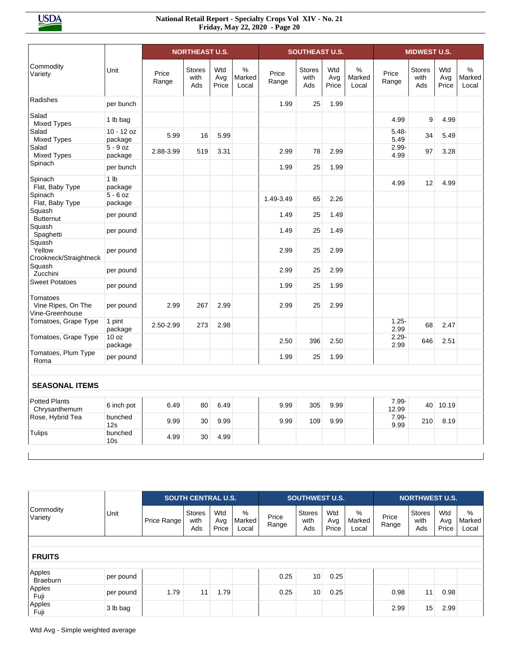|                                                   |                            |                | <b>NORTHEAST U.S.</b>        |                     |                         |                | <b>SOUTHEAST U.S.</b>        |                     |                      |                  | <b>MIDWEST U.S.</b>          |                     |                      |
|---------------------------------------------------|----------------------------|----------------|------------------------------|---------------------|-------------------------|----------------|------------------------------|---------------------|----------------------|------------------|------------------------------|---------------------|----------------------|
| Commodity<br>Variety                              | Unit                       | Price<br>Range | <b>Stores</b><br>with<br>Ads | Wtd<br>Avg<br>Price | $\%$<br>Marked<br>Local | Price<br>Range | <b>Stores</b><br>with<br>Ads | Wtd<br>Avg<br>Price | %<br>Marked<br>Local | Price<br>Range   | <b>Stores</b><br>with<br>Ads | Wtd<br>Avg<br>Price | %<br>Marked<br>Local |
| Radishes                                          | per bunch                  |                |                              |                     |                         | 1.99           | 25                           | 1.99                |                      |                  |                              |                     |                      |
| Salad<br><b>Mixed Types</b>                       | 1 lb bag                   |                |                              |                     |                         |                |                              |                     |                      | 4.99             | 9                            | 4.99                |                      |
| Salad<br><b>Mixed Types</b>                       | $10 - 12$ oz<br>package    | 5.99           | 16                           | 5.99                |                         |                |                              |                     |                      | $5.48 -$<br>5.49 | 34                           | 5.49                |                      |
| Salad<br><b>Mixed Types</b>                       | $5 - 9$ oz<br>package      | 2.88-3.99      | 519                          | 3.31                |                         | 2.99           | 78                           | 2.99                |                      | $2.99 -$<br>4.99 | 97                           | 3.28                |                      |
| Spinach                                           | per bunch                  |                |                              |                     |                         | 1.99           | 25                           | 1.99                |                      |                  |                              |                     |                      |
| Spinach<br>Flat, Baby Type                        | 1 <sub>lb</sub><br>package |                |                              |                     |                         |                |                              |                     |                      | 4.99             | 12                           | 4.99                |                      |
| Spinach<br>Flat, Baby Type                        | $5 - 6$ oz<br>package      |                |                              |                     |                         | 1.49-3.49      | 65                           | 2.26                |                      |                  |                              |                     |                      |
| Squash<br><b>Butternut</b>                        | per pound                  |                |                              |                     |                         | 1.49           | 25                           | 1.49                |                      |                  |                              |                     |                      |
| Squash<br>Spaghetti                               | per pound                  |                |                              |                     |                         | 1.49           | 25                           | 1.49                |                      |                  |                              |                     |                      |
| Squash<br>Yellow<br>Crookneck/Straightneck        | per pound                  |                |                              |                     |                         | 2.99           | 25                           | 2.99                |                      |                  |                              |                     |                      |
| Squash<br>Zucchini                                | per pound                  |                |                              |                     |                         | 2.99           | 25                           | 2.99                |                      |                  |                              |                     |                      |
| <b>Sweet Potatoes</b>                             | per pound                  |                |                              |                     |                         | 1.99           | 25                           | 1.99                |                      |                  |                              |                     |                      |
| Tomatoes<br>Vine Ripes, On The<br>Vine-Greenhouse | per pound                  | 2.99           | 267                          | 2.99                |                         | 2.99           | 25                           | 2.99                |                      |                  |                              |                     |                      |
| Tomatoes, Grape Type                              | 1 pint<br>package          | 2.50-2.99      | 273                          | 2.98                |                         |                |                              |                     |                      | $1.25 -$<br>2.99 | 68                           | 2.47                |                      |
| Tomatoes, Grape Type                              | 10 oz<br>package           |                |                              |                     |                         | 2.50           | 396                          | 2.50                |                      | $2.29 -$<br>2.99 | 646                          | 2.51                |                      |
| Tomatoes, Plum Type<br>Roma                       | per pound                  |                |                              |                     |                         | 1.99           | 25                           | 1.99                |                      |                  |                              |                     |                      |
| <b>SEASONAL ITEMS</b>                             |                            |                |                              |                     |                         |                |                              |                     |                      |                  |                              |                     |                      |
| <b>Potted Plants</b><br>Chrysanthemum             | 6 inch pot                 | 6.49           | 80                           | 6.49                |                         | 9.99           | 305                          | 9.99                |                      | 7.99-<br>12.99   | 40                           | 10.19               |                      |
| Rose, Hybrid Tea                                  | bunched<br>12s             | 9.99           | 30                           | 9.99                |                         | 9.99           | 109                          | 9.99                |                      | 7.99-<br>9.99    | 210                          | 8.19                |                      |
| <b>Tulips</b>                                     | bunched<br>10 <sub>s</sub> | 4.99           | 30                           | 4.99                |                         |                |                              |                     |                      |                  |                              |                     |                      |

|                           |           |             | <b>SOUTH CENTRAL U.S.</b>    |                     |                      |                | <b>SOUTHWEST U.S.</b>        |                     |                      |                | <b>NORTHWEST U.S.</b>        |                     |                      |
|---------------------------|-----------|-------------|------------------------------|---------------------|----------------------|----------------|------------------------------|---------------------|----------------------|----------------|------------------------------|---------------------|----------------------|
| Commodity<br>Variety      | Unit      | Price Range | <b>Stores</b><br>with<br>Ads | Wtd<br>Avg<br>Price | %<br>Marked<br>Local | Price<br>Range | <b>Stores</b><br>with<br>Ads | Wtd<br>Avg<br>Price | %<br>Marked<br>Local | Price<br>Range | <b>Stores</b><br>with<br>Ads | Wtd<br>Avg<br>Price | %<br>Marked<br>Local |
|                           |           |             |                              |                     |                      |                |                              |                     |                      |                |                              |                     |                      |
| <b>FRUITS</b>             |           |             |                              |                     |                      |                |                              |                     |                      |                |                              |                     |                      |
| Apples<br><b>Braeburn</b> | per pound |             |                              |                     |                      | 0.25           | 10 <sup>1</sup>              | 0.25                |                      |                |                              |                     |                      |
| Apples<br>Fuji            | per pound | 1.79        | 11                           | 1.79                |                      | 0.25           | 10                           | 0.25                |                      | 0.98           | 11                           | 0.98                |                      |
| Apples<br>Fuji            | 3 lb bag  |             |                              |                     |                      |                |                              |                     |                      | 2.99           | 15                           | 2.99                |                      |

 $\overline{\phantom{a}}$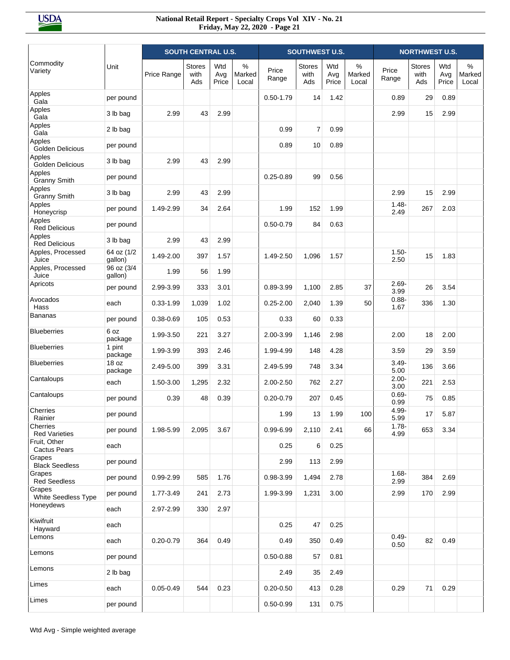|                                     |                       |               | <b>SOUTH CENTRAL U.S.</b>    |                     |                      |                | <b>SOUTHWEST U.S.</b>        |                     |                         |                  | <b>NORTHWEST U.S.</b> |                     |                      |
|-------------------------------------|-----------------------|---------------|------------------------------|---------------------|----------------------|----------------|------------------------------|---------------------|-------------------------|------------------|-----------------------|---------------------|----------------------|
| Commodity<br>Variety                | Unit                  | Price Range   | <b>Stores</b><br>with<br>Ads | Wtd<br>Avg<br>Price | %<br>Marked<br>Local | Price<br>Range | <b>Stores</b><br>with<br>Ads | Wtd<br>Avg<br>Price | $\%$<br>Marked<br>Local | Price<br>Range   | Stores<br>with<br>Ads | Wtd<br>Avg<br>Price | %<br>Marked<br>Local |
| Apples<br>Gala                      | per pound             |               |                              |                     |                      | $0.50 - 1.79$  | 14                           | 1.42                |                         | 0.89             | 29                    | 0.89                |                      |
| Apples<br>Gala                      | 3 lb bag              | 2.99          | 43                           | 2.99                |                      |                |                              |                     |                         | 2.99             | 15                    | 2.99                |                      |
| Apples<br>Gala                      | 2 lb bag              |               |                              |                     |                      | 0.99           | $\overline{7}$               | 0.99                |                         |                  |                       |                     |                      |
| Apples<br>Golden Delicious          | per pound             |               |                              |                     |                      | 0.89           | 10                           | 0.89                |                         |                  |                       |                     |                      |
| Apples<br>Golden Delicious          | 3 lb bag              | 2.99          | 43                           | 2.99                |                      |                |                              |                     |                         |                  |                       |                     |                      |
| Apples<br><b>Granny Smith</b>       | per pound             |               |                              |                     |                      | $0.25 - 0.89$  | 99                           | 0.56                |                         |                  |                       |                     |                      |
| Apples<br><b>Granny Smith</b>       | 3 lb bag              | 2.99          | 43                           | 2.99                |                      |                |                              |                     |                         | 2.99             | 15                    | 2.99                |                      |
| Apples<br>Honeycrisp                | per pound             | 1.49-2.99     | 34                           | 2.64                |                      | 1.99           | 152                          | 1.99                |                         | $1.48 -$<br>2.49 | 267                   | 2.03                |                      |
| Apples<br><b>Red Delicious</b>      | per pound             |               |                              |                     |                      | $0.50 - 0.79$  | 84                           | 0.63                |                         |                  |                       |                     |                      |
| Apples<br><b>Red Delicious</b>      | 3 lb bag              | 2.99          | 43                           | 2.99                |                      |                |                              |                     |                         |                  |                       |                     |                      |
| Apples, Processed<br>Juice          | 64 oz (1/2<br>gallon) | 1.49-2.00     | 397                          | 1.57                |                      | 1.49-2.50      | 1,096                        | 1.57                |                         | $1.50 -$<br>2.50 | 15                    | 1.83                |                      |
| Apples, Processed<br>Juice          | 96 oz (3/4<br>gallon) | 1.99          | 56                           | 1.99                |                      |                |                              |                     |                         |                  |                       |                     |                      |
| Apricots                            | per pound             | 2.99-3.99     | 333                          | 3.01                |                      | 0.89-3.99      | 1,100                        | 2.85                | 37                      | $2.69 -$<br>3.99 | 26                    | 3.54                |                      |
| Avocados<br>Hass                    | each                  | $0.33 - 1.99$ | 1,039                        | 1.02                |                      | $0.25 - 2.00$  | 2,040                        | 1.39                | 50                      | $0.88 -$<br>1.67 | 336                   | 1.30                |                      |
| <b>Bananas</b>                      | per pound             | $0.38 - 0.69$ | 105                          | 0.53                |                      | 0.33           | 60                           | 0.33                |                         |                  |                       |                     |                      |
| <b>Blueberries</b>                  | 6 oz<br>package       | 1.99-3.50     | 221                          | 3.27                |                      | 2.00-3.99      | 1,146                        | 2.98                |                         | 2.00             | 18                    | 2.00                |                      |
| <b>Blueberries</b>                  | 1 pint<br>package     | 1.99-3.99     | 393                          | 2.46                |                      | 1.99-4.99      | 148                          | 4.28                |                         | 3.59             | 29                    | 3.59                |                      |
| <b>Blueberries</b>                  | 18 oz<br>package      | 2.49-5.00     | 399                          | 3.31                |                      | 2.49-5.99      | 748                          | 3.34                |                         | $3.49 -$<br>5.00 | 136                   | 3.66                |                      |
| Cantaloups                          | each                  | 1.50-3.00     | 1,295                        | 2.32                |                      | 2.00-2.50      | 762                          | 2.27                |                         | $2.00 -$<br>3.00 | 221                   | 2.53                |                      |
| Cantaloups                          | per pound             | 0.39          | 48                           | 0.39                |                      | $0.20 - 0.79$  | 207                          | 0.45                |                         | $0.69 -$<br>0.99 | 75                    | 0.85                |                      |
| Cherries<br>Rainier                 | per pound             |               |                              |                     |                      | 1.99           | 13                           | 1.99                | 100                     | 4.99-<br>5.99    | 17                    | 5.87                |                      |
| Cherries<br><b>Red Varieties</b>    | per pound             | 1.98-5.99     | 2.095                        | 3.67                |                      | $0.99 - 6.99$  | 2,110                        | 2.41                | 66                      | $1.78 -$<br>4.99 | 653                   | 3.34                |                      |
| Fruit, Other<br><b>Cactus Pears</b> | each                  |               |                              |                     |                      | 0.25           | 6                            | 0.25                |                         |                  |                       |                     |                      |
| Grapes<br><b>Black Seedless</b>     | per pound             |               |                              |                     |                      | 2.99           | 113                          | 2.99                |                         |                  |                       |                     |                      |
| Grapes<br><b>Red Seedless</b>       | per pound             | 0.99-2.99     | 585                          | 1.76                |                      | 0.98-3.99      | 1,494                        | 2.78                |                         | $1.68 -$<br>2.99 | 384                   | 2.69                |                      |
| Grapes<br>White Seedless Type       | per pound             | 1.77-3.49     | 241                          | 2.73                |                      | 1.99-3.99      | 1,231                        | 3.00                |                         | 2.99             | 170                   | 2.99                |                      |
| Honeydews                           | each                  | 2.97-2.99     | 330                          | 2.97                |                      |                |                              |                     |                         |                  |                       |                     |                      |
| Kiwifruit<br>Hayward                | each                  |               |                              |                     |                      | 0.25           | 47                           | 0.25                |                         |                  |                       |                     |                      |
| Lemons                              | each                  | $0.20 - 0.79$ | 364                          | 0.49                |                      | 0.49           | 350                          | 0.49                |                         | $0.49 -$<br>0.50 | 82                    | 0.49                |                      |
| Lemons                              | per pound             |               |                              |                     |                      | $0.50 - 0.88$  | 57                           | 0.81                |                         |                  |                       |                     |                      |
| Lemons                              | 2 lb bag              |               |                              |                     |                      | 2.49           | 35                           | 2.49                |                         |                  |                       |                     |                      |
| Limes                               | each                  | $0.05 - 0.49$ | 544                          | 0.23                |                      | $0.20 - 0.50$  | 413                          | 0.28                |                         | 0.29             | 71                    | 0.29                |                      |
| Limes                               | per pound             |               |                              |                     |                      | $0.50 - 0.99$  | 131                          | 0.75                |                         |                  |                       |                     |                      |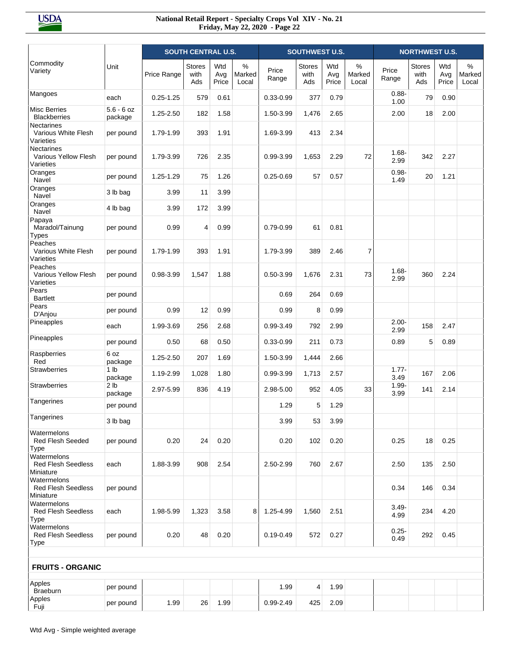|                                                        |                            |               | <b>SOUTH CENTRAL U.S.</b>    |                     |                         |                | <b>SOUTHWEST U.S.</b>        |                     |                         |                  | <b>NORTHWEST U.S.</b>        |                     |                         |
|--------------------------------------------------------|----------------------------|---------------|------------------------------|---------------------|-------------------------|----------------|------------------------------|---------------------|-------------------------|------------------|------------------------------|---------------------|-------------------------|
| Commodity<br>Variety                                   | Unit                       | Price Range   | <b>Stores</b><br>with<br>Ads | Wtd<br>Avg<br>Price | $\%$<br>Marked<br>Local | Price<br>Range | <b>Stores</b><br>with<br>Ads | Wtd<br>Avg<br>Price | $\%$<br>Marked<br>Local | Price<br>Range   | <b>Stores</b><br>with<br>Ads | Wtd<br>Avg<br>Price | $\%$<br>Marked<br>Local |
| Mangoes                                                | each                       | $0.25 - 1.25$ | 579                          | 0.61                |                         | $0.33 - 0.99$  | 377                          | 0.79                |                         | $0.88 -$<br>1.00 | 79                           | 0.90                |                         |
| <b>Misc Berries</b><br><b>Blackberries</b>             | $5.6 - 6$ oz<br>package    | 1.25-2.50     | 182                          | 1.58                |                         | 1.50-3.99      | 1,476                        | 2.65                |                         | 2.00             | 18                           | 2.00                |                         |
| Nectarines<br>Various White Flesh<br>Varieties         | per pound                  | 1.79-1.99     | 393                          | 1.91                |                         | 1.69-3.99      | 413                          | 2.34                |                         |                  |                              |                     |                         |
| <b>Nectarines</b><br>Various Yellow Flesh<br>Varieties | per pound                  | 1.79-3.99     | 726                          | 2.35                |                         | 0.99-3.99      | 1,653                        | 2.29                | 72                      | $1.68 -$<br>2.99 | 342                          | 2.27                |                         |
| Oranges<br>Navel                                       | per pound                  | 1.25-1.29     | 75                           | 1.26                |                         | $0.25 - 0.69$  | 57                           | 0.57                |                         | $0.98 -$<br>1.49 | 20                           | 1.21                |                         |
| Oranges<br>Navel                                       | 3 lb bag                   | 3.99          | 11                           | 3.99                |                         |                |                              |                     |                         |                  |                              |                     |                         |
| Oranges<br>Navel                                       | 4 lb bag                   | 3.99          | 172                          | 3.99                |                         |                |                              |                     |                         |                  |                              |                     |                         |
| Papaya<br>Maradol/Tainung<br><b>Types</b>              | per pound                  | 0.99          | 4                            | 0.99                |                         | $0.79 - 0.99$  | 61                           | 0.81                |                         |                  |                              |                     |                         |
| Peaches<br>Various White Flesh<br>Varieties            | per pound                  | 1.79-1.99     | 393                          | 1.91                |                         | 1.79-3.99      | 389                          | 2.46                | 7                       |                  |                              |                     |                         |
| Peaches<br><b>Various Yellow Flesh</b><br>Varieties    | per pound                  | 0.98-3.99     | 1,547                        | 1.88                |                         | $0.50 - 3.99$  | 1,676                        | 2.31                | 73                      | $1.68 -$<br>2.99 | 360                          | 2.24                |                         |
| Pears<br><b>Bartlett</b>                               | per pound                  |               |                              |                     |                         | 0.69           | 264                          | 0.69                |                         |                  |                              |                     |                         |
| Pears<br>D'Anjou                                       | per pound                  | 0.99          | 12                           | 0.99                |                         | 0.99           | 8                            | 0.99                |                         |                  |                              |                     |                         |
| Pineapples                                             | each                       | 1.99-3.69     | 256                          | 2.68                |                         | $0.99 - 3.49$  | 792                          | 2.99                |                         | $2.00 -$<br>2.99 | 158                          | 2.47                |                         |
| Pineapples                                             | per pound                  | 0.50          | 68                           | 0.50                |                         | $0.33 - 0.99$  | 211                          | 0.73                |                         | 0.89             | 5                            | 0.89                |                         |
| Raspberries<br>Red                                     | 6 oz<br>package            | 1.25-2.50     | 207                          | 1.69                |                         | 1.50-3.99      | 1,444                        | 2.66                |                         |                  |                              |                     |                         |
| <b>Strawberries</b>                                    | 1 <sub>lb</sub><br>package | 1.19-2.99     | 1,028                        | 1.80                |                         | 0.99-3.99      | 1,713                        | 2.57                |                         | $1.77 -$<br>3.49 | 167                          | 2.06                |                         |
| <b>Strawberries</b>                                    | 2 <sub>lb</sub><br>package | 2.97-5.99     | 836                          | 4.19                |                         | 2.98-5.00      | 952                          | 4.05                | 33                      | $1.99 -$<br>3.99 | 141                          | 2.14                |                         |
| Tangerines                                             | per pound                  |               |                              |                     |                         | 1.29           | 5                            | 1.29                |                         |                  |                              |                     |                         |
| Tangerines                                             | 3 lb bag                   |               |                              |                     |                         | 3.99           | 53                           | 3.99                |                         |                  |                              |                     |                         |
| Watermelons<br><b>Red Flesh Seeded</b><br><b>Type</b>  | per pound                  | 0.20          | 24                           | 0.20                |                         | 0.20           | 102                          | 0.20                |                         | 0.25             | 18                           | 0.25                |                         |
| Watermelons<br><b>Red Flesh Seedless</b><br>Miniature  | each                       | 1.88-3.99     | 908                          | 2.54                |                         | 2.50-2.99      | 760                          | 2.67                |                         | 2.50             | 135                          | 2.50                |                         |
| Watermelons<br>Red Flesh Seedless<br>Miniature         | per pound                  |               |                              |                     |                         |                |                              |                     |                         | 0.34             | 146                          | 0.34                |                         |
| Watermelons<br><b>Red Flesh Seedless</b><br>Type       | each                       | 1.98-5.99     | 1,323                        | 3.58                | 8                       | 1.25-4.99      | 1,560                        | 2.51                |                         | $3.49 -$<br>4.99 | 234                          | 4.20                |                         |
| Watermelons<br><b>Red Flesh Seedless</b><br>Type       | per pound                  | 0.20          | 48                           | 0.20                |                         | $0.19 - 0.49$  | 572                          | 0.27                |                         | $0.25 -$<br>0.49 | 292                          | 0.45                |                         |
| <b>FRUITS - ORGANIC</b>                                |                            |               |                              |                     |                         |                |                              |                     |                         |                  |                              |                     |                         |
| Apples<br><b>Braeburn</b>                              | per pound                  |               |                              |                     |                         | 1.99           | 4                            | 1.99                |                         |                  |                              |                     |                         |
| Apples<br>Fuji                                         | per pound                  | 1.99          | 26                           | 1.99                |                         | $0.99 - 2.49$  | 425                          | 2.09                |                         |                  |                              |                     |                         |
|                                                        |                            |               |                              |                     |                         |                |                              |                     |                         |                  |                              |                     |                         |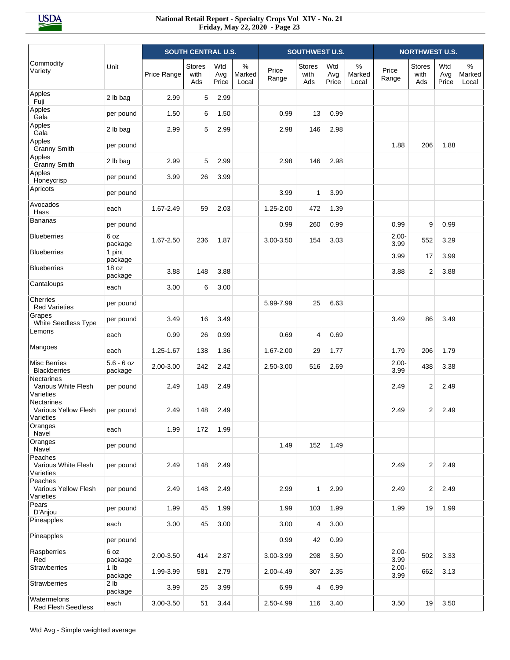|                                                 |                            |             | <b>SOUTH CENTRAL U.S.</b>    |                     |                      |                | <b>SOUTHWEST U.S.</b> |                     |                         |                  | <b>NORTHWEST U.S.</b>        |                     |                         |
|-------------------------------------------------|----------------------------|-------------|------------------------------|---------------------|----------------------|----------------|-----------------------|---------------------|-------------------------|------------------|------------------------------|---------------------|-------------------------|
| Commodity<br>Variety                            | Unit                       | Price Range | <b>Stores</b><br>with<br>Ads | Wtd<br>Avg<br>Price | %<br>Marked<br>Local | Price<br>Range | Stores<br>with<br>Ads | Wtd<br>Avg<br>Price | $\%$<br>Marked<br>Local | Price<br>Range   | <b>Stores</b><br>with<br>Ads | Wtd<br>Avg<br>Price | $\%$<br>Marked<br>Local |
| Apples<br>Fuji                                  | 2 lb bag                   | 2.99        | 5                            | 2.99                |                      |                |                       |                     |                         |                  |                              |                     |                         |
| Apples<br>Gala                                  | per pound                  | 1.50        | 6                            | 1.50                |                      | 0.99           | 13                    | 0.99                |                         |                  |                              |                     |                         |
| Apples<br>Gala                                  | 2 lb bag                   | 2.99        | 5                            | 2.99                |                      | 2.98           | 146                   | 2.98                |                         |                  |                              |                     |                         |
| Apples<br><b>Granny Smith</b>                   | per pound                  |             |                              |                     |                      |                |                       |                     |                         | 1.88             | 206                          | 1.88                |                         |
| Apples<br><b>Granny Smith</b>                   | 2 lb bag                   | 2.99        | 5                            | 2.99                |                      | 2.98           | 146                   | 2.98                |                         |                  |                              |                     |                         |
| Apples<br>Honeycrisp                            | per pound                  | 3.99        | 26                           | 3.99                |                      |                |                       |                     |                         |                  |                              |                     |                         |
| Apricots                                        | per pound                  |             |                              |                     |                      | 3.99           | $\mathbf{1}$          | 3.99                |                         |                  |                              |                     |                         |
| Avocados<br>Hass                                | each                       | 1.67-2.49   | 59                           | 2.03                |                      | 1.25-2.00      | 472                   | 1.39                |                         |                  |                              |                     |                         |
| <b>Bananas</b>                                  | per pound                  |             |                              |                     |                      | 0.99           | 260                   | 0.99                |                         | 0.99             | 9                            | 0.99                |                         |
| <b>Blueberries</b>                              | 6 oz<br>package            | 1.67-2.50   | 236                          | 1.87                |                      | 3.00-3.50      | 154                   | 3.03                |                         | $2.00 -$<br>3.99 | 552                          | 3.29                |                         |
| <b>Blueberries</b>                              | 1 pint<br>package          |             |                              |                     |                      |                |                       |                     |                         | 3.99             | 17                           | 3.99                |                         |
| <b>Blueberries</b>                              | 18 oz<br>package           | 3.88        | 148                          | 3.88                |                      |                |                       |                     |                         | 3.88             | 2                            | 3.88                |                         |
| Cantaloups                                      | each                       | 3.00        | 6                            | 3.00                |                      |                |                       |                     |                         |                  |                              |                     |                         |
| Cherries<br><b>Red Varieties</b>                | per pound                  |             |                              |                     |                      | 5.99-7.99      | 25                    | 6.63                |                         |                  |                              |                     |                         |
| Grapes<br>White Seedless Type                   | per pound                  | 3.49        | 16                           | 3.49                |                      |                |                       |                     |                         | 3.49             | 86                           | 3.49                |                         |
| Lemons                                          | each                       | 0.99        | 26                           | 0.99                |                      | 0.69           | $\overline{4}$        | 0.69                |                         |                  |                              |                     |                         |
| Mangoes                                         | each                       | 1.25-1.67   | 138                          | 1.36                |                      | 1.67-2.00      | 29                    | 1.77                |                         | 1.79             | 206                          | 1.79                |                         |
| <b>Misc Berries</b><br><b>Blackberries</b>      | $5.6 - 6$ oz<br>package    | 2.00-3.00   | 242                          | 2.42                |                      | 2.50-3.00      | 516                   | 2.69                |                         | $2.00 -$<br>3.99 | 438                          | 3.38                |                         |
| Nectarines<br>Various White Flesh<br>Varieties  | per pound                  | 2.49        | 148                          | 2.49                |                      |                |                       |                     |                         | 2.49             | 2                            | 2.49                |                         |
| Nectarines<br>Various Yellow Flesh<br>Varieties | per pound                  | 2.49        | 148                          | 2.49                |                      |                |                       |                     |                         | 2.49             | 2                            | 2.49                |                         |
| Oranges<br>Navel                                | each                       | 1.99        | 172                          | 1.99                |                      |                |                       |                     |                         |                  |                              |                     |                         |
| Oranges<br>Navel                                | per pound                  |             |                              |                     |                      | 1.49           | 152                   | 1.49                |                         |                  |                              |                     |                         |
| Peaches<br>Various White Flesh<br>Varieties     | per pound                  | 2.49        | 148                          | 2.49                |                      |                |                       |                     |                         | 2.49             | 2                            | 2.49                |                         |
| Peaches<br>Various Yellow Flesh<br>Varieties    | per pound                  | 2.49        | 148                          | 2.49                |                      | 2.99           | $\mathbf{1}$          | 2.99                |                         | 2.49             | 2                            | 2.49                |                         |
| Pears<br>D'Anjou                                | per pound                  | 1.99        | 45                           | 1.99                |                      | 1.99           | 103                   | 1.99                |                         | 1.99             | 19                           | 1.99                |                         |
| Pineapples                                      | each                       | 3.00        | 45                           | 3.00                |                      | 3.00           | $\overline{4}$        | 3.00                |                         |                  |                              |                     |                         |
| Pineapples                                      | per pound                  |             |                              |                     |                      | 0.99           | 42                    | 0.99                |                         |                  |                              |                     |                         |
| Raspberries<br>Red                              | 6 oz<br>package            | 2.00-3.50   | 414                          | 2.87                |                      | 3.00-3.99      | 298                   | 3.50                |                         | $2.00 -$<br>3.99 | 502                          | 3.33                |                         |
| <b>Strawberries</b>                             | 1 <sub>lb</sub><br>package | 1.99-3.99   | 581                          | 2.79                |                      | 2.00-4.49      | 307                   | 2.35                |                         | $2.00 -$<br>3.99 | 662                          | 3.13                |                         |
| Strawberries                                    | 2 <sub>lb</sub><br>package | 3.99        | 25                           | 3.99                |                      | 6.99           | 4                     | 6.99                |                         |                  |                              |                     |                         |
| Watermelons<br><b>Red Flesh Seedless</b>        | each                       | 3.00-3.50   | 51                           | 3.44                |                      | 2.50-4.99      | 116                   | 3.40                |                         | 3.50             | 19                           | 3.50                |                         |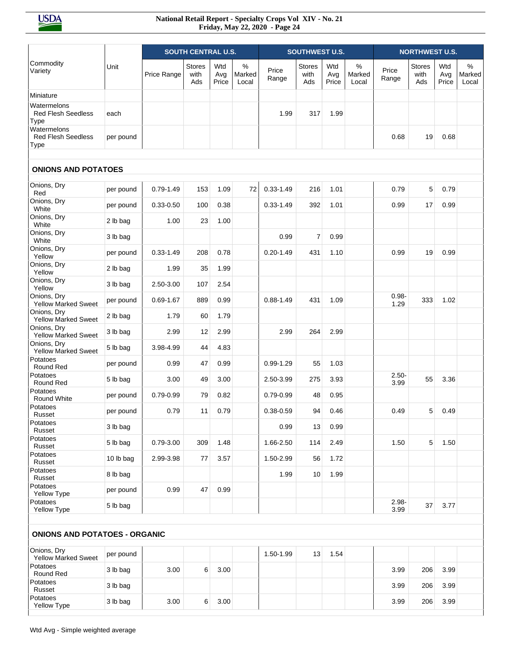|                                                         |           |               | <b>SOUTH CENTRAL U.S.</b>    |                     |                      |                | <b>SOUTHWEST U.S.</b>        |                     |                         |                  | <b>NORTHWEST U.S.</b>        |                     |                         |
|---------------------------------------------------------|-----------|---------------|------------------------------|---------------------|----------------------|----------------|------------------------------|---------------------|-------------------------|------------------|------------------------------|---------------------|-------------------------|
| Commodity<br>Variety                                    | Unit      | Price Range   | <b>Stores</b><br>with<br>Ads | Wtd<br>Avg<br>Price | %<br>Marked<br>Local | Price<br>Range | <b>Stores</b><br>with<br>Ads | Wtd<br>Avg<br>Price | $\%$<br>Marked<br>Local | Price<br>Range   | <b>Stores</b><br>with<br>Ads | Wtd<br>Avg<br>Price | $\%$<br>Marked<br>Local |
| Miniature                                               |           |               |                              |                     |                      |                |                              |                     |                         |                  |                              |                     |                         |
| Watermelons<br><b>Red Flesh Seedless</b><br><b>Type</b> | each      |               |                              |                     |                      | 1.99           | 317                          | 1.99                |                         |                  |                              |                     |                         |
| Watermelons<br><b>Red Flesh Seedless</b><br><b>Type</b> | per pound |               |                              |                     |                      |                |                              |                     |                         | 0.68             | 19                           | 0.68                |                         |
| <b>ONIONS AND POTATOES</b>                              |           |               |                              |                     |                      |                |                              |                     |                         |                  |                              |                     |                         |
| Onions, Dry<br>Red                                      | per pound | $0.79 - 1.49$ | 153                          | 1.09                | 72                   | $0.33 - 1.49$  | 216                          | 1.01                |                         | 0.79             | 5                            | 0.79                |                         |
| Onions, Dry<br>White                                    | per pound | $0.33 - 0.50$ | 100                          | 0.38                |                      | $0.33 - 1.49$  | 392                          | 1.01                |                         | 0.99             | 17                           | 0.99                |                         |
| Onions, Dry<br>White                                    | 2 lb bag  | 1.00          | 23                           | 1.00                |                      |                |                              |                     |                         |                  |                              |                     |                         |
| Onions, Dry<br>White                                    | 3 lb bag  |               |                              |                     |                      | 0.99           | 7                            | 0.99                |                         |                  |                              |                     |                         |
| Onions, Dry<br>Yellow                                   | per pound | $0.33 - 1.49$ | 208                          | 0.78                |                      | $0.20 - 1.49$  | 431                          | 1.10                |                         | 0.99             | 19                           | 0.99                |                         |
| Onions, Dry<br>Yellow                                   | 2 lb bag  | 1.99          | 35                           | 1.99                |                      |                |                              |                     |                         |                  |                              |                     |                         |
| Onions, Dry<br>Yellow                                   | 3 lb bag  | 2.50-3.00     | 107                          | 2.54                |                      |                |                              |                     |                         |                  |                              |                     |                         |
| Onions, Dry<br><b>Yellow Marked Sweet</b>               | per pound | $0.69 - 1.67$ | 889                          | 0.99                |                      | $0.88 - 1.49$  | 431                          | 1.09                |                         | $0.98 -$<br>1.29 | 333                          | 1.02                |                         |
| Onions, Dry<br><b>Yellow Marked Sweet</b>               | 2 lb bag  | 1.79          | 60                           | 1.79                |                      |                |                              |                     |                         |                  |                              |                     |                         |
| Onions, Dry<br>Yellow Marked Sweet                      | 3 lb bag  | 2.99          | 12                           | 2.99                |                      | 2.99           | 264                          | 2.99                |                         |                  |                              |                     |                         |
| Onions, Dry<br><b>Yellow Marked Sweet</b>               | 5 lb bag  | 3.98-4.99     | 44                           | 4.83                |                      |                |                              |                     |                         |                  |                              |                     |                         |
| Potatoes<br>Round Red                                   | per pound | 0.99          | 47                           | 0.99                |                      | $0.99 - 1.29$  | 55                           | 1.03                |                         |                  |                              |                     |                         |
| Potatoes<br>Round Red                                   | 5 lb bag  | 3.00          | 49                           | 3.00                |                      | 2.50-3.99      | 275                          | 3.93                |                         | $2.50 -$<br>3.99 | 55                           | 3.36                |                         |
| Potatoes<br>Round White                                 | per pound | 0.79-0.99     | 79                           | 0.82                |                      | $0.79 - 0.99$  | 48                           | 0.95                |                         |                  |                              |                     |                         |
| Potatoes<br>Russet                                      | per pound | 0.79          | 11                           | 0.79                |                      | $0.38 - 0.59$  | 94                           | 0.46                |                         | 0.49             | 5                            | 0.49                |                         |
| Potatoes<br>Russet                                      | 3 lb bag  |               |                              |                     |                      | 0.99           | 13                           | 0.99                |                         |                  |                              |                     |                         |
| Potatoes<br>Russet                                      | 5 lb bag  | 0.79-3.00     | 309                          | 1.48                |                      | 1.66-2.50      | 114                          | 2.49                |                         | 1.50             | 5                            | 1.50                |                         |
| Potatoes<br>Russet                                      | 10 lb bag | 2.99-3.98     | 77                           | 3.57                |                      | 1.50-2.99      | 56                           | 1.72                |                         |                  |                              |                     |                         |
| Potatoes<br>Russet                                      | 8 lb bag  |               |                              |                     |                      | 1.99           | 10                           | 1.99                |                         |                  |                              |                     |                         |
| Potatoes<br>Yellow Type                                 | per pound | 0.99          | 47                           | 0.99                |                      |                |                              |                     |                         |                  |                              |                     |                         |
| Potatoes<br>Yellow Type                                 | 5 lb bag  |               |                              |                     |                      |                |                              |                     |                         | $2.98 -$<br>3.99 | 37                           | 3.77                |                         |
| <b>ONIONS AND POTATOES - ORGANIC</b>                    |           |               |                              |                     |                      |                |                              |                     |                         |                  |                              |                     |                         |
| Onions, Dry<br>Yellow Marked Sweet                      | per pound |               |                              |                     |                      | 1.50-1.99      | 13                           | 1.54                |                         |                  |                              |                     |                         |
| Potatoes<br>Round Red                                   | 3 lb bag  | 3.00          | 6                            | 3.00                |                      |                |                              |                     |                         | 3.99             | 206                          | 3.99                |                         |
| Potatoes<br>Russet                                      | 3 lb bag  |               |                              |                     |                      |                |                              |                     |                         | 3.99             | 206                          | 3.99                |                         |
| Potatoes<br>Yellow Type                                 | 3 lb bag  | 3.00          | 6                            | 3.00                |                      |                |                              |                     |                         | 3.99             | 206                          | 3.99                |                         |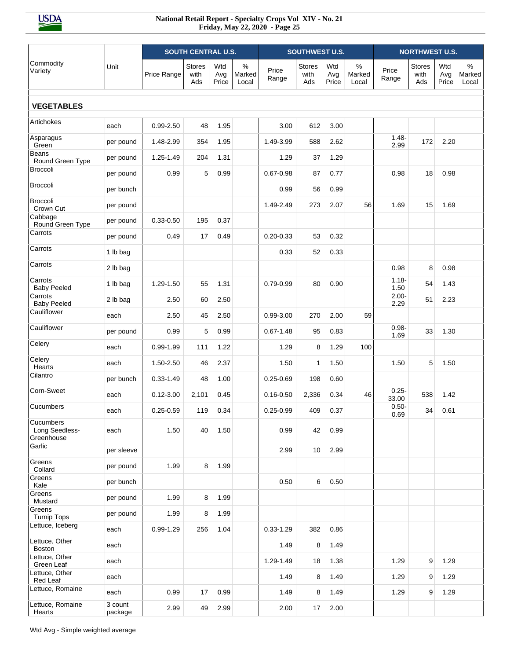|                                           |                    |               | <b>SOUTH CENTRAL U.S.</b> |                     |                         |                | <b>SOUTHWEST U.S.</b>        |                     |                         |                   | <b>NORTHWEST U.S.</b>        |                     |                      |
|-------------------------------------------|--------------------|---------------|---------------------------|---------------------|-------------------------|----------------|------------------------------|---------------------|-------------------------|-------------------|------------------------------|---------------------|----------------------|
| Commodity<br>Variety                      | Unit               | Price Range   | Stores<br>with<br>Ads     | Wtd<br>Avg<br>Price | $\%$<br>Marked<br>Local | Price<br>Range | <b>Stores</b><br>with<br>Ads | Wtd<br>Avg<br>Price | $\%$<br>Marked<br>Local | Price<br>Range    | <b>Stores</b><br>with<br>Ads | Wtd<br>Avg<br>Price | %<br>Marked<br>Local |
| <b>VEGETABLES</b>                         |                    |               |                           |                     |                         |                |                              |                     |                         |                   |                              |                     |                      |
| Artichokes                                | each               | $0.99 - 2.50$ | 48                        | 1.95                |                         | 3.00           | 612                          | 3.00                |                         |                   |                              |                     |                      |
| Asparagus<br>Green                        | per pound          | 1.48-2.99     | 354                       | 1.95                |                         | 1.49-3.99      | 588                          | 2.62                |                         | $1.48 -$<br>2.99  | 172                          | 2.20                |                      |
| <b>Beans</b><br>Round Green Type          | per pound          | 1.25-1.49     | 204                       | 1.31                |                         | 1.29           | 37                           | 1.29                |                         |                   |                              |                     |                      |
| <b>Broccoli</b>                           | per pound          | 0.99          | 5                         | 0.99                |                         | $0.67 - 0.98$  | 87                           | 0.77                |                         | 0.98              | 18                           | 0.98                |                      |
| <b>Broccoli</b>                           | per bunch          |               |                           |                     |                         | 0.99           | 56                           | 0.99                |                         |                   |                              |                     |                      |
| Broccoli<br>Crown Cut                     | per pound          |               |                           |                     |                         | 1.49-2.49      | 273                          | 2.07                | 56                      | 1.69              | 15                           | 1.69                |                      |
| Cabbage<br>Round Green Type               | per pound          | $0.33 - 0.50$ | 195                       | 0.37                |                         |                |                              |                     |                         |                   |                              |                     |                      |
| Carrots                                   | per pound          | 0.49          | 17                        | 0.49                |                         | $0.20 - 0.33$  | 53                           | 0.32                |                         |                   |                              |                     |                      |
| Carrots                                   | 1 lb bag           |               |                           |                     |                         | 0.33           | 52                           | 0.33                |                         |                   |                              |                     |                      |
| Carrots                                   | 2 lb bag           |               |                           |                     |                         |                |                              |                     |                         | 0.98              | 8                            | 0.98                |                      |
| Carrots<br><b>Baby Peeled</b>             | 1 lb bag           | 1.29-1.50     | 55                        | 1.31                |                         | $0.79 - 0.99$  | 80                           | 0.90                |                         | $1.18 -$<br>1.50  | 54                           | 1.43                |                      |
| Carrots<br><b>Baby Peeled</b>             | 2 lb bag           | 2.50          | 60                        | 2.50                |                         |                |                              |                     |                         | $2.00 -$<br>2.29  | 51                           | 2.23                |                      |
| Cauliflower                               | each               | 2.50          | 45                        | 2.50                |                         | $0.99 - 3.00$  | 270                          | 2.00                | 59                      |                   |                              |                     |                      |
| Cauliflower                               | per pound          | 0.99          | 5                         | 0.99                |                         | $0.67 - 1.48$  | 95                           | 0.83                |                         | $0.98 -$<br>1.69  | 33                           | 1.30                |                      |
| Celery                                    | each               | $0.99 - 1.99$ | 111                       | 1.22                |                         | 1.29           | 8                            | 1.29                | 100                     |                   |                              |                     |                      |
| Celery<br><b>Hearts</b>                   | each               | 1.50-2.50     | 46                        | 2.37                |                         | 1.50           | 1                            | 1.50                |                         | 1.50              | 5                            | 1.50                |                      |
| Cilantro                                  | per bunch          | $0.33 - 1.49$ | 48                        | 1.00                |                         | $0.25 - 0.69$  | 198                          | 0.60                |                         |                   |                              |                     |                      |
| Corn-Sweet                                | each               | $0.12 - 3.00$ | 2,101                     | 0.45                |                         | $0.16 - 0.50$  | 2,336                        | 0.34                | 46                      | $0.25 -$<br>33.00 | 538                          | 1.42                |                      |
| Cucumbers                                 | each               | $0.25 - 0.59$ | 119                       | 0.34                |                         | $0.25 - 0.99$  | 409                          | 0.37                |                         | $0.50 -$<br>0.69  | 34                           | 0.61                |                      |
| Cucumbers<br>Long Seedless-<br>Greenhouse | each               | 1.50          | 40                        | 1.50                |                         | 0.99           | 42                           | 0.99                |                         |                   |                              |                     |                      |
| Garlic                                    | per sleeve         |               |                           |                     |                         | 2.99           | 10                           | 2.99                |                         |                   |                              |                     |                      |
| Greens<br>Collard                         | per pound          | 1.99          | 8                         | 1.99                |                         |                |                              |                     |                         |                   |                              |                     |                      |
| Greens<br>Kale                            | per bunch          |               |                           |                     |                         | 0.50           | 6                            | 0.50                |                         |                   |                              |                     |                      |
| Greens<br>Mustard                         | per pound          | 1.99          | 8                         | 1.99                |                         |                |                              |                     |                         |                   |                              |                     |                      |
| Greens<br><b>Turnip Tops</b>              | per pound          | 1.99          | 8                         | 1.99                |                         |                |                              |                     |                         |                   |                              |                     |                      |
| Lettuce, Iceberg                          | each               | $0.99 - 1.29$ | 256                       | 1.04                |                         | $0.33 - 1.29$  | 382                          | 0.86                |                         |                   |                              |                     |                      |
| Lettuce, Other<br><b>Boston</b>           | each               |               |                           |                     |                         | 1.49           | 8                            | 1.49                |                         |                   |                              |                     |                      |
| Lettuce, Other<br>Green Leaf              | each               |               |                           |                     |                         | 1.29-1.49      | 18                           | 1.38                |                         | 1.29              | 9                            | 1.29                |                      |
| Lettuce, Other<br>Red Leaf                | each               |               |                           |                     |                         | 1.49           | 8                            | 1.49                |                         | 1.29              | 9                            | 1.29                |                      |
| Lettuce, Romaine                          | each               | 0.99          | 17                        | 0.99                |                         | 1.49           | 8                            | 1.49                |                         | 1.29              | 9                            | 1.29                |                      |
| Lettuce, Romaine<br>Hearts                | 3 count<br>package | 2.99          | 49                        | 2.99                |                         | 2.00           | 17                           | 2.00                |                         |                   |                              |                     |                      |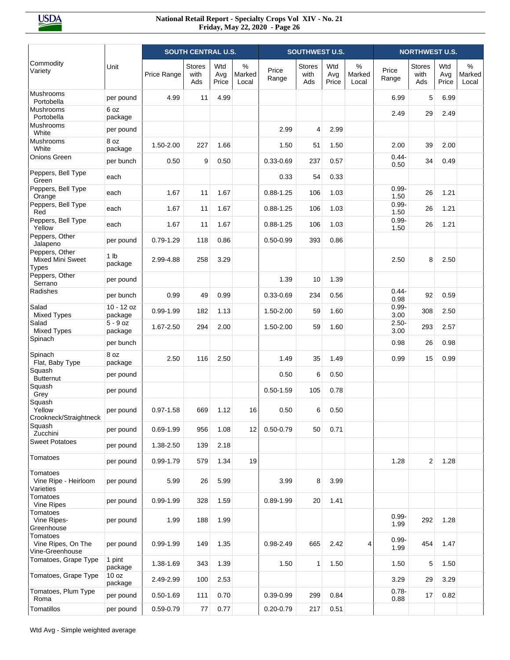|                                                           |                       | <b>SOUTH CENTRAL U.S.</b> |                              |                     |                      | <b>SOUTHWEST U.S.</b> |                              |                     | <b>NORTHWEST U.S.</b> |                  |                       |                     |                      |
|-----------------------------------------------------------|-----------------------|---------------------------|------------------------------|---------------------|----------------------|-----------------------|------------------------------|---------------------|-----------------------|------------------|-----------------------|---------------------|----------------------|
| Commodity<br>Variety                                      | Unit                  | Price Range               | <b>Stores</b><br>with<br>Ads | Wtd<br>Avg<br>Price | %<br>Marked<br>Local | Price<br>Range        | <b>Stores</b><br>with<br>Ads | Wtd<br>Avg<br>Price | %<br>Marked<br>Local  | Price<br>Range   | Stores<br>with<br>Ads | Wtd<br>Avg<br>Price | %<br>Marked<br>Local |
| Mushrooms<br>Portobella                                   | per pound             | 4.99                      | 11                           | 4.99                |                      |                       |                              |                     |                       | 6.99             | 5                     | 6.99                |                      |
| <b>Mushrooms</b><br>Portobella                            | 6 oz<br>package       |                           |                              |                     |                      |                       |                              |                     |                       | 2.49             | 29                    | 2.49                |                      |
| <b>Mushrooms</b><br>White                                 | per pound             |                           |                              |                     |                      | 2.99                  | $\overline{4}$               | 2.99                |                       |                  |                       |                     |                      |
| <b>Mushrooms</b><br>White                                 | 8 oz<br>package       | 1.50-2.00                 | 227                          | 1.66                |                      | 1.50                  | 51                           | 1.50                |                       | 2.00             | 39                    | 2.00                |                      |
| Onions Green                                              | per bunch             | 0.50                      | 9                            | 0.50                |                      | $0.33 - 0.69$         | 237                          | 0.57                |                       | $0.44 -$<br>0.50 | 34                    | 0.49                |                      |
| Peppers, Bell Type<br>Green                               | each                  |                           |                              |                     |                      | 0.33                  | 54                           | 0.33                |                       |                  |                       |                     |                      |
| Peppers, Bell Type<br>Orange                              | each                  | 1.67                      | 11                           | 1.67                |                      | $0.88 - 1.25$         | 106                          | 1.03                |                       | $0.99 -$<br>1.50 | 26                    | 1.21                |                      |
| Peppers, Bell Type<br>Red                                 | each                  | 1.67                      | 11                           | 1.67                |                      | $0.88 - 1.25$         | 106                          | 1.03                |                       | $0.99 -$<br>1.50 | 26                    | 1.21                |                      |
| Peppers, Bell Type<br>Yellow                              | each                  | 1.67                      | 11                           | 1.67                |                      | $0.88 - 1.25$         | 106                          | 1.03                |                       | $0.99 -$<br>1.50 | 26                    | 1.21                |                      |
| Peppers, Other<br>Jalapeno                                | per pound             | $0.79 - 1.29$             | 118                          | 0.86                |                      | $0.50 - 0.99$         | 393                          | 0.86                |                       |                  |                       |                     |                      |
| Peppers, Other<br><b>Mixed Mini Sweet</b><br><b>Types</b> | 1 lb<br>package       | 2.99-4.88                 | 258                          | 3.29                |                      |                       |                              |                     |                       | 2.50             | 8                     | 2.50                |                      |
| Peppers, Other<br>Serrano                                 | per pound             |                           |                              |                     |                      | 1.39                  | 10                           | 1.39                |                       |                  |                       |                     |                      |
| Radishes                                                  | per bunch             | 0.99                      | 49                           | 0.99                |                      | $0.33 - 0.69$         | 234                          | 0.56                |                       | $0.44 -$<br>0.98 | 92                    | 0.59                |                      |
| Salad<br><b>Mixed Types</b>                               | 10 - 12 oz<br>package | $0.99 - 1.99$             | 182                          | 1.13                |                      | 1.50-2.00             | 59                           | 1.60                |                       | $0.99 -$<br>3.00 | 308                   | 2.50                |                      |
| Salad<br><b>Mixed Types</b>                               | $5 - 9$ oz<br>package | 1.67-2.50                 | 294                          | 2.00                |                      | 1.50-2.00             | 59                           | 1.60                |                       | $2.50 -$<br>3.00 | 293                   | 2.57                |                      |
| Spinach                                                   | per bunch             |                           |                              |                     |                      |                       |                              |                     |                       | 0.98             | 26                    | 0.98                |                      |
| Spinach<br>Flat, Baby Type                                | 8 oz<br>package       | 2.50                      | 116                          | 2.50                |                      | 1.49                  | 35                           | 1.49                |                       | 0.99             | 15                    | 0.99                |                      |
| Squash<br><b>Butternut</b>                                | per pound             |                           |                              |                     |                      | 0.50                  | 6                            | 0.50                |                       |                  |                       |                     |                      |
| Squash<br>Grey                                            | per pound             |                           |                              |                     |                      | $0.50 - 1.59$         | 105                          | 0.78                |                       |                  |                       |                     |                      |
| Squash<br>Yellow<br>Crookneck/Straightneck                | per pound             | $0.97 - 1.58$             | 669                          | 1.12                | 16                   | 0.50                  | 6                            | 0.50                |                       |                  |                       |                     |                      |
| Squash<br>Zucchini                                        | per pound             | $0.69 - 1.99$             | 956                          | 1.08                | 12                   | $0.50 - 0.79$         | 50                           | 0.71                |                       |                  |                       |                     |                      |
| <b>Sweet Potatoes</b>                                     | per pound             | 1.38-2.50                 | 139                          | 2.18                |                      |                       |                              |                     |                       |                  |                       |                     |                      |
| Tomatoes                                                  | per pound             | 0.99-1.79                 | 579                          | 1.34                | 19                   |                       |                              |                     |                       | 1.28             | 2                     | 1.28                |                      |
| Tomatoes<br>Vine Ripe - Heirloom<br>Varieties             | per pound             | 5.99                      | 26                           | 5.99                |                      | 3.99                  | 8                            | 3.99                |                       |                  |                       |                     |                      |
| Tomatoes<br>Vine Ripes                                    | per pound             | $0.99 - 1.99$             | 328                          | 1.59                |                      | $0.89 - 1.99$         | 20                           | 1.41                |                       |                  |                       |                     |                      |
| Tomatoes<br>Vine Ripes-<br>Greenhouse                     | per pound             | 1.99                      | 188                          | 1.99                |                      |                       |                              |                     |                       | $0.99 -$<br>1.99 | 292                   | 1.28                |                      |
| Tomatoes<br>Vine Ripes, On The<br>Vine-Greenhouse         | per pound             | $0.99 - 1.99$             | 149                          | 1.35                |                      | 0.98-2.49             | 665                          | 2.42                | 4                     | $0.99 -$<br>1.99 | 454                   | 1.47                |                      |
| Tomatoes, Grape Type                                      | 1 pint<br>package     | 1.38-1.69                 | 343                          | 1.39                |                      | 1.50                  | $\mathbf{1}$                 | 1.50                |                       | 1.50             | 5                     | 1.50                |                      |
| Tomatoes, Grape Type                                      | 10 oz<br>package      | 2.49-2.99                 | 100                          | 2.53                |                      |                       |                              |                     |                       | 3.29             | 29                    | 3.29                |                      |
| Tomatoes, Plum Type<br>Roma                               | per pound             | $0.50 - 1.69$             | 111                          | 0.70                |                      | $0.39 - 0.99$         | 299                          | 0.84                |                       | $0.78 -$<br>0.88 | 17                    | 0.82                |                      |
| Tomatillos                                                | per pound             | 0.59-0.79                 | 77                           | 0.77                |                      | $0.20 - 0.79$         | 217                          | 0.51                |                       |                  |                       |                     |                      |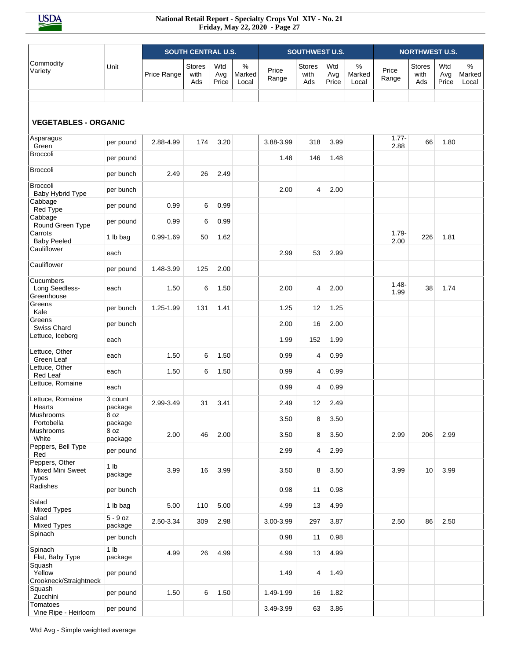|                                                    |                            | <b>SOUTH CENTRAL U.S.</b> |                              |                     |                                  |                | <b>SOUTHWEST U.S.</b>        |                     | <b>NORTHWEST U.S.</b>   |                  |                              |                     |                      |
|----------------------------------------------------|----------------------------|---------------------------|------------------------------|---------------------|----------------------------------|----------------|------------------------------|---------------------|-------------------------|------------------|------------------------------|---------------------|----------------------|
| Commodity<br>Variety                               | Unit                       | Price Range               | <b>Stores</b><br>with<br>Ads | Wtd<br>Avg<br>Price | $\frac{0}{0}$<br>Marked<br>Local | Price<br>Range | <b>Stores</b><br>with<br>Ads | Wtd<br>Avg<br>Price | $\%$<br>Marked<br>Local | Price<br>Range   | <b>Stores</b><br>with<br>Ads | Wtd<br>Avg<br>Price | %<br>Marked<br>Local |
|                                                    |                            |                           |                              |                     |                                  |                |                              |                     |                         |                  |                              |                     |                      |
| <b>VEGETABLES - ORGANIC</b>                        |                            |                           |                              |                     |                                  |                |                              |                     |                         |                  |                              |                     |                      |
| Asparagus<br>Green                                 | per pound                  | 2.88-4.99                 | 174                          | 3.20                |                                  | 3.88-3.99      | 318                          | 3.99                |                         | $1.77 -$<br>2.88 | 66                           | 1.80                |                      |
| <b>Broccoli</b>                                    | per pound                  |                           |                              |                     |                                  | 1.48           | 146                          | 1.48                |                         |                  |                              |                     |                      |
| <b>Broccoli</b>                                    | per bunch                  | 2.49                      | 26                           | 2.49                |                                  |                |                              |                     |                         |                  |                              |                     |                      |
| Broccoli<br>Baby Hybrid Type                       | per bunch                  |                           |                              |                     |                                  | 2.00           | 4                            | 2.00                |                         |                  |                              |                     |                      |
| Cabbage<br>Red Type                                | per pound                  | 0.99                      | 6                            | 0.99                |                                  |                |                              |                     |                         |                  |                              |                     |                      |
| Cabbage<br>Round Green Type                        | per pound                  | 0.99                      | 6                            | 0.99                |                                  |                |                              |                     |                         |                  |                              |                     |                      |
| Carrots<br><b>Baby Peeled</b>                      | 1 lb bag                   | $0.99 - 1.69$             | 50                           | 1.62                |                                  |                |                              |                     |                         | $1.79 -$<br>2.00 | 226                          | 1.81                |                      |
| Cauliflower                                        | each                       |                           |                              |                     |                                  | 2.99           | 53                           | 2.99                |                         |                  |                              |                     |                      |
| Cauliflower                                        | per pound                  | 1.48-3.99                 | 125                          | 2.00                |                                  |                |                              |                     |                         |                  |                              |                     |                      |
| Cucumbers<br>Long Seedless-<br>Greenhouse          | each                       | 1.50                      | 6                            | 1.50                |                                  | 2.00           | 4                            | 2.00                |                         | $1.48 -$<br>1.99 | 38                           | 1.74                |                      |
| Greens<br>Kale                                     | per bunch                  | 1.25-1.99                 | 131                          | 1.41                |                                  | 1.25           | 12                           | 1.25                |                         |                  |                              |                     |                      |
| Greens<br>Swiss Chard                              | per bunch                  |                           |                              |                     |                                  | 2.00           | 16                           | 2.00                |                         |                  |                              |                     |                      |
| Lettuce, Iceberg                                   | each                       |                           |                              |                     |                                  | 1.99           | 152                          | 1.99                |                         |                  |                              |                     |                      |
| Lettuce, Other<br>Green Leaf                       | each                       | 1.50                      | 6                            | 1.50                |                                  | 0.99           | 4                            | 0.99                |                         |                  |                              |                     |                      |
| Lettuce, Other<br>Red Leaf                         | each                       | 1.50                      | 6                            | 1.50                |                                  | 0.99           | 4                            | 0.99                |                         |                  |                              |                     |                      |
| Lettuce, Romaine                                   | each                       |                           |                              |                     |                                  | 0.99           | 4                            | 0.99                |                         |                  |                              |                     |                      |
| Lettuce, Romaine<br>Hearts                         | 3 count<br>package         | 2.99-3.49                 | 31                           | 3.41                |                                  | 2.49           | 12                           | 2.49                |                         |                  |                              |                     |                      |
| Mushrooms<br>Portobella                            | 8 oz<br>package            |                           |                              |                     |                                  | 3.50           | 8                            | 3.50                |                         |                  |                              |                     |                      |
| Mushrooms<br>White                                 | 8 oz<br>package            | 2.00                      | 46                           | 2.00                |                                  | 3.50           | 8                            | 3.50                |                         | 2.99             | 206                          | 2.99                |                      |
| Peppers, Bell Type<br>Red                          | per pound                  |                           |                              |                     |                                  | 2.99           | 4                            | 2.99                |                         |                  |                              |                     |                      |
| Peppers, Other<br>Mixed Mini Sweet<br><b>Types</b> | 1 <sub>lb</sub><br>package | 3.99                      | 16                           | 3.99                |                                  | 3.50           | 8                            | 3.50                |                         | 3.99             | 10                           | 3.99                |                      |
| Radishes                                           | per bunch                  |                           |                              |                     |                                  | 0.98           | 11                           | 0.98                |                         |                  |                              |                     |                      |
| Salad<br><b>Mixed Types</b>                        | 1 lb bag                   | 5.00                      | 110                          | 5.00                |                                  | 4.99           | 13                           | 4.99                |                         |                  |                              |                     |                      |
| Salad<br><b>Mixed Types</b>                        | $5 - 9$ oz<br>package      | 2.50-3.34                 | 309                          | 2.98                |                                  | 3.00-3.99      | 297                          | 3.87                |                         | 2.50             | 86                           | 2.50                |                      |
| Spinach                                            | per bunch                  |                           |                              |                     |                                  | 0.98           | 11                           | 0.98                |                         |                  |                              |                     |                      |
| Spinach<br>Flat, Baby Type                         | 1 <sub>lb</sub><br>package | 4.99                      | 26                           | 4.99                |                                  | 4.99           | 13                           | 4.99                |                         |                  |                              |                     |                      |
| Squash<br>Yellow<br>Crookneck/Straightneck         | per pound                  |                           |                              |                     |                                  | 1.49           | 4                            | 1.49                |                         |                  |                              |                     |                      |
| Squash<br>Zucchini                                 | per pound                  | 1.50                      | 6                            | 1.50                |                                  | 1.49-1.99      | 16                           | 1.82                |                         |                  |                              |                     |                      |
| Tomatoes<br>Vine Ripe - Heirloom                   | per pound                  |                           |                              |                     |                                  | 3.49-3.99      | 63                           | 3.86                |                         |                  |                              |                     |                      |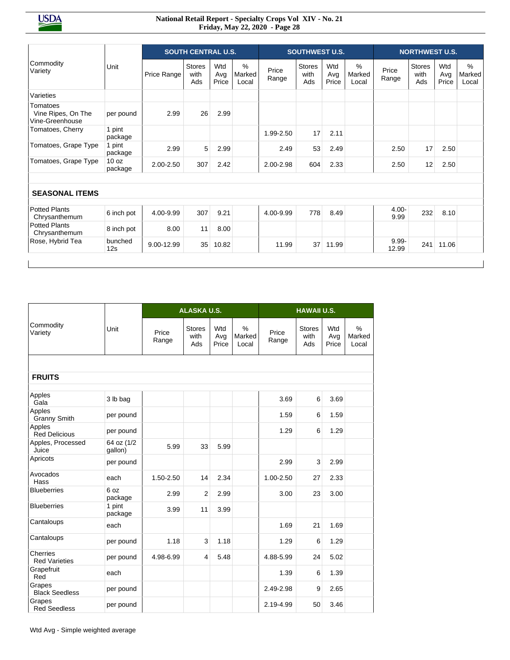|                                                   |                             | <b>SOUTH CENTRAL U.S.</b> |                              |                     |                      |                | <b>SOUTHWEST U.S.</b> |                     |                      | <b>NORTHWEST U.S.</b> |                       |                     |                         |
|---------------------------------------------------|-----------------------------|---------------------------|------------------------------|---------------------|----------------------|----------------|-----------------------|---------------------|----------------------|-----------------------|-----------------------|---------------------|-------------------------|
| Commodity<br>Unit<br>Variety                      |                             | Price Range               | <b>Stores</b><br>with<br>Ads | Wtd<br>Avg<br>Price | %<br>Marked<br>Local | Price<br>Range | Stores<br>with<br>Ads | Wtd<br>Avg<br>Price | %<br>Marked<br>Local | Price<br>Range        | Stores<br>with<br>Ads | Wtd<br>Avg<br>Price | $\%$<br>Marked<br>Local |
| Varieties                                         |                             |                           |                              |                     |                      |                |                       |                     |                      |                       |                       |                     |                         |
| Tomatoes<br>Vine Ripes, On The<br>Vine-Greenhouse | per pound                   | 2.99                      | 26                           | 2.99                |                      |                |                       |                     |                      |                       |                       |                     |                         |
| Tomatoes, Cherry                                  | 1 pint<br>package           |                           |                              |                     |                      | 1.99-2.50      | 17                    | 2.11                |                      |                       |                       |                     |                         |
| Tomatoes, Grape Type                              | 1 pint<br>package           | 2.99                      | 5                            | 2.99                |                      | 2.49           | 53                    | 2.49                |                      | 2.50                  | 17                    | 2.50                |                         |
| Tomatoes, Grape Type                              | 10 <sub>oz</sub><br>package | 2.00-2.50                 | 307                          | 2.42                |                      | 2.00-2.98      | 604                   | 2.33                |                      | 2.50                  | 12                    | 2.50                |                         |
| <b>SEASONAL ITEMS</b>                             |                             |                           |                              |                     |                      |                |                       |                     |                      |                       |                       |                     |                         |
| <b>Potted Plants</b><br>Chrysanthemum             | 6 inch pot                  | 4.00-9.99                 | 307                          | 9.21                |                      | 4.00-9.99      | 778                   | 8.49                |                      | $4.00 -$<br>9.99      | 232                   | 8.10                |                         |
| <b>Potted Plants</b><br>Chrysanthemum             | 8 inch pot                  | 8.00                      | 11                           | 8.00                |                      |                |                       |                     |                      |                       |                       |                     |                         |
| Rose, Hybrid Tea                                  | bunched<br>12s              | 9.00-12.99                | 35 <sup>5</sup>              | 10.82               |                      | 11.99          | 37                    | 11.99               |                      | $9.99 -$<br>12.99     | 241                   | 11.06               |                         |

|                                  |                       |                | <b>ALASKA U.S.</b>           |                     |                                  | <b>HAWAII U.S.</b> |                              |                     |                         |  |  |
|----------------------------------|-----------------------|----------------|------------------------------|---------------------|----------------------------------|--------------------|------------------------------|---------------------|-------------------------|--|--|
| Commodity<br>Variety             | Unit                  | Price<br>Range | <b>Stores</b><br>with<br>Ads | Wtd<br>Avg<br>Price | $\frac{0}{0}$<br>Marked<br>Local | Price<br>Range     | <b>Stores</b><br>with<br>Ads | Wtd<br>Avg<br>Price | $\%$<br>Marked<br>Local |  |  |
|                                  |                       |                |                              |                     |                                  |                    |                              |                     |                         |  |  |
| <b>FRUITS</b>                    |                       |                |                              |                     |                                  |                    |                              |                     |                         |  |  |
| Apples<br>Gala                   | 3 lb bag              |                |                              |                     |                                  | 3.69               | 6                            | 3.69                |                         |  |  |
| Apples<br>Granny Smith           | per pound             |                |                              |                     |                                  | 1.59               | 6                            | 1.59                |                         |  |  |
| Apples<br><b>Red Delicious</b>   | per pound             |                |                              |                     |                                  | 1.29               | 6                            | 1.29                |                         |  |  |
| Apples, Processed<br>Juice       | 64 oz (1/2<br>gallon) | 5.99           | 33                           | 5.99                |                                  |                    |                              |                     |                         |  |  |
| Apricots                         | per pound             |                |                              |                     |                                  | 2.99               | 3                            | 2.99                |                         |  |  |
| Avocados<br>Hass                 | each                  | 1.50-2.50      | 14                           | 2.34                |                                  | 1.00-2.50          | 27                           | 2.33                |                         |  |  |
| <b>Blueberries</b>               | 6 oz<br>package       | 2.99           | $\overline{2}$               | 2.99                |                                  | 3.00               | 23                           | 3.00                |                         |  |  |
| <b>Blueberries</b>               | 1 pint<br>package     | 3.99           | 11                           | 3.99                |                                  |                    |                              |                     |                         |  |  |
| Cantaloups                       | each                  |                |                              |                     |                                  | 1.69               | 21                           | 1.69                |                         |  |  |
| Cantaloups                       | per pound             | 1.18           | 3                            | 1.18                |                                  | 1.29               | 6                            | 1.29                |                         |  |  |
| Cherries<br><b>Red Varieties</b> | per pound             | 4.98-6.99      | 4                            | 5.48                |                                  | 4.88-5.99          | 24                           | 5.02                |                         |  |  |
| Grapefruit<br>Red                | each                  |                |                              |                     |                                  | 1.39               | 6                            | 1.39                |                         |  |  |
| Grapes<br><b>Black Seedless</b>  | per pound             |                |                              |                     |                                  | 2.49-2.98          | 9                            | 2.65                |                         |  |  |
| Grapes<br><b>Red Seedless</b>    | per pound             |                |                              |                     |                                  | 2.19-4.99          | 50                           | 3.46                |                         |  |  |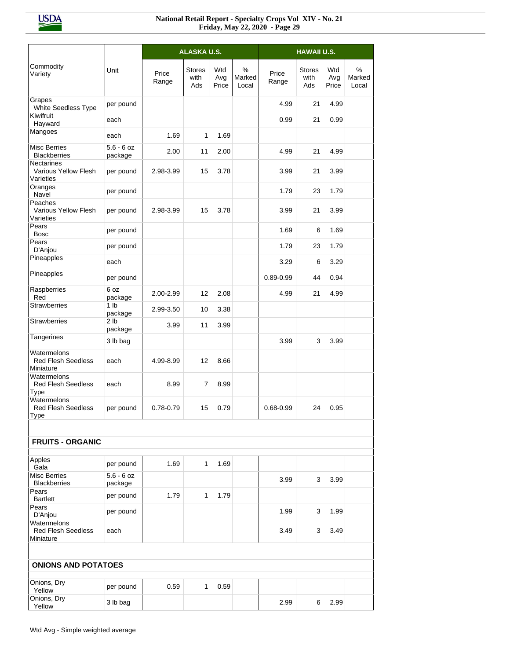|                                                        |                            | ALASKA U.S.    |                              |                     |                         | <b>HAWAII U.S.</b> |                              |                     |                      |  |  |
|--------------------------------------------------------|----------------------------|----------------|------------------------------|---------------------|-------------------------|--------------------|------------------------------|---------------------|----------------------|--|--|
| Commodity<br>Variety                                   | Unit                       | Price<br>Range | <b>Stores</b><br>with<br>Ads | Wtd<br>Avg<br>Price | $\%$<br>Marked<br>Local | Price<br>Range     | <b>Stores</b><br>with<br>Ads | Wtd<br>Avg<br>Price | %<br>Marked<br>Local |  |  |
| Grapes<br><b>White Seedless Type</b>                   | per pound                  |                |                              |                     |                         | 4.99               | 21                           | 4.99                |                      |  |  |
| Kiwifruit<br>Hayward                                   | each                       |                |                              |                     |                         | 0.99               | 21                           | 0.99                |                      |  |  |
| Mangoes                                                | each                       | 1.69           | 1                            | 1.69                |                         |                    |                              |                     |                      |  |  |
| <b>Misc Berries</b><br><b>Blackberries</b>             | $5.6 - 6$ oz<br>package    | 2.00           | 11                           | 2.00                |                         | 4.99               | 21                           | 4.99                |                      |  |  |
| <b>Nectarines</b><br>Various Yellow Flesh<br>Varieties | per pound                  | 2.98-3.99      | 15                           | 3.78                |                         | 3.99               | 21                           | 3.99                |                      |  |  |
| Oranges<br>Navel                                       | per pound                  |                |                              |                     |                         | 1.79               | 23                           | 1.79                |                      |  |  |
| Peaches<br>Various Yellow Flesh<br>Varieties           | per pound                  | 2.98-3.99      | 15                           | 3.78                |                         | 3.99               | 21                           | 3.99                |                      |  |  |
| Pears<br><b>Bosc</b>                                   | per pound                  |                |                              |                     |                         | 1.69               | 6                            | 1.69                |                      |  |  |
| Pears<br>D'Anjou                                       | per pound                  |                |                              |                     |                         | 1.79               | 23                           | 1.79                |                      |  |  |
| Pineapples                                             | each                       |                |                              |                     |                         | 3.29               | 6                            | 3.29                |                      |  |  |
| Pineapples                                             | per pound                  |                |                              |                     |                         | 0.89-0.99          | 44                           | 0.94                |                      |  |  |
| Raspberries<br>Red                                     | 6 oz<br>package            | 2.00-2.99      | 12                           | 2.08                |                         | 4.99               | 21                           | 4.99                |                      |  |  |
| <b>Strawberries</b>                                    | 1 <sub>lb</sub><br>package | 2.99-3.50      | 10                           | 3.38                |                         |                    |                              |                     |                      |  |  |
| <b>Strawberries</b>                                    | 2 <sub>lb</sub><br>package | 3.99           | 11                           | 3.99                |                         |                    |                              |                     |                      |  |  |
| Tangerines                                             | 3 lb bag                   |                |                              |                     |                         | 3.99               | 3                            | 3.99                |                      |  |  |
| Watermelons<br><b>Red Flesh Seedless</b><br>Miniature  | each                       | 4.99-8.99      | 12                           | 8.66                |                         |                    |                              |                     |                      |  |  |
| Watermelons<br><b>Red Flesh Seedless</b><br>Type       | each                       | 8.99           | 7                            | 8.99                |                         |                    |                              |                     |                      |  |  |
| Watermelons<br><b>Red Flesh Seedless</b><br>Type       | per pound                  | $0.78 - 0.79$  | 15                           | 0.79                |                         | 0.68-0.99          | 24                           | 0.95                |                      |  |  |
|                                                        |                            |                |                              |                     |                         |                    |                              |                     |                      |  |  |
| <b>FRUITS - ORGANIC</b>                                |                            |                |                              |                     |                         |                    |                              |                     |                      |  |  |
| Apples<br>Gala                                         | per pound                  | 1.69           | 1                            | 1.69                |                         |                    |                              |                     |                      |  |  |
| <b>Misc Berries</b><br><b>Blackberries</b>             | $5.6 - 6$ oz<br>package    |                |                              |                     |                         | 3.99               | 3                            | 3.99                |                      |  |  |
| Pears<br><b>Bartlett</b>                               | per pound                  | 1.79           | 1                            | 1.79                |                         |                    |                              |                     |                      |  |  |
| Pears<br>D'Anjou                                       | per pound                  |                |                              |                     |                         | 1.99               | 3                            | 1.99                |                      |  |  |
| Watermelons<br><b>Red Flesh Seedless</b><br>Miniature  | each                       |                |                              |                     |                         | 3.49               | 3                            | 3.49                |                      |  |  |
|                                                        |                            |                |                              |                     |                         |                    |                              |                     |                      |  |  |
| <b>ONIONS AND POTATOES</b>                             |                            |                |                              |                     |                         |                    |                              |                     |                      |  |  |
| Onions, Dry<br>Yellow                                  | per pound                  | 0.59           | 1                            | 0.59                |                         |                    |                              |                     |                      |  |  |
| Onions, Dry<br>Yellow                                  | 3 lb bag                   |                |                              |                     |                         | 2.99               | 6                            | 2.99                |                      |  |  |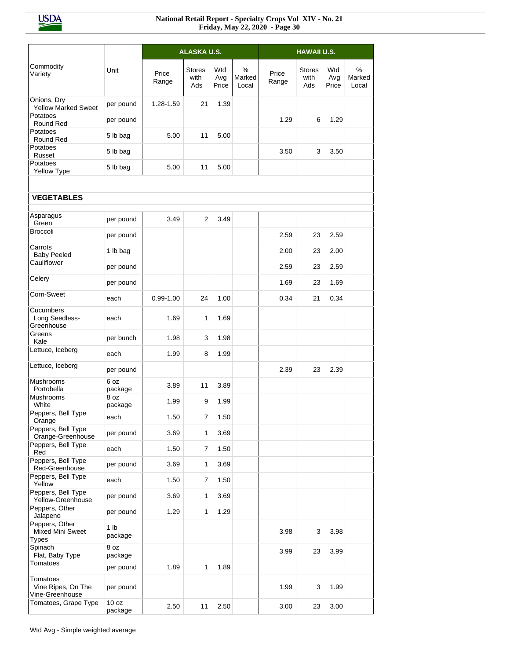|                                                    |                  | <b>ALASKA U.S.</b> |                |              | <b>HAWAII U.S.</b> |                |               |              |                 |  |
|----------------------------------------------------|------------------|--------------------|----------------|--------------|--------------------|----------------|---------------|--------------|-----------------|--|
| Commodity                                          | Unit             |                    | <b>Stores</b>  | Wtd          | %                  |                | <b>Stores</b> | Wtd          | %               |  |
| Variety                                            |                  | Price<br>Range     | with<br>Ads    | Avg<br>Price | Marked<br>Local    | Price<br>Range | with<br>Ads   | Avg<br>Price | Marked<br>Local |  |
| Onions, Dry<br><b>Yellow Marked Sweet</b>          | per pound        | 1.28-1.59          | 21             | 1.39         |                    |                |               |              |                 |  |
| Potatoes<br>Round Red                              | per pound        |                    |                |              |                    | 1.29           | 6             | 1.29         |                 |  |
| Potatoes<br>Round Red                              | 5 lb bag         | 5.00               | 11             | 5.00         |                    |                |               |              |                 |  |
| Potatoes<br>Russet                                 | 5 lb bag         |                    |                |              |                    | 3.50           | 3             | 3.50         |                 |  |
| Potatoes<br>Yellow Type                            | 5 lb bag         | 5.00               | 11             | 5.00         |                    |                |               |              |                 |  |
|                                                    |                  |                    |                |              |                    |                |               |              |                 |  |
| <b>VEGETABLES</b>                                  |                  |                    |                |              |                    |                |               |              |                 |  |
| Asparagus<br>Green                                 | per pound        | 3.49               | $\overline{2}$ | 3.49         |                    |                |               |              |                 |  |
| Broccoli                                           | per pound        |                    |                |              |                    | 2.59           | 23            | 2.59         |                 |  |
| Carrots<br><b>Baby Peeled</b>                      | 1 lb bag         |                    |                |              |                    | 2.00           | 23            | 2.00         |                 |  |
| Cauliflower                                        | per pound        |                    |                |              |                    | 2.59           | 23            | 2.59         |                 |  |
| Celery                                             | per pound        |                    |                |              |                    | 1.69           | 23            | 1.69         |                 |  |
| Corn-Sweet                                         | each             | $0.99 - 1.00$      | 24             | 1.00         |                    | 0.34           | 21            | 0.34         |                 |  |
| Cucumbers<br>Long Seedless-<br>Greenhouse          | each             | 1.69               | 1              | 1.69         |                    |                |               |              |                 |  |
| Greens<br>Kale                                     | per bunch        | 1.98               | 3              | 1.98         |                    |                |               |              |                 |  |
| Lettuce, Iceberg                                   | each             | 1.99               | 8              | 1.99         |                    |                |               |              |                 |  |
| Lettuce, Iceberg                                   | per pound        |                    |                |              |                    | 2.39           | 23            | 2.39         |                 |  |
| Mushrooms<br>Portobella                            | 6 oz<br>package  | 3.89               | 11             | 3.89         |                    |                |               |              |                 |  |
| Mushrooms<br>White                                 | 8 oz<br>package  | 1.99               | 9              | 1.99         |                    |                |               |              |                 |  |
| Peppers, Bell Type<br>Orange                       | each             | 1.50               | 7              | 1.50         |                    |                |               |              |                 |  |
| Peppers, Bell Type<br>Orange-Greenhouse            | per pound        | 3.69               | 1              | 3.69         |                    |                |               |              |                 |  |
| Peppers, Bell Type<br>Red                          | each             | 1.50               | $\overline{7}$ | 1.50         |                    |                |               |              |                 |  |
| Peppers, Bell Type<br>Red-Greenhouse               | per pound        | 3.69               | 1              | 3.69         |                    |                |               |              |                 |  |
| Peppers, Bell Type<br>Yellow                       | each             | 1.50               | $\overline{7}$ | 1.50         |                    |                |               |              |                 |  |
| Peppers, Bell Type<br>Yellow-Greenhouse            | per pound        | 3.69               | $\mathbf{1}$   | 3.69         |                    |                |               |              |                 |  |
| Peppers, Other<br>Jalapeno                         | per pound        | 1.29               | 1              | 1.29         |                    |                |               |              |                 |  |
| Peppers, Other<br>Mixed Mini Sweet<br><b>Types</b> | 1 lb<br>package  |                    |                |              |                    | 3.98           | 3             | 3.98         |                 |  |
| Spinach<br>Flat, Baby Type                         | 8 oz<br>package  |                    |                |              |                    | 3.99           | 23            | 3.99         |                 |  |
| Tomatoes                                           | per pound        | 1.89               | $\mathbf{1}$   | 1.89         |                    |                |               |              |                 |  |
| Tomatoes<br>Vine Ripes, On The<br>Vine-Greenhouse  | per pound        |                    |                |              |                    | 1.99           | 3             | 1.99         |                 |  |
| Tomatoes, Grape Type                               | 10 oz<br>package | 2.50               | 11             | 2.50         |                    | 3.00           | 23            | 3.00         |                 |  |